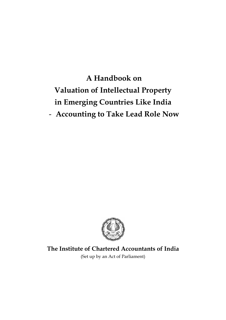# **A Handbook on Valuation of Intellectual Property in Emerging Countries Like India**  - **Accounting to Take Lead Role Now**



**The Institute of Chartered Accountants of India**  (Set up by an Act of Parliament)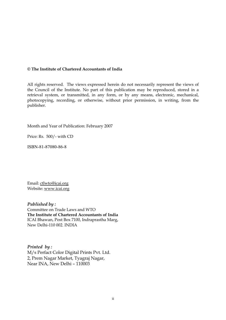#### **© The Institute of Chartered Accountants of India**

All rights reserved. The views expressed herein do not necessarily represent the views of the Council of the Institute. No part of this publication may be reproduced, stored in a retrieval system, or transmitted, in any form, or by any means, electronic, mechanical, photocopying, recording, or otherwise, without prior permission, in writing, from the publisher.

Month and Year of Publication: February 2007

Price: Rs. 500/- with CD

ISBN-81-87080-86-8

Email: ctlwto@icai.org Website: www.icai.org

*Published by :*  Committee on Trade Laws and WTO **The Institute of Chartered Accountants of India**  ICAI Bhawan, Post Box 7100, Indraprastha Marg, New Delhi-110 002. INDIA

*Printed by :* M/s Perfact Color Digital Prints Pvt. Ltd. 2, Prem Nagar Market, Tyagraj Nagar, Near INA, New Delhi – 110003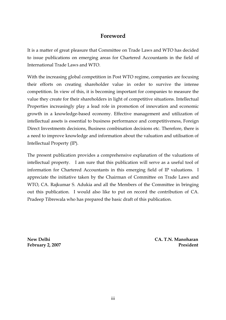#### **Foreword**

It is a matter of great pleasure that Committee on Trade Laws and WTO has decided to issue publications on emerging areas for Chartered Accountants in the field of International Trade Laws and WTO.

With the increasing global competition in Post WTO regime, companies are focusing their efforts on creating shareholder value in order to survive the intense competition. In view of this, it is becoming important for companies to measure the value they create for their shareholders in light of competitive situations. Intellectual Properties increasingly play a lead role in promotion of innovation and economic growth in a knowledge-based economy. Effective management and utilization of intellectual assets is essential to business performance and competitiveness, Foreign Direct Investments decisions, Business combination decisions etc. Therefore, there is a need to improve knowledge and information about the valuation and utilisation of Intellectual Property (IP).

The present publication provides a comprehensive explanation of the valuations of intellectual property. I am sure that this publication will serve as a useful tool of information for Chartered Accountants in this emerging field of IP valuations. I appreciate the initiative taken by the Chairman of Committee on Trade Laws and WTO, CA. Rajkumar S. Adukia and all the Members of the Committee in bringing out this publication. I would also like to put on record the contribution of CA. Pradeep Tibrewala who has prepared the basic draft of this publication.

**New Delhi CA. T.N. Manoharan** February 2, 2007 President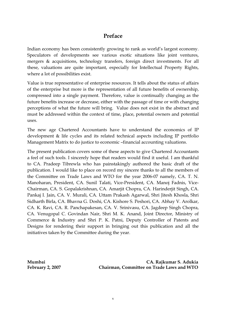#### **Preface**

Indian economy has been consistently growing to rank as world's largest economy. Speculators of developments see various exotic situations like joint ventures, mergers & acquisitions, technology transfers, foreign direct investments. For all these, valuations are quite important, especially for Intellectual Property Rights, where a lot of possibilities exist.

Value is true representative of enterprise resources. It tells about the status of affairs of the enterprise but more is the representation of all future benefits of ownership, compressed into a single payment. Therefore, value is continually changing as the future benefits increase or decrease, either with the passage of time or with changing perceptions of what the future will bring. Value does not exist in the abstract and must be addressed within the context of time, place, potential owners and potential uses.

The new age Chartered Accountants have to understand the economics of IP development & life cycles and its related technical aspects including IP portfolio Management Matrix to do justice to economic –financial accounting valuations.

The present publication covers some of these aspects to give Chartered Accountants a feel of such tools. I sincerely hope that readers would find it useful. I am thankful to CA. Pradeep Tibrewla who has painstakingly authored the basic draft of the publication. I would like to place on record my sincere thanks to all the members of the Committee on Trade Laws and WTO for the year 2006-07 namely, CA. T. N. Manoharan, President, CA. Sunil Talati, Vice-President, CA. Manoj Fadnis, Vice-Chairman, CA. S. Gopalakrishnan, CA. Amarjit Chopra, CA. Harinderjit Singh, CA. Pankaj I. Jain, CA. V. Murali, CA. Uttam Prakash Agarwal, Shri Jitesh Khosla, Shri Sidharth Birla, CA. Bhavna G. Doshi, CA. Kishore S. Peshori, CA. Abhay V. Arolkar, CA. K. Ravi, CA. R. Panchapakesan, CA. V. Srinivasu, CA. Jagdeep Singh Chopra, CA. Venugopal C. Govindan Nair, Shri M. K. Anand, Joint Director, Ministry of Commerce & Industry and Shri P. K. Patni, Deputy Controller of Patents and Designs for rendering their support in bringing out this publication and all the initiatives taken by the Committee during the year.

**Mumbai CA. Rajkumar S. Adukia February 2, 2007 Chairman, Committee on Trade Laws and WTO**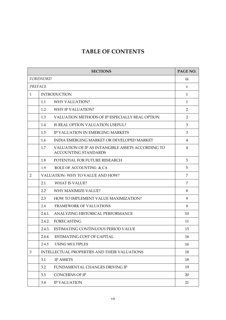## **TABLE OF CONTENTS**

|                 |        | <b>SECTIONS</b>                                                                  | PAGE NO.       |  |
|-----------------|--------|----------------------------------------------------------------------------------|----------------|--|
| <b>FOREWORD</b> |        | iii                                                                              |                |  |
| PREFACE         |        |                                                                                  | $\mathbf{V}$   |  |
| 1               |        | <b>INTRODUCTION</b>                                                              |                |  |
|                 | 1.1    | <b>WHY VALUATION?</b>                                                            | 1              |  |
|                 | 1.2    | WHY IP VALUATION?                                                                | 2              |  |
|                 | 1.3    | VALUATION METHODS OF IP ESPECIALLY REAL OPTION                                   | $\overline{2}$ |  |
|                 | 1.4    | IS REAL OPTION VALUATION USEFUL?                                                 | 3              |  |
|                 | 1.5    | IP VALUATION IN EMERGING MARKETS                                                 | $\mathfrak{Z}$ |  |
|                 | 1.6    | INDIA EMERGING MARKET OR DEVELOPED MARKET                                        | 4              |  |
|                 | 1.7    | VALUATION OF IP AS INTANGIBLE ASSETS ACCORDING TO<br><b>ACCOUNTING STANDARDS</b> | $\overline{4}$ |  |
|                 | 1.8    | POTENTIAL FOR FUTURE RESEARCH                                                    | 5              |  |
|                 | 1.9    | ROLE OF ACCOUNTING & CA                                                          | 5              |  |
| 2               |        | VALUATION-WHY TO VALUE AND HOW?                                                  |                |  |
|                 | 2.1    | <b>WHAT IS VALUE?</b>                                                            | 7              |  |
|                 | 2.2    | WHY MAXIMIZE VALUE?                                                              | 8              |  |
|                 | 2.3    | HOW TO IMPLEMENT VALUE MAXIMIZATION?                                             | 9              |  |
|                 | 2.4    | <b>FRAMEWORK OF VALUATIONS</b>                                                   | 9              |  |
|                 | 2.4.1. | ANALYZING HISTORICAL PERFORMANCE                                                 | 10             |  |
|                 | 2.4.2. | <b>FORECASTING</b>                                                               | 11             |  |
|                 | 2.4.3. | ESTIMATING CONTINUOUS PERIOD VALUE                                               | 15             |  |
|                 | 2.4.4  | ESTIMATING COST OF CAPITAL                                                       | 16             |  |
|                 | 2.4.5  | <b>USING MULTIPLES</b>                                                           | 16             |  |
| $\mathfrak{Z}$  |        | INTELLECTUAL PROPERTIES AND THEIR VALUATIONS                                     | 18             |  |
|                 | 3.1    | IP ASSETS                                                                        | 18             |  |
|                 | 3.2    | FUNDAMENTAL CHANGES DRIVING IP                                                   | 19             |  |
|                 | 3.3    | <b>CONCERNS OF IP</b>                                                            | 20             |  |
|                 | 3.4    | IP VALUATION                                                                     | 21             |  |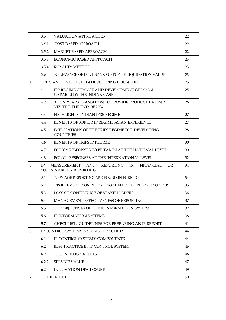|   | 3.5          | <b>VALUATION APPROACHES</b>                                                                                      | 22 |
|---|--------------|------------------------------------------------------------------------------------------------------------------|----|
|   | 3.5.1        | <b>COST BASED APPROACH</b>                                                                                       | 22 |
|   | 3.5.2        | MARKET BASED APPROACH                                                                                            | 22 |
|   | 3.5.3        | ECONOMIC BASED APPROACH                                                                                          | 23 |
|   | 3.5.4        | ROYALTY METHOD                                                                                                   | 23 |
|   | 3.6          | RELEVANCE OF IP AT BANKRUPTCY -IP LIQUIDATION VALUE                                                              | 23 |
| 4 |              | TRIPS AND ITS EFFECT ON DEVELOPING COUNTRIES                                                                     | 25 |
|   | 4.1          | IPP REGIME CHANGE AND DEVELOPMENT OF LOCAL<br><b>CAPABILITY: THE INDIAN CASE</b>                                 | 25 |
|   | 4.2          | A TEN YEARS TRANSITION TO PROVIDE PRODUCT PATENTS<br>VIZ. TILL THE END OF 2004                                   | 26 |
|   | 4.3          | HIGHLIGHTS: INDIAN IPRS REGIME                                                                                   | 27 |
|   | 4.4          | BENEFITS OF SOFTER IP REGIME ASIAN EXPERIENCE                                                                    | 27 |
|   | 4.5          | IMPLICATIONS OF THE TRIPS REGIME FOR DEVELOPING<br><b>COUNTRIES</b>                                              | 28 |
|   | 4.6          | <b>BENEFITS OF TRIPS IP REGIME</b>                                                                               | 30 |
|   | 4.7          | POLICY RESPONSES TO BE TAKEN AT THE NATIONAL LEVEL                                                               | 30 |
|   | 4.8          | POLICY RESPONSES AT THE INTERNATIONAL LEVEL                                                                      | 32 |
| 5 | <b>IP</b>    | <b>MEASUREMENT</b><br><b>AND</b><br>REPORTING<br>IN<br><b>FINANCIAL</b><br><b>OR</b><br>SUSTAINABILITY REPORTING | 34 |
|   | 5.1          | NEW AGE REPORTING ARE FOUND IN FORM OF                                                                           | 34 |
|   | 5.2          | PROBLEMS OF NON REPORTING / DEFECTIVE REPORTING OF IP                                                            | 35 |
|   | 5.3          | LOSS OF CONFIDENCE OF STAKEHOLDERS                                                                               | 36 |
|   | 5.4          | MANAGEMENT EFFECTIVENESS OF REPORTING                                                                            | 37 |
|   | 5.5          | THE OBJECTIVES OF THE IP INFORMATION SYSTEM                                                                      | 37 |
|   | 5.6          | IP INFORMATION SYSTEMS                                                                                           | 38 |
|   | 5.7          | CHECKLIST/ GUIDELINES FOR PREPARING AN IP REPORT                                                                 | 41 |
| 6 |              | IP CONTROL SYSTEMS AND BEST PRACTICES                                                                            | 44 |
|   | 6.1          | IP CONTROL SYSTEM'S COMPONENTS                                                                                   | 44 |
|   | 6.2          | BEST PRACTICE IN IP CONTROL SYSTEM                                                                               | 46 |
|   | 6.2.1        | <b>TECHNOLOGY AUDITS</b>                                                                                         | 46 |
|   | 6.2.2        | <b>SERVICE VALUE</b>                                                                                             | 47 |
|   | 6.2.3        | <b>INNOVATION DISCLOSURE</b>                                                                                     | 49 |
| 7 | THE IP AUDIT |                                                                                                                  | 50 |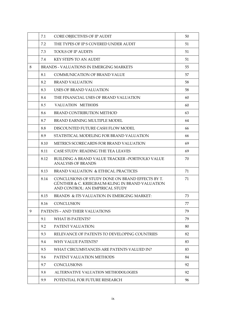|   | 7.1  | CORE OBJECTIVES OF IP AUDIT                                                                                                            | 50 |
|---|------|----------------------------------------------------------------------------------------------------------------------------------------|----|
|   | 7.2  | THE TYPES OF IP S COVERED UNDER AUDIT                                                                                                  | 51 |
|   | 7.3  | <b>TOOLS OF IP AUDITS</b>                                                                                                              | 51 |
|   | 7.4  | <b>KEY STEPS TO AN AUDIT</b>                                                                                                           | 51 |
| 8 |      | <b>BRANDS - VALUATIONS IN EMERGING MARKETS</b>                                                                                         |    |
|   | 8.1  | <b>COMMUNICATION OF BRAND VALUE</b>                                                                                                    | 57 |
|   | 8.2  | <b>BRAND VALUATION</b>                                                                                                                 | 58 |
|   | 8.3  | USES OF BRAND VALUATION                                                                                                                | 58 |
|   | 8.4  | THE FINANCIAL USES OF BRAND VALUATION                                                                                                  | 60 |
|   | 8.5  | <b>VALUATION METHODS</b>                                                                                                               | 60 |
|   | 8.6  | <b>BRAND CONTRIBUTION METHOD</b>                                                                                                       | 63 |
|   | 8.7  | <b>BRAND EARNING MULTIPLE MODEL</b>                                                                                                    | 64 |
|   | 8.8  | DISCOUNTED FUTURE CASH FLOW MODEL                                                                                                      | 66 |
|   | 8.9  | STATISTICAL MODELING FOR BRAND VALUATION                                                                                               | 66 |
|   | 8.10 | METRICS SCORECARDS FOR BRAND VALUATION                                                                                                 | 69 |
|   | 8.11 | CASE STUDY: READING THE TEA LEAVES                                                                                                     | 69 |
|   | 8.12 | <b>BUILDING A BRAND VALUE TRACKER -PORTFOLIO VALUE</b><br><b>ANALYSIS OF BRANDS</b>                                                    | 70 |
|   | 8.13 | BRAND VALUATION & ETHICAL PRACTICES                                                                                                    | 71 |
|   | 8.14 | CONCLUSIONS OF STUDY DONE ON BRAND EFFECTS BY T.<br>GÜNTHER & C. KRIEGBAUM-KLING IN BRAND VALUATION<br>AND CONTROL: AN EMPIRICAL STUDY | 71 |
|   | 8.15 | BRANDS & ITS VALUATION IN EMERGING MARKET:                                                                                             | 73 |
|   | 8.16 | <b>CONCLUSION</b>                                                                                                                      | 77 |
| 9 |      | PATENTS - AND THEIR VALUATIONS                                                                                                         | 79 |
|   | 9.1  | <b>WHAT IS PATENTS?</b>                                                                                                                | 79 |
|   | 9.2  | PATENT VALUATION:                                                                                                                      | 80 |
|   | 9.3  | RELEVANCE OF PATENTS TO DEVELOPING COUNTRIES                                                                                           | 82 |
|   | 9.4  | <b>WHY VALUE PATENTS?</b>                                                                                                              | 83 |
|   | 9.5  | WHAT CIRCUMSTANCES ARE PATENTS VALUED IN?                                                                                              | 83 |
|   | 9.6  | PATENT VALUATION METHODS                                                                                                               | 84 |
|   | 9.7  | <b>CONCLUSIONS</b>                                                                                                                     | 92 |
|   | 9.8  | ALTERNATIVE VALUATION METHODOLOGIES                                                                                                    | 92 |
|   | 9.9  | POTENTIAL FOR FUTURE RESEARCH                                                                                                          | 96 |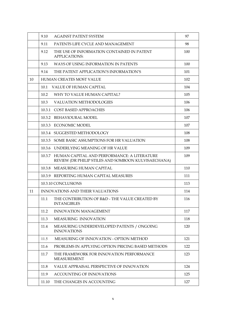|    | 9.10<br><b>AGAINST PATENT SYSTEM</b>                                                                      | 97  |
|----|-----------------------------------------------------------------------------------------------------------|-----|
|    |                                                                                                           |     |
|    | 9.11<br>PATENTS LIFE CYCLE AND MANAGEMENT                                                                 | 98  |
|    | 9.12<br>THE USE OF INFORMATION CONTAINED IN PATENT<br><b>APPLICATIONS:</b>                                | 100 |
|    | 9.13<br>WAYS OF USING INFORMATION IN PATENTS                                                              | 100 |
|    | 9.14<br>THE PATENT APPLICATION'S INFORMATION'S                                                            | 101 |
| 10 | <b>HUMAN CREATES MOST VALUE</b>                                                                           | 102 |
|    | 10.1<br><b>VALUE OF HUMAN CAPITAL</b>                                                                     | 104 |
|    | 10.2<br>WHY TO VALUE HUMAN CAPITAL?                                                                       | 105 |
|    | 10.3<br><b>VALUATION METHODOLOGIES</b>                                                                    | 106 |
|    | 10.3.1<br>COST BASED APPROACHES                                                                           | 106 |
|    | 10.3.2 BEHAVIOURAL MODEL                                                                                  | 107 |
|    | 10.3.3 ECONOMIC MODEL                                                                                     | 107 |
|    | 10.3.4 SUGGESTED METHODOLOGY                                                                              | 108 |
|    | 10.3.5 SOME BASIC ASSUMPTIONS FOR HR VALUATION                                                            | 108 |
|    | 10.3.6 UNDERLYING MEANING OF HR VALUE                                                                     | 109 |
|    | 10.3.7 HUMAN CAPITAL AND PERFORMANCE: A LITERATURE<br>REVIEW (DR PHILIP STILES AND SOMBOON KULVISAECHANA) | 109 |
|    | 10.3.8 MEASURING HUMAN CAPITAL                                                                            | 110 |
|    | 10.3.9 REPORTING HUMAN CAPITAL MEASURES                                                                   | 111 |
|    | 10.3.10 CONCLUSIONS                                                                                       | 113 |
| 11 | <b>INNOVATIONS AND THEIR VALUATIONS</b>                                                                   | 114 |
|    | THE CONTRIBUTION OF R&D - THE VALUE CREATED BY<br>11.1<br><b>INTANGIBLES</b>                              | 116 |
|    | 11.2<br><b>INNOVATION MANAGEMENT</b>                                                                      | 117 |
|    | 11.3<br><b>MEASURING INNOVATION</b>                                                                       | 118 |
|    | 11.4<br>MEASURING UNDERDEVELOPED PATENTS / ONGOING<br><b>INNOVATIONS</b>                                  | 120 |
|    | MEASURING OF INNOVATION - OPTION METHOD<br>11.5                                                           | 121 |
|    | PROBLEMS IN APPLYING OPTION PRICING BASED METHODS<br>11.6                                                 | 122 |
|    | 11.7<br>THE FRAMEWORK FOR INNOVATION PERFORMANCE<br><b>MEASUREMENT</b>                                    | 123 |
|    | 11.8<br>VALUE APPRAISAL PERSPECTIVE OF INNOVATION                                                         | 124 |
|    | 11.9<br>ACCOUNTING OF INNOVATIONS                                                                         | 125 |
|    | 11.10<br>THE CHANGES IN ACCOUNTING                                                                        | 127 |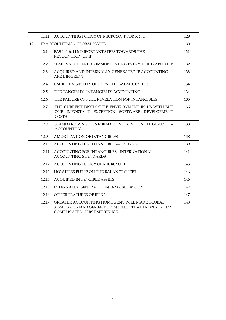|    | 11.11 | ACCOUNTING POLICY OF MICROSOFT FOR R & D                                                                                           | 129 |
|----|-------|------------------------------------------------------------------------------------------------------------------------------------|-----|
| 12 |       | IP ACCOUNTING – GLOBAL ISSUES                                                                                                      | 130 |
|    | 12.1  | FAS 141 & 142: IMPORTANT STEPS TOWARDS THE<br>RECOGNITION OF IP                                                                    | 131 |
|    | 12.2  | "FAIR VALUE" NOT COMMUNICATING EVERY THING ABOUT IP                                                                                | 132 |
|    | 12.3  | ACQUIRED AND INTERNALLY-GENERATED IP ACCOUNTING<br><b>ARE DIFFERENT</b>                                                            | 133 |
|    | 12.4  | LACK OF VISIBILITY OF IP ON THE BALANCE SHEET                                                                                      | 134 |
|    | 12.5  | THE TANGIBLES–INTANGIBLES ACCOUNTING                                                                                               | 134 |
|    | 12.6  | THE FAILURE OF FULL REVELATION FOR INTANGIBLES                                                                                     | 135 |
|    | 12.7  | THE CURRENT DISCLOSURE ENVIRONMENT IN US WITH BUT<br>ONE IMPORTANT EXCEPTION-SOFTWARE DEVELOPMENT<br><b>COSTS</b>                  | 136 |
|    | 12.8  | <i>STANDARDIZING</i><br>INFORMATION ON INTANGIBLES<br><b>ACCOUNTING</b>                                                            | 138 |
|    | 12.9  | <b>AMORTIZATION OF INTANGIBLES</b>                                                                                                 | 138 |
|    | 12.10 | ACCOUNTING FOR INTANGIBLES-U.S. GAAP                                                                                               | 139 |
|    | 12.11 | ACCOUNTING FOR INTANGIBLES - INTERNATIONAL<br><b>ACCOUNTING STANDARDS</b>                                                          | 141 |
|    | 12.12 | ACCOUNTING POLICY OF MICROSOFT                                                                                                     | 143 |
|    | 12.13 | HOW IFRSS PUT IP ON THE BALANCE SHEET                                                                                              | 146 |
|    | 12.14 | <b>ACQUIRED INTANGIBLE ASSETS</b>                                                                                                  | 146 |
|    | 12.15 | <b>INTERNALLY GENERATED INTANGIBLE ASSETS</b>                                                                                      | 147 |
|    | 12.16 | OTHER FEATURES OF IFRS 3                                                                                                           | 147 |
|    | 12.17 | GREATER ACCOUNTING HOMOGENY WILL MAKE GLOBAL<br>STRATEGIC MANAGEMENT OF INTELLECTUAL PROPERTY LESS<br>COMPLICATED. IFRS EXPERIENCE | 148 |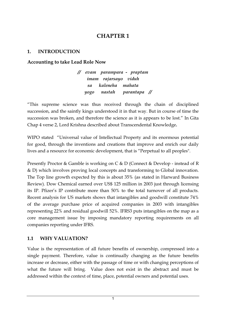## **CHAPTER 1**

#### **1. INTRODUCTION**

#### **Accounting to take Lead Role Now**

*// evam parampara - praptam imam rajarsayo viduh sa kaleneha mahata yogo nastah parantapa //* 

"This supreme science was thus received through the chain of disciplined succession, and the saintly kings understood it in that way. But in course of time the succession was broken, and therefore the science as it is appears to be lost." In Gita Chap 4 verse 2, Lord Krishna described about Transcendental Knowledge**.**

WIPO stated "Universal value of Intellectual Property and its enormous potential for good, through the inventions and creations that improve and enrich our daily lives and a resource for economic development, that is "Perpetual to all peoples".

Presently Proctor & Gamble is working on C & D (Connect & Develop - instead of R & D) which involves proving local concepts and transforming to Global innovation. The Top line growth expected by this is about 35% (as stated in Harward Business Review). Dow Chemical earned over US\$ 125 million in 2003 just through licensing its IP. Pfizer's IP contribute more than 50% to the total turnover of all products. Recent analysis for US markets shows that intangibles and goodwill constitute 74% of the average purchase price of acquired companies in 2003 with intangibles representing 22% and residual goodwill 52%. IFRS3 puts intangibles on the map as a core management issue by imposing mandatory reporting requirements on all companies reporting under IFRS.

#### **1.1 WHY VALUATION?**

Value is the representation of all future benefits of ownership, compressed into a single payment. Therefore, value is continually changing as the future benefits increase or decrease, either with the passage of time or with changing perceptions of what the future will bring. Value does not exist in the abstract and must be addressed within the context of time, place, potential owners and potential uses.

1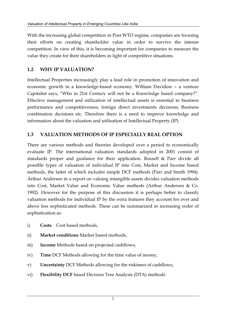With the increasing global competition in Post WTO regime, companies are focusing their efforts on creating shareholder value in order to survive the intense competition. In view of this, it is becoming important for companies to measure the value they create for their shareholders in light of competitive situations.

#### **1.2 WHY IP VALUATION?**

Intellectual Properties increasingly play a lead role in promotion of innovation and economic growth in a knowledge-based economy. William Davidow – a venture Capitalist says, "Who in 21st Century will not be a Knowledge based company?". Effective management and utilization of intellectual assets is essential to business performance and competitiveness, foreign direct investments decisions, Business combination decisions etc. Therefore there is a need to improve knowledge and information about the valuation and utilisation of Intellectual Property (IP).

#### **1.3 VALUATION METHODS OF IP ESPECIALLY REAL OPTION**

There are various methods and theories developed over a period to economically evaluate IP. The international valuation standards adopted in 2001 consist of standards proper and guidance for their application. Russell & Parr divide all possible types of valuation of individual IP into Cost, Market and Income based methods, the latter of which includes simple DCF methods (Parr and Smith 1994). Arthur Andersen in a report on valuing intangible assets divides valuation methods into Cost, Market Value and Economic Value methods (Arthur Andersen & Co. 1992). However for the purpose of this discussion it is perhaps better to classify valuation methods for individual IP by the extra features they account for over and above less sophisticated methods. These can be summarized in increasing order of sophistication as:

- i) **Costs** Cost based methods,
- ii) **Market conditions** Market based methods,
- iii) **Income** Methods based on projected cashflows,
- iv) **Time** DCF Methods allowing for the time value of money,
- v) **Uncertainty** DCF Methods allowing for the riskiness of cashflows,
- vi) **Flexibility DCF** based Decision Tree Analysis (DTA) methods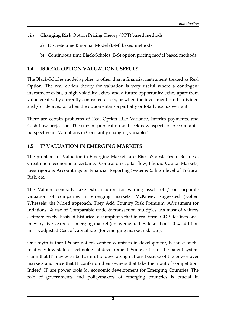- vii) **Changing Risk** Option Pricing Theory (OPT) based methods
	- a) Discrete time Binomial Model (B-M) based methods
	- b) Continuous time Black-Scholes (B-S) option pricing model based methods.

#### **1.4 IS REAL OPTION VALUATION USEFUL?**

The Black-Scholes model applies to other than a financial instrument treated as Real Option. The real option theory for valuation is very useful where a contingent investment exists, a high volatility exists, and a future opportunity exists apart from value created by currently controlled assets, or when the investment can be divided and / or delayed or when the option entails a partially or totally exclusive right.

There are certain problems of Real Option Like Variance, Interim payments, and Cash flow projection. The current publication will seek new aspects of Accountants' perspective in 'Valuations in Constantly changing variables'.

#### **1.5 IP VALUATION IN EMERGING MARKETS**

The problems of Valuation in Emerging Markets are: Risk & obstacles in Business, Great micro economic uncertainty, Control on capital flow, Illiquid Capital Markets, Less rigorous Accountings or Financial Reporting Systems & high level of Political Risk, etc.

The Valuers generally take extra caution for valuing assets of / or corporate valuation of companies in emerging markets. McKinsey suggested (Koller, Whessels) the Mixed approach. They Add Country Risk Premium, Adjustment for Inflations & use of Comparable trade & transaction multiples. As most of valuers estimate on the basis of historical assumptions that in real term, GDP declines once in every five years for emerging market (on average), they take about 20 % addition in risk adjusted Cost of capital rate (for emerging market risk rate).

One myth is that IPs are not relevant to countries in development, because of the relatively low state of technological development. Some critics of the patent system claim that IP may even be harmful to developing nations because of the power over markets and price that IP confer on their owners that take them out of competition. Indeed, IP are power tools for economic development for Emerging Countries. The role of governments and policymakers of emerging countries is crucial in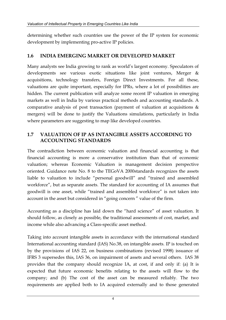determining whether such countries use the power of the IP system for economic development by implementing pro-active IP policies.

#### **1.6 INDIA EMERGING MARKET OR DEVELOPED MARKET**

Many analysts see India growing to rank as world's largest economy. Speculators of developments see various exotic situations like joint ventures, Merger & acquisitions, technology transfers, Foreign Direct Investments. For all these, valuations are quite important, especially for IPRs, where a lot of possibilities are hidden. The current publication will analyze some recent IP valuation in emerging markets as well in India by various practical methods and accounting standards. A comparative analysis of post transaction (payment of valuation at acquisitions & mergers) will be done to justify the Valuations simulations, particularly in India where parameters are suggesting to map like developed countries.

#### **1.7 VALUATION OF IP AS INTANGIBLE ASSETS ACCORDING TO ACCOUNTING STANDARDS**

The contradiction between economic valuation and financial accounting is that financial accounting is more a conservative institution than that of economic valuation; whereas Economic Valuation is management decision perspective oriented. Guidance note No. 8 to the TEGoVA 2000standards recognizes the assets liable to valuation to include "personal goodwill" and "trained and assembled workforce", but as separate assets. The standard for accounting of IA assumes that goodwill is one asset, while "trained and assembled workforce" is not taken into account in the asset but considered in "going concern " value of the firm.

Accounting as a discipline has laid down the "hard science" of asset valuation. It should follow, as closely as possible, the traditional assessments of cost, market, and income while also advancing a Class-specific asset method.

Taking into account intangible assets in accordance with the international standard International accounting standard (IAS) No.38, on intangible assets. IP is touched on by the provisions of IAS 22, on business combinations (revised 1998) issuance of IFRS 3 supersedes this, IAS 36, on impairment of assets and several others. IAS 38 provides that the company should recognize IA, at cost, if and only if: (a) It is expected that future economic benefits relating to the assets will flow to the company; and (b) The cost of the asset can be measured reliably. The two requirements are applied both to IA acquired externally and to those generated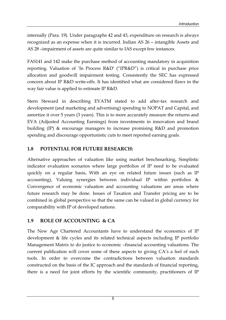internally (Para. 19). Under paragraphs 42 and 43, expenditure on research is always recognized as an expense when it is incurred. Indian AS 26 – intangible Assets and AS 28 –impairment of assets are quite similar to IAS except few instances.

FAS141 and 142 make the purchase method of accounting mandatory in acquisition reporting. Valuation of 'In Process R&D' ("IPR&D") is critical in purchase price allocation and goodwill impairment testing. Consistently the SEC has expressed concern about IP R&D write-offs. It has identified what are considered flaws in the way fair value is applied to estimate IP R&D.

Stern Steward in describing EVATM stated to add after-tax research and development (and marketing and advertising) spending to NOPAT and Capital, and amortize it over 5 years (3 years). This is to more accurately measure the returns and EVA (Adjusted Accounting Earnings) from investments in innovation and brand building (IP) & encourage managers to increase promising R&D and promotion spending and discourage opportunistic cuts to meet reported earning goals.

#### **1.8 POTENTIAL FOR FUTURE RESEARCH:**

Alternative approaches of valuation like using market benchmarking, Simplistic indicator evaluation scenarios where large portfolios of IP need to be evaluated quickly on a regular basis, With an eye on related future issues (such as IP accounting), Valuing synergies between individual IP within portfolios & Convergence of economic valuation and accounting valuations are areas where future research may be done. Issues of Taxation and Transfer pricing are to be combined in global perspective so that the same can be valued in global currency for comparability with IP of developed nations.

#### **1.9 ROLE OF ACCOUNTING & CA**

The New Age Chartered Accountants have to understand the economics of IP development & life cycles and its related technical aspects including IP portfolio Management Matrix to do justice to economic –financial accounting valuations. The current publication will cover some of these aspects to giving CA's a feel of such tools. In order to overcome the contradictions between valuation standards constructed on the basis of the IC approach and the standards of financial reporting, there is a need for joint efforts by the scientific community, practitioners of IP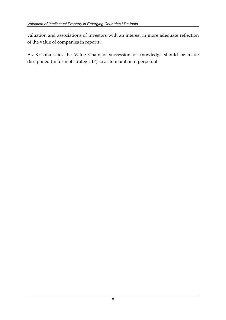valuation and associations of investors with an interest in more adequate reflection of the value of companies in reports.

As Krishna said, the Value Chain of succession of knowledge should be made disciplined (in form of strategic IP) so as to maintain it perpetual.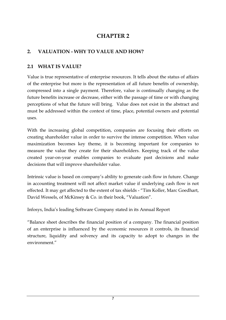## **CHAPTER 2**

## **2. VALUATION - WHY TO VALUE AND HOW?**

## **2.1 WHAT IS VALUE?**

Value is true representative of enterprise resources. It tells about the status of affairs of the enterprise but more is the representation of all future benefits of ownership, compressed into a single payment. Therefore, value is continually changing as the future benefits increase or decrease, either with the passage of time or with changing perceptions of what the future will bring. Value does not exist in the abstract and must be addressed within the context of time, place, potential owners and potential uses.

With the increasing global competition, companies are focusing their efforts on creating shareholder value in order to survive the intense competition. When value maximization becomes key theme, it is becoming important for companies to measure the value they create for their shareholders. Keeping track of the value created year-on-year enables companies to evaluate past decisions and make decisions that will improve shareholder value.

Intrinsic value is based on company's ability to generate cash flow in future. Change in accounting treatment will not affect market value if underlying cash flow is not effected. It may get affected to the extent of tax shields - "Tim Koller, Marc Goedhart, David Wessels, of McKinsey & Co. in their book, "Valuation".

Infosys, India's leading Software Company stated in its Annual Report

"Balance sheet describes the financial position of a company. The financial position of an enterprise is influenced by the economic resources it controls, its financial structure, liquidity and solvency and its capacity to adopt to changes in the environment."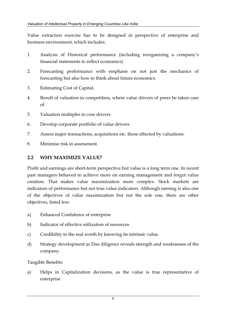Value extraction exercise has to be designed in perspective of enterprise and business environment, which includes:

- 1. Analysis of Historical performance (including reorganizing a company's financial statements to reflect economics)
- 2. Forecasting performance with emphasis on not just the mechanics of forecasting but also how to think about future economics.
- 3. Estimating Cost of Capital.
- 4. Result of valuation in competition, where value drivers of peers be taken care of.
- 5. Valuation multiples to core drivers
- 6. Develop corporate portfolio of value drivers
- 7. Assess major transactions, acquisitions etc. those effected by valuations.
- 8. Minimise risk in assessment.

#### **2.2 WHY MAXIMIZE VALUE?**

Profit and earnings are short-term perspective but value is a long term one. In recent past managers behaved to achieve more on earning management and forgot value creation. That makes value maximization more complex. Stock markets are indicators of performance but not true value indicators. Although earning is also one of the objectives of value maximization but not the sole one, there are other objectives, listed few:

- a) Enhanced Confidence of enterprise
- b) Indicator of effective utilization of resources
- c) Credibility to the real worth by knowing its intrinsic value.
- d) Strategy development as Due diligence reveals strength and weaknesses of the company.

Tangible Benefits:

a) Helps in Capitalization decisions, as the value is true representative of enterprise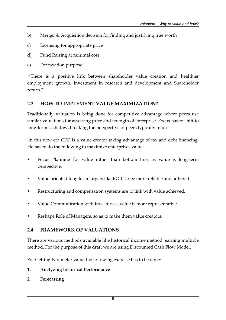- b) Merger & Acquisition decision for finding and justifying true worth
- c) Licensing for appropriate price
- d) Fund Raising at minimal cost
- e) For taxation purpose

 "There is a positive link between shareholder value creation and healthier employment growth, investment in research and development and Shareholder return."

#### **2.3 HOW TO IMPLEMENT VALUE MAXIMIZATION?**

Traditionally valuation is being done for competitive advantage where peers use similar valuations for assessing price and strength of enterprise. Focus has to shift to long-term cash flow, breaking the perspective of peers typically in use.

 In this new era CFO is a value creator taking advantage of tax and debt financing. He has to do the following to maximize enterprises value:

- Focus Planning for value rather than bottom line, as value is long-term perspective.
- Value oriented long term targets like ROIC to be more reliable and adhered.
- Restructuring and compensation systems are to link with value achieved.
- Value Communication with investors as value is more representative.
- Reshape Role of Managers, so as to make them value creators.

#### **2.4 FRAMEWORK OF VALUATIONS**

There are various methods available like historical income method, earning multiple method. For the purpose of this draft we are using Discounted Cash Flow Model.

For Getting Parameter value the following exercise has to be done:

- **1. Analyzing historical Performance**
- **2. Forecasting**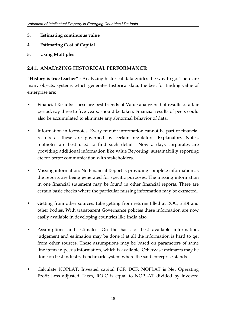- **3. Estimating continuous value**
- **4. Estimating Cost of Capital**
- **5. Using Multiples**

### **2.4.1. ANALYZING HISTORICAL PERFORMANCE:**

**"History is true teacher" -** Analyzing historical data guides the way to go. There are many objects, systems which generates historical data, the best for finding value of enterprise are:

- Financial Results: These are best friends of Value analyzers but results of a fair period, say three to five years, should be taken. Financial results of peers could also be accumulated to eliminate any abnormal behavior of data.
- Information in footnotes: Every minute information cannot be part of financial results as these are governed by certain regulators. Explanatory Notes, footnotes are best used to find such details. Now a days corporates are providing additional information like value Reporting, sustainability reporting etc for better communication with stakeholders.
- Missing information: No Financial Report is providing complete information as the reports are being generated for specific purposes. The missing information in one financial statement may be found in other financial reports. There are certain basic checks where the particular missing information may be extracted.
- Getting from other sources: Like getting from returns filled at ROC, SEBI and other bodies. With transparent Governance policies these information are now easily available in developing countries like India also.
- Assumptions and estimates: On the basis of best available information, judgement and estimation may be done if at all the information is hard to get from other sources. These assumptions may be based on parameters of same line items in peer's information, which is available. Otherwise estimates may be done on best industry benchmark system where the said enterprise stands.
- Calculate NOPLAT, Invested capital FCF, DCF: NOPLAT is Net Operating Profit Less adjusted Taxes, ROIC is equal to NOPLAT divided by invested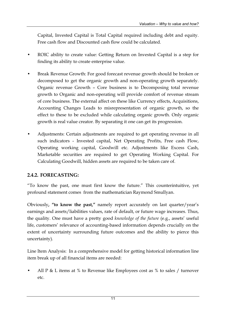Capital, Invested Capital is Total Capital required including debt and equity. Free cash flow and Discounted cash flow could be calculated.

- ROIC ability to create value: Getting Return on Invested Capital is a step for finding its ability to create enterprise value.
- Break Revenue Growth: For good forecast revenue growth should be broken or decomposed to get the organic growth and non-operating growth separately. Organic revenue Growth – Core business is to Decomposing total revenue growth to Organic and non-operating will provide comfort of revenue stream of core business. The external affect on these like Currency effects, Acquisitions, Accounting Changes Leads to misrepresentation of organic growth, so the effect to these to be excluded while calculating organic growth. Only organic growth is real value creator. By separating it one can get its progression.
- Adjustments: Certain adjustments are required to get operating revenue in all such indicators - Invested capital, Net Operating Profits, Free cash Flow, Operating working capital, Goodwill etc. Adjustments like Excess Cash, Marketable securities are required to get Operating Working Capital. For Calculating Goodwill, hidden assets are required to be taken care of.

#### **2.4.2. FORECASTING:**

"To know the past, one must first know the future." This counterintuitive, yet profound statement comes from the mathematician Raymond Smullyan.

Obviously**, "to know the past,"** namely report accurately on last quarter/year's earnings and assets/liabilities values, rate of default, or future wage increases. Thus, the quality. One must have a pretty good *knowledge of the future* (e.g., assets' useful life, customers' relevance of accounting-based information depends crucially on the extent of uncertainty surrounding future outcomes and the ability to pierce this uncertainty).

Line Item Analysis: In a comprehensive model for getting historical information line item break up of all financial items are needed:

All P & L items at % to Revenue like Employees cost as % to sales / turnover etc.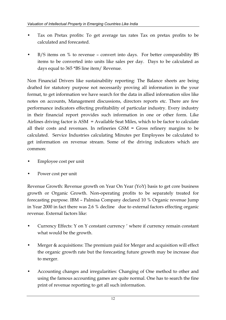- Tax on Pretax profits: To get average tax rates Tax on pretax profits to be calculated and forecasted.
- B/S items on % to revenue convert into days. For better comparability BS items to be converted into units like sales per day. Days to be calculated as days equal to 365 \*BS line item/ Revenue.

Non Financial Drivers like sustainability reporting: The Balance sheets are being drafted for statutory purpose not necessarily proving all information in the your format, to get information we have search for the data in allied information silos like notes on accounts, Management discussions, directors reports etc. There are few performance indicators effecting profitability of particular industry. Every industry in their financial report provides such information in one or other form. Like Airlines driving factor is ASM = Available Seat Miles, which to be factor to calculate all their costs and revenues. In refineries GSM = Gross refinery margins to be calculated. Service Industries calculating Minutes per Employees be calculated to get information on revenue stream. Some of the driving indicators which are common:

- Employee cost per unit
- Power cost per unit

Revenue Growth: Revenue growth on Year On Year (YoY) basis to get core business growth or Organic Growth. Non-operating profits to be separately treated for forecasting purpose. IBM – Palmisa Company declared 10 % Organic revenue Jump in Year 2000 in fact there was 2.6 % decline due to external factors effecting organic revenue. External factors like:

- Currency Effects: Y on Y constant currency ' where if currency remain constant what would be the growth.
- Merger & acquisitions: The premium paid for Merger and acquisition will effect the organic growth rate but the forecasting future growth may be increase due to merger.
- Accounting changes and irregularities: Changing of One method to other and using the famous accounting games are quite normal. One has to search the fine print of revenue reporting to get all such information.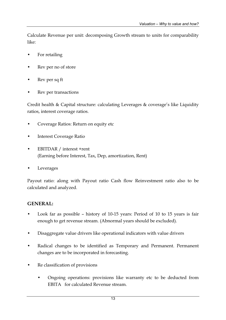Calculate Revenue per unit: decomposing Growth stream to units for comparability like:

- For retailing
- Rev per no of store
- Rev per sq ft
- Rev per transactions

Credit health & Capital structure: calculating Leverages & coverage's like Liquidity ratios, interest coverage ratios.

- Coverage Ratios: Return on equity etc
- **Interest Coverage Ratio**
- EBITDAR / interest +rent (Earning before Interest, Tax, Dep, amortization, Rent)
- **Leverages**

Payout ratio: along with Payout ratio Cash flow Reinvestment ratio also to be calculated and analyzed.

#### **GENERAL:**

- Look far as possible history of 10-15 years: Period of 10 to 15 years is fair enough to get revenue stream. (Abnormal years should be excluded).
- Disaggregate value drivers like operational indicators with value drivers
- Radical changes to be identified as Temporary and Permanent. Permanent changes are to be incorporated in forecasting.
- Re classification of provisions
	- Ongoing operations: provisions like warranty etc to be deducted from EBITA for calculated Revenue stream.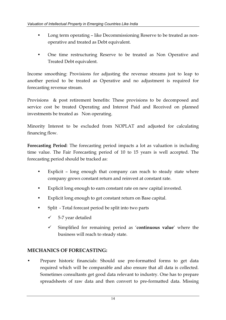- Long term operating like Decommissioning Reserve to be treated as nonoperative and treated as Debt equivalent.
- One time restructuring Reserve to be treated as Non Operative and Treated Debt equivalent.

Income smoothing: Provisions for adjusting the revenue streams just to leap to another period to be treated as Operative and no adjustment is required for forecasting revenue stream.

Provisions & post retirement benefits: These provisions to be decomposed and service cost be treated Operating and Interest Paid and Received on planned investments be treated as Non operating.

Minority Interest to be excluded from NOPLAT and adjusted for calculating financing flow.

**Forecasting Period**: The forecasting period impacts a lot as valuation is including time value. The Fair Forecasting period of 10 to 15 years is well accepted. The forecasting period should be tracked as:

- Explicit long enough that company can reach to steady state where company grows constant return and reinvest at constant rate.
- Explicit long enough to earn constant rate on new capital invested.
- Explicit long enough to get constant return on Base capital.
- Split Total forecast period be split into two parts
	- $\checkmark$  5-7 year detailed
	- 9 Simplified for remaining period as '**continuous value**' where the business will reach to steady state.

#### **MECHANICS OF FORECASTING:**

Prepare historic financials: Should use pre-formatted forms to get data required which will be comparable and also ensure that all data is collected. Sometimes consultants get good data relevant to industry. One has to prepare spreadsheets of raw data and then convert to pre-formatted data. Missing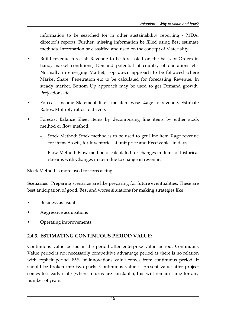information to be searched for in other sustainability reporting - MDA, director's reports. Further, missing information be filled using Best estimate methods. Information be classified and used on the concept of Materiality.

- Build revenue forecast: Revenue to be forecasted on the basis of Orders in hand, market conditions, Demand potential of country of operations etc. Normally in emerging Market, Top down approach to be followed where Market Share, Penetration etc to be calculated for forecasting Revenue. In steady market, Bottom Up approach may be used to get Demand growth, Projections etc.
- Forecast Income Statement like Line item wise %age to revenue, Estimate Ratios, Multiply ratios to drivers
- Forecast Balance Sheet items by decomposing line items by either stock method or flow method.
	- Stock Method: Stock method is to be used to get Line item %age revenue for items Assets, for Inventories at unit price and Receivables in days
	- Flow Method: Flow method is calculated for changes in items of historical streams with Changes in item due to change in revenue.

Stock Method is more used for forecasting.

**Scenarios:** Preparing scenarios are like preparing for future eventualities. These are best anticipation of good, Best and worse situations for making strategies like

- Business as usual
- Aggressive acquisitions
- Operating improvements,

#### **2.4.3. ESTIMATING CONTINUOUS PERIOD VALUE:**

Continuous value period is the period after enterprise value period. Continuous Value period is not necessarily competitive advantage period as there is no relation with explicit period. 85% of innovations value comes from continuous period. It should be broken into two parts. Continuous value is present value after project comes to steady state (where returns are constants), this will remain same for any number of years.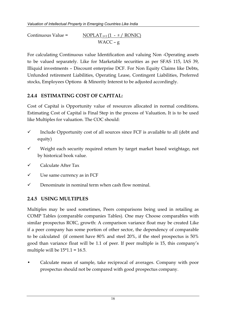Continuous Value =  $\qquad \qquad \text{NOPLAT}_{t+1} (1 - \varepsilon / \text{RONIC})$ WACC – g

For calculating Continuous value Identification and valuing Non -Operating assets to be valued separately. Like for Marketable securities as per SFAS 115, IAS 39, Illiquid investments – Discount enterprise DCF. For Non Equity Claims like Debts, Unfunded retirement Liabilities, Operating Lease, Contingent Liabilities, Preferred stocks, Employees Options & Minority Interest to be adjusted accordingly.

## **2.4.4 ESTIMATING COST OF CAPITAL:**

Cost of Capital is Opportunity value of resources allocated in normal conditions**.** Estimating Cost of Capital is Final Step in the process of Valuation**.** It is to be used like Multiples for valuation. The COC should:

- $\checkmark$  Include Opportunity cost of all sources since FCF is available to all (debt and equity)
- $\checkmark$  Weight each security required return by target market based weightage, not by historical book value.
- $\checkmark$  Calculate After Tax
- $\checkmark$  Use same currency as in FCF
- $\checkmark$  Denominate in nominal term when cash flow nominal.

## **2.4.5 USING MULTIPLES**

Multiples may be used sometimes, Peers comparisons being used in retailing as COMP Tables (comparable companies Tables). One may Choose comparables with similar prospectus ROIC, growth: A comparison variance float may be created Like if a peer company has some portion of other sector, the dependency of comparable to be calculated (if cement have 80% and steel 20%, if the steel prospectus is 50% good than variance float will be 1.1 of peer. If peer multiple is 15, this company's multiple will be  $15*1.1 = 16.5$ .

• Calculate mean of sample, take reciprocal of averages. Company with poor prospectus should not be compared with good prospectus company.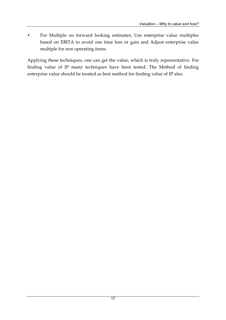• For Multiple on forward looking estimates, Use enterprise value multiples based on EBITA to avoid one time loss or gain and Adjust enterprise value multiple for non operating items

Applying these techniques, one can get the value, which is truly representative. For finding value of IP many techniques have been tested. The Method of finding enterprise value should be treated as best method for finding value of IP also.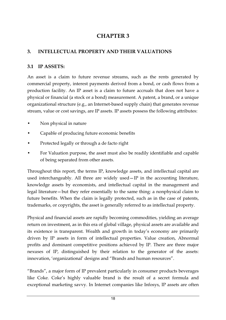## **CHAPTER 3**

## **3. INTELLECTUAL PROPERTY AND THEIR VALUATIONS**

#### **3.1 IP ASSETS:**

An asset is a claim to future revenue streams, such as the rents generated by commercial property, interest payments derived from a bond, or cash flows from a production facility. An IP asset is a claim to future accruals that does not have a physical or financial (a stock or a bond) measurement. A patent, a brand, or a unique organizational structure (e.g., an Internet-based supply chain) that generates revenue stream, value or cost savings, are IP assets. IP assets possess the following attributes:

- Non physical in nature
- Capable of producing future economic benefits
- Protected legally or through a de facto right
- For Valuation purpose, the asset must also be readily identifiable and capable of being separated from other assets.

Throughout this report, the terms IP, knowledge assets, and intellectual capital are used interchangeably. All three are widely used—IP in the accounting literature, knowledge assets by economists, and intellectual capital in the management and legal literature—but they refer essentially to the same thing: a nonphysical claim to future benefits. When the claim is legally protected, such as in the case of patents, trademarks, or copyrights, the asset is generally referred to as intellectual property.

Physical and financial assets are rapidly becoming commodities, yielding an average return on investment, as in this era of global village, physical assets are available and its existence is transparent. Wealth and growth in today's economy are primarily driven by IP assets in form of intellectual properties. Value creation, Abnormal profits and dominant competitive positions achieved by IP. There are three major nexuses of IP, distinguished by their relation to the generator of the assets: innovation, 'organizational' designs and "Brands and human resources".

"Brands", a major form of IP prevalent particularly in consumer products beverages like Coke. Coke's highly valuable brand is the result of a secret formula and exceptional marketing savvy. In Internet companies like Infosys, IP assets are often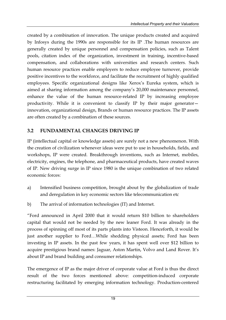created by a combination of innovation. The unique products created and acquired by Infosys during the 1990s are responsible for its IP .The human resources are generally created by unique personnel and compensation policies, such as Talent pools, citation index of the organization, investment in training, incentive-based compensation, and collaborations with universities and research centers. Such human resource practices enable employers to reduce employee turnover, provide positive incentives to the workforce, and facilitate the recruitment of highly qualified employees. Specific organizational designs like Xerox's Eureka system, which is aimed at sharing information among the company's 20,000 maintenance personnel, enhance the value of the human resource-related IP by increasing employee productivity. While it is convenient to classify IP by their major generator innovation, organizational design, Brands or human resource practices. The IP assets are often created by a combination of these sources.

## **3.2 FUNDAMENTAL CHANGES DRIVING IP**

IP (intellectual capital or knowledge assets) are surely not a new phenomenon. With the creation of civilization whenever ideas were put to use in households, fields, and workshops, IP were created. Breakthrough inventions, such as Internet, mobiles, electricity, engines, the telephone, and pharmaceutical products, have created waves of IP. New driving surge in IP since 1980 is the unique combination of two related economic forces:

- a) Intensified business competition, brought about by the globalization of trade and deregulation in key economic sectors like telecommunication etc
- b) The arrival of information technologies (IT) and Internet.

"Ford announced in April 2000 that it would return \$10 billion to shareholders capital that would not be needed by the new leaner Ford. It was already in the process of spinning off most of its parts plants into Visteon. Henceforth, it would be just another supplier to Ford…While shedding physical assets; Ford has been investing in IP assets. In the past few years, it has spent well over \$12 billion to acquire prestigious brand names: Jaguar, Aston Martin, Volvo and Land Rover. It's about IP and brand building and consumer relationships.

The emergence of IP as the major driver of corporate value at Ford is thus the direct result of the two forces mentioned above: competition-induced corporate restructuring facilitated by emerging information technology. Production-centered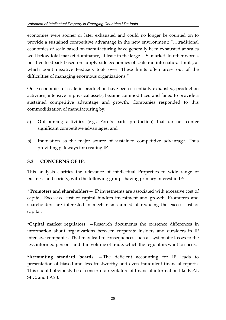economies were sooner or later exhausted and could no longer be counted on to provide a sustained competitive advantage in the new environment: "…traditional economies of scale based on manufacturing have generally been exhausted at scales well below total market dominance, at least in the large U.S. market. In other words, positive feedback based on supply-side economies of scale ran into natural limits, at which point negative feedback took over. These limits often arose out of the difficulties of managing enormous organizations."

Once economies of scale in production have been essentially exhausted, production activities, intensive in physical assets, became commoditized and failed to provide a sustained competitive advantage and growth. Companies responded to this commoditization of manufacturing by:

- a) **O**utsourcing activities (e.g., Ford's parts production) that do not confer significant competitive advantages, and
- b) **I**nnovation as the major source of sustained competitive advantage. Thus providing gateways for creating IP.

#### **3.3 CONCERNS OF IP:**

This analysis clarifies the relevance of intellectual Properties to wide range of business and society, with the following groups having primary interest in IP:

\* **Promoters and shareholders**— IP investments are associated with excessive cost of capital. Excessive cost of capital hinders investment and growth. Promoters and shareholders are interested in mechanisms aimed at reducing the excess cost of capital.

\***Capital market regulators**. —Research documents the existence differences in information about organizations between corporate insiders and outsiders in IP intensive companies. That may lead to consequences such as systematic losses to the less informed persons and thin volume of trade, which the regulators want to check.

\***Accounting standard boards**. —The deficient accounting for IP leads to presentation of biased and less trustworthy and even fraudulent financial reports. This should obviously be of concern to regulators of financial information like ICAI, SEC, and FASB.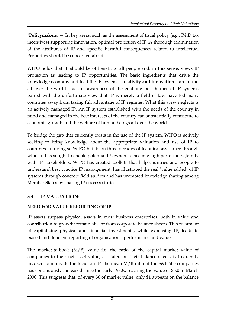\***Policymaker**s. — In key areas, such as the assessment of fiscal policy (e.g., R&D tax incentives) supporting innovation, optimal protection of IP .A thorough examination of the attributes of IP and specific harmful consequences related to intellectual Properties should be concerned about.

WIPO holds that IP should be of benefit to all people and, in this sense, views IP protection as leading to IP opportunities. The basic ingredients that drive the knowledge economy and feed the IP system – **creativity and innovation** – are found all over the world. Lack of awareness of the enabling possibilities of IP systems paired with the unfortunate view that IP is merely a field of law have led many countries away from taking full advantage of IP regimes. What this view neglects is an actively managed IP. An IP system established with the needs of the country in mind and managed in the best interests of the country can substantially contribute to economic growth and the welfare of human beings all over the world.

To bridge the gap that currently exists in the use of the IP system, WIPO is actively seeking to bring knowledge about the appropriate valuation and use of IP to countries. In doing so WIPO builds on three decades of technical assistance through which it has sought to enable potential IP owners to become high performers. Jointly with IP stakeholders, WIPO has created toolkits that help countries and people to understand best practice IP management, has illustrated the real 'value added' of IP systems through concrete field studies and has promoted knowledge sharing among Member States by sharing IP success stories.

### **3.4 IP VALUATION:**

#### **NEED FOR VALUE REPORTING OF IP**

IP assets surpass physical assets in most business enterprises, both in value and contribution to growth; remain absent from corporate balance sheets. This treatment of capitalizing physical and financial investments, while expensing IP, leads to biased and deficient reporting of organisations' performance and value.

The market-to-book (M/B) value i.e. the ratio of the capital market value of companies to their net asset value, as stated on their balance sheets is frequently invoked to motivate the focus on IP. the mean M/B ratio of the S&P 500 companies has continuously increased since the early 1980s, reaching the value of \$6.0 in March 2000. This suggests that, of every \$6 of market value, only \$1 appears on the balance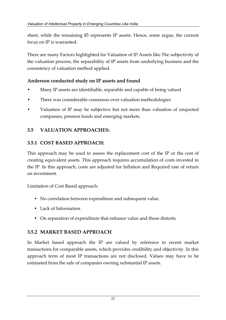sheet, while the remaining \$5 represents IP assets. Hence, some argue, the current focus on IP is warranted.

There are many Factors highlighted for Valuation of IP Assets like The subjectivity of the valuation process, the separability of IP assets from underlying business and the consistency of valuation method applied.

#### **Anderson conducted study on IP assets and found**

- Many IP assets are identifiable, separable and capable of being valued
- There was considerable consensus over valuation methodologies
- Valuation of IP may be subjective but not more than valuation of unquoted companies, pension funds and emerging markets.

### **3.5 VALUATION APPROACHES:**

#### **3.5.1 COST BASED APPROACH:**

This approach may be used to assess the replacement cost of the IP or the cost of creating equivalent assets. This approach requires accumulation of costs invested in the IP. In this approach, costs are adjusted for Inflation and Required rate of return on investment.

Limitation of Cost Based approach:

- No correlation between expenditure and subsequent value.
- Lack of Information
- On separation of expenditure that enhance value and those distorts

### **3.5.2 MARKET BASED APPROACH**

In Market based approach the IP are valued by reference to recent market transactions for comparable assets, which provides credibility and objectivity. In this approach term of most IP transactions are not disclosed. Values may have to be estimated from the sale of companies owning substantial IP assets.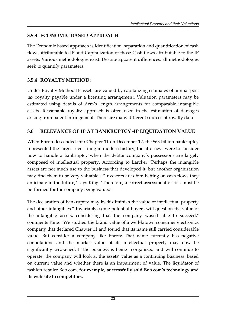## **3.5.3 ECONOMIC BASED APPROACH:**

The Economic based approach is Identification, separation and quantification of cash flows attributable to IP and Capitalization of those Cash flows attributable to the IP assets. Various methodologies exist. Despite apparent differences, all methodologies seek to quantify parameters.

## **3.5.4 ROYALTY METHOD:**

Under Royalty Method IP assets are valued by capitalizing estimates of annual post tax royalty payable under a licensing arrangement. Valuation parameters may be estimated using details of Arm's length arrangements for comparable intangible assets. Reasonable royalty approach is often used in the estimation of damages arising from patent infringement. There are many different sources of royalty data.

## **3.6 RELEVANCE OF IP AT BANKRUPTCY -IP LIQUIDATION VALUE**

When Enron descended into Chapter 11 on December 12, the \$63 billion bankruptcy represented the largest-ever filing in modern history; the attorneys were to consider how to handle a bankruptcy when the debtor company's possessions are largely composed of intellectual property. According to Larcker "Perhaps the intangible assets are not much use to the business that developed it, but another organisation may find them to be very valuable." "Investors are often betting on cash flows they anticipate in the future," says King. "Therefore, a correct assessment of risk must be performed for the company being valued."

The declaration of bankruptcy may itself diminish the value of intellectual property and other intangibles." Invariably, some potential buyers will question the value of the intangible assets, considering that the company wasn't able to succeed," comments King. "We studied the brand value of a well-known consumer electronics company that declared Chapter 11 and found that its name still carried considerable value. But consider a company like Enron: That name currently has negative connotations and the market value of its intellectual property may now be significantly weakened. If the business is being reorganized and will continue to operate, the company will look at the assets' value as a continuing business, based on current value and whether there is an impairment of value. The liquidator of fashion retailer Boo.com, **for example, successfully sold Boo.com's technology and its web site to competitors.**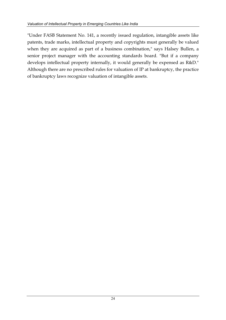"Under FASB Statement No. 141, a recently issued regulation, intangible assets like patents, trade marks, intellectual property and copyrights must generally be valued when they are acquired as part of a business combination," says Halsey Bullen, a senior project manager with the accounting standards board. "But if a company develops intellectual property internally, it would generally be expensed as R&D." Although there are no prescribed rules for valuation of IP at bankruptcy, the practice of bankruptcy laws recognize valuation of intangible assets.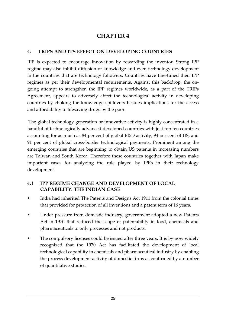# **CHAPTER 4**

### **4. TRIPS AND ITS EFFECT ON DEVELOPING COUNTRIES**

IPP is expected to encourage innovation by rewarding the inventor. Strong IPP regime may also inhibit diffusion of knowledge and even technology development in the countries that are technology followers. Countries have fine-tuned their IPP regimes as per their developmental requirements. Against this backdrop, the ongoing attempt to strengthen the IPP regimes worldwide, as a part of the TRIPs Agreement, appears to adversely affect the technological activity in developing countries by choking the knowledge spillovers besides implications for the access and affordability to lifesaving drugs by the poor.

The global technology generation or innovative activity is highly concentrated in a handful of technologically advanced developed countries with just top ten countries accounting for as much as 84 per cent of global R&D activity, 94 per cent of US, and 91 per cent of global cross-border technological payments. Prominent among the emerging countries that are beginning to obtain US patents in increasing numbers are Taiwan and South Korea. Therefore these countries together with Japan make important cases for analyzing the role played by IPRs in their technology development.

### **4.1 IPP REGIME CHANGE AND DEVELOPMENT OF LOCAL CAPABILITY: THE INDIAN CASE**

- India had inherited The Patents and Designs Act 1911 from the colonial times that provided for protection of all inventions and a patent term of 16 years.
- Under pressure from domestic industry, government adopted a new Patents Act in 1970 that reduced the scope of patentability in food, chemicals and pharmaceuticals to only processes and not products.
- The compulsory licenses could be issued after three years. It is by now widely recognized that the 1970 Act has facilitated the development of local technological capability in chemicals and pharmaceutical industry by enabling the process development activity of domestic firms as confirmed by a number of quantitative studies.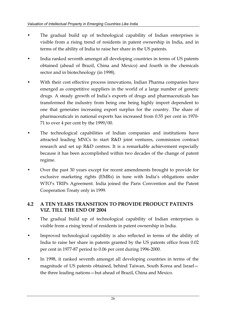- The gradual build up of technological capability of Indian enterprises is visible from a rising trend of residents in patent ownership in India, and in terms of the ability of India to raise her share in the US patents.
- India ranked seventh amongst all developing countries in terms of US patents obtained (ahead of Brazil, China and Mexico) and fourth in the chemicals sector and in biotechnology (in 1998).
- With their cost effective process innovations, Indian Pharma companies have emerged as competitive suppliers in the world of a large number of generic drugs. A steady growth of India's exports of drugs and pharmaceuticals has transformed the industry from being one being highly import dependent to one that generates increasing export surplus for the country. The share of pharmaceuticals in national exports has increased from 0.55 per cent in 1970- 71 to over 4 per cent by the 1999/00.
- The technological capabilities of Indian companies and institutions have attracted leading MNCs to start R&D joint ventures, commission contract research and set up R&D centres. It is a remarkable achievement especially because it has been accomplished within two decades of the change of patent regime.
- Over the past 30 years except for recent amendments brought to provide for exclusive marketing rights (EMRs) in tune with India's obligations under WTO's TRIPs Agreement. India joined the Paris Convention and the Patent Cooperation Treaty only in 1999.

### **4.2 A TEN YEARS TRANSITION TO PROVIDE PRODUCT PATENTS VIZ. TILL THE END OF 2004**

- The gradual build up of technological capability of Indian enterprises is visible from a rising trend of residents in patent ownership in India.
- Improved technological capability is also reflected in terms of the ability of India to raise her share in patents granted by the US patents office from 0.02 per cent in 1977-87 period to 0.06 per cent during 1996-2000.
- In 1998, it ranked seventh amongst all developing countries in terms of the magnitude of US patents obtained, behind Taiwan, South Korea and Israel the three leading nations—but ahead of Brazil, China and Mexico.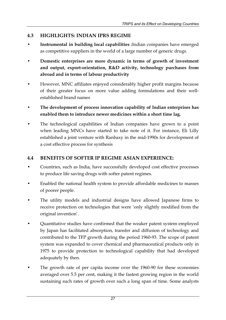## **4.3 HIGHLIGHTS: INDIAN IPRS REGIME**

- **Instrumental in building local capabilities :**Indian companies have emerged as competitive suppliers in the world of a large number of generic drugs.
- **Domestic enterprises are more dynamic in terms of growth of investment and output, export-orientation, R&D activity, technology purchases from abroad and in terms of labour productivity**
- However, MNC affiliates enjoyed considerably higher profit margins because of their greater focus on more value adding formulations and their wellestablished brand names
- **The development of process innovation capability of Indian enterprises has enabled them to introduce newer medicines within a short time lag.**
- The technological capabilities of Indian companies have grown to a point when leading MNCs have started to take note of it. For instance, Eli Lilly established a joint venture with Ranbaxy in the mid-1990s for development of a cost effective process for synthesis

## **4.4 BENEFITS OF SOFTER IP REGIME ASIAN EXPERIENCE:**

- Countries, such as India, have successfully developed cost effective processes to produce life saving drugs with softer patent regimes.
- Enabled the national health system to provide affordable medicines to masses of poorer people.
- The utility models and industrial designs have allowed Japanese firms to receive protection on technologies that were 'only slightly modified from the original invention'.
- Quantitative studies have confirmed that the weaker patent system employed by Japan has facilitated absorption, transfer and diffusion of technology and contributed to the TFP growth during the period 1960-93. The scope of patent system was expanded to cover chemical and pharmaceutical products only in 1975 to provide protection to technological capability that had developed adequately by then.
- The growth rate of per capita income over the 1960-90 for these economies averaged over 5.5 per cent, making it the fastest growing region in the world sustaining such rates of growth over such a long span of time. Some analysts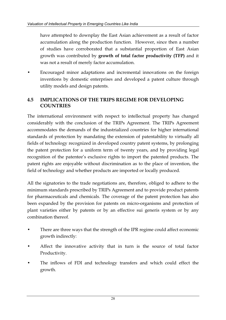have attempted to downplay the East Asian achievement as a result of factor accumulation along the production function. However, since then a number of studies have corroborated that a substantial proportion of East Asian growth was contributed by **growth of total factor productivity (TFP)** and it was not a result of merely factor accumulation.

• Encouraged minor adaptations and incremental innovations on the foreign inventions by domestic enterprises and developed a patent culture through utility models and design patents.

### **4.5 IMPLICATIONS OF THE TRIPS REGIME FOR DEVELOPING COUNTRIES**

The international environment with respect to intellectual property has changed considerably with the conclusion of the TRIPs Agreement. The TRIPs Agreement accommodates the demands of the industrialized countries for higher international standards of protection by mandating the extension of patentability to virtually all fields of technology recognized in developed country patent systems, by prolonging the patent protection for a uniform term of twenty years, and by providing legal recognition of the patentee's exclusive rights to import the patented products. The patent rights are enjoyable without discrimination as to the place of invention, the field of technology and whether products are imported or locally produced.

All the signatories to the trade negotiations are, therefore, obliged to adhere to the minimum standards prescribed by TRIPs Agreement and to provide product patents for pharmaceuticals and chemicals. The coverage of the patent protection has also been expanded by the provision for patents on micro-organisms and protection of plant varieties either by patents or by an effective sui generis system or by any combination thereof.

- There are three ways that the strength of the IPR regime could affect economic growth indirectly:
- Affect the innovative activity that in turn is the source of total factor Productivity.
- The inflows of FDI and technology transfers and which could effect the growth.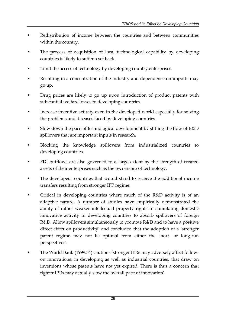- Redistribution of income between the countries and between communities within the country.
- The process of acquisition of local technological capability by developing countries is likely to suffer a set back.
- Limit the access of technology by developing country enterprises.
- Resulting in a concentration of the industry and dependence on imports may go up.
- Drug prices are likely to go up upon introduction of product patents with substantial welfare losses to developing countries.
- Increase inventive activity even in the developed world especially for solving the problems and diseases faced by developing countries.
- Slow down the pace of technological development by stifling the flow of R&D spillovers that are important inputs in research.
- Blocking the knowledge spillovers from industrialized countries to developing countries.
- FDI outflows are also governed to a large extent by the strength of created assets of their enterprises such as the ownership of technology.
- The developed countries that would stand to receive the additional income transfers resulting from stronger IPP regime.
- Critical in developing countries where much of the R&D activity is of an adaptive nature. A number of studies have empirically demonstrated the ability of rather weaker intellectual property rights in stimulating domestic innovative activity in developing countries to absorb spillovers of foreign R&D. Allow spillovers simultaneously to promote R&D and to have a positive direct effect on productivity' and concluded that the adoption of a 'stronger patent regime may not be optimal from either the short- or long-run perspectives'.
- The World Bank (1999:34) cautions 'stronger IPRs may adversely affect followon innovations, in developing as well as industrial countries, that draw on inventions whose patents have not yet expired. There is thus a concern that tighter IPRs may actually slow the overall pace of innovation'.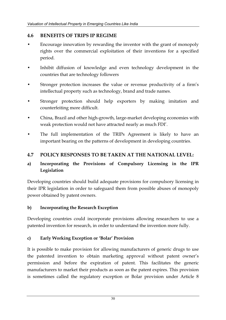### **4.6 BENEFITS OF TRIPS IP REGIME**

- Encourage innovation by rewarding the inventor with the grant of monopoly rights over the commercial exploitation of their inventions for a specified period.
- Inhibit diffusion of knowledge and even technology development in the countries that are technology followers
- Stronger protection increases the value or revenue productivity of a firm's intellectual property such as technology, brand and trade names.
- Stronger protection should help exporters by making imitation and counterfeiting more difficult.
- China, Brazil and other high-growth, large-market developing economies with weak protection would not have attracted nearly as much FDI'.
- The full implementation of the TRIPs Agreement is likely to have an important bearing on the patterns of development in developing countries.

### **4.7 POLICY RESPONSES TO BE TAKEN AT THE NATIONAL LEVEL:**

### **a) Incorporating the Provisions of Compulsory Licensing in the IPR Legislation**

Developing countries should build adequate provisions for compulsory licensing in their IPR legislation in order to safeguard them from possible abuses of monopoly power obtained by patent owners.

### **b) Incorporating the Research Exception**

Developing countries could incorporate provisions allowing researchers to use a patented invention for research, in order to understand the invention more fully.

### **c) Early Working Exception or 'Bolar' Provision**

It is possible to make provision for allowing manufacturers of generic drugs to use the patented invention to obtain marketing approval without patent owner's permission and before the expiration of patent. This facilitates the generic manufacturers to market their products as soon as the patent expires. This provision is sometimes called the regulatory exception or Bolar provision under Article 8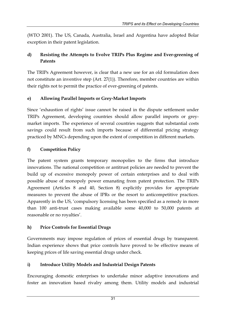(WTO 2001). The US, Canada, Australia, Israel and Argentina have adopted Bolar exception in their patent legislation.

### **d) Resisting the Attempts to Evolve TRIPs Plus Regime and Ever-greening of Patents**

The TRIPs Agreement however, is clear that a new use for an old formulation does not constitute an inventive step (Art. 27(1)). Therefore, member countries are within their rights not to permit the practice of ever-greening of patents.

### **e) Allowing Parallel Imports or Grey-Market Imports**

Since 'exhaustion of rights' issue cannot be raised in the dispute settlement under TRIPs Agreement, developing countries should allow parallel imports or greymarket imports. The experience of several countries suggests that substantial costs savings could result from such imports because of differential pricing strategy practiced by MNCs depending upon the extent of competition in different markets.

## **f) Competition Policy**

The patent system grants temporary monopolies to the firms that introduce innovations. The national competition or antitrust policies are needed to prevent the build up of excessive monopoly power of certain enterprises and to deal with possible abuse of monopoly power emanating from patent protection. The TRIPs Agreement (Articles 8 and 40, Section 8) explicitly provides for appropriate measures to prevent the abuse of IPRs or the resort to anticompetitive practices. Apparently in the US, 'compulsory licensing has been specified as a remedy in more than 100 anti-trust cases making available some 40,000 to 50,000 patents at reasonable or no royalties'.

### **h) Price Controls for Essential Drugs**

Governments may impose regulation of prices of essential drugs by transparent. Indian experience shows that price controls have proved to be effective means of keeping prices of life saving essential drugs under check.

## **i) Introduce Utility Models and Industrial Design Patents**

Encouraging domestic enterprises to undertake minor adaptive innovations and foster an innovation based rivalry among them. Utility models and industrial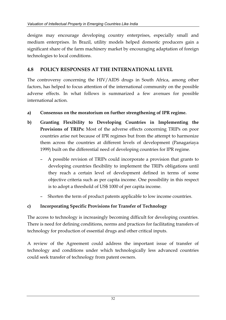designs may encourage developing country enterprises, especially small and medium enterprises. In Brazil, utility models helped domestic producers gain a significant share of the farm machinery market by encouraging adaptation of foreign technologies to local conditions.

### **4.8 POLICY RESPONSES AT THE INTERNATIONAL LEVEL**

The controversy concerning the HIV/AIDS drugs in South Africa, among other factors, has helped to focus attention of the international community on the possible adverse effects. In what follows is summarized a few avenues for possible international action.

### **a) Consensus on the moratorium on further strengthening of IPR regime.**

- **b) Granting Flexibility to Developing Countries in Implementing the Provisions of TRIPs:** Most of the adverse effects concerning TRIPs on poor countries arise not because of IPR regimes but from the attempt to harmonize them across the countries at different levels of development (Panagariaya 1999) built on the differential need of developing countries for IPR regime.
	- A possible revision of TRIPs could incorporate a provision that grants to developing countries flexibility to implement the TRIPs obligations until they reach a certain level of development defined in terms of some objective criteria such as per capita income. One possibility in this respect is to adopt a threshold of US\$ 1000 of per capita income.
	- Shorten the term of product patents applicable to low income countries.

### **c) Incorporating Specific Provisions for Transfer of Technology**

The access to technology is increasingly becoming difficult for developing countries. There is need for defining conditions, norms and practices for facilitating transfers of technology for production of essential drugs and other critical inputs.

A review of the Agreement could address the important issue of transfer of technology and conditions under which technologically less advanced countries could seek transfer of technology from patent owners.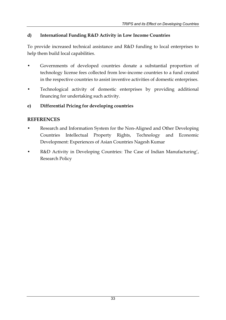### **d) International Funding R&D Activity in Low Income Countries**

To provide increased technical assistance and R&D funding to local enterprises to help them build local capabilities.

- Governments of developed countries donate a substantial proportion of technology license fees collected from low-income countries to a fund created in the respective countries to assist inventive activities of domestic enterprises.
- Technological activity of domestic enterprises by providing additional financing for undertaking such activity.

### **e) Differential Pricing for developing countries**

### **REFERENCES**

- Research and Information System for the Non-Aligned and Other Developing Countries Intellectual Property Rights, Technology and Economic Development: Experiences of Asian Countries Nagesh Kumar
- R&D Activity in Developing Countries: The Case of Indian Manufacturing', Research Policy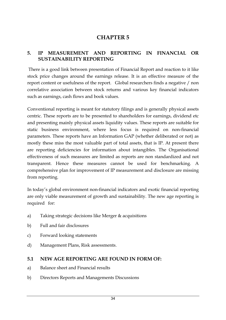# **CHAPTER 5**

### **5. IP MEASUREMENT AND REPORTING IN FINANCIAL OR SUSTAINABILITY REPORTING**

 There is a good link between presentation of Financial Report and reaction to it like stock price changes around the earnings release. It is an effective measure of the report content or usefulness of the report. Global researchers finds a negative / non correlative association between stock returns and various key financial indicators such as earnings, cash flows and book values.

Conventional reporting is meant for statutory filings and is generally physical assets centric. These reports are to be presented to shareholders for earnings, dividend etc and presenting mainly physical assets liquidity values. These reports are suitable for static business environment, where less focus is required on non-financial parameters. These reports have an Information GAP (whether deliberated or not) as mostly these miss the most valuable part of total assets, that is IP. At present there are reporting deficiencies for information about intangibles. The Organisational effectiveness of such measures are limited as reports are non standardized and not transparent. Hence these measures cannot be used for benchmarking. A comprehensive plan for improvement of IP measurement and disclosure are missing from reporting.

In today's global environment non-financial indicators and exotic financial reporting are only viable measurement of growth and sustainability. The new age reporting is required for:

- a) Taking strategic decisions like Merger & acquisitions
- b) Full and fair disclosures
- c) Forward looking statements
- d) Management Plans, Risk assessments.

### **5.1 NEW AGE REPORTING ARE FOUND IN FORM OF:**

- a) Balance sheet and Financial results
- b) Directors Reports and Managements Discussions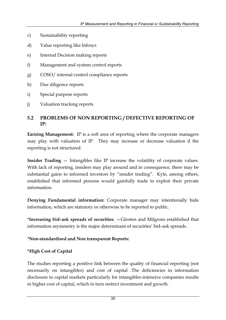- c) Sustainability reporting
- d) Value reporting like Infosys
- e) Internal Decision making reports
- f) Management and system control reports
- g) COSO/ internal control compliance reports
- h) Due diligence reports
- i) Special purpose reports
- j) Valuation tracking reports

### **5.2 PROBLEMS OF NON REPORTING / DEFECTIVE REPORTING OF IP:**

**Earning Management:** IP is a soft area of reporting where the corporate managers may play with valuation of IP. They may increase or decrease valuation if the reporting is not structured.

**Insider Trading –** Intangibles like IP increase the volatility of corporate values. With lack of reporting, insiders may play around and in consequence, there may be substantial gains to informed investors by "insider trading". Kyle, among others, established that informed persons would gainfully trade to exploit their private information.

**Denying Fundamental information:** Corporate manager may intentionally hide information, which are statutory or otherwise to be reported to public.

\***Increasing bid–ask spreads of securities**. —Glosten and Milgrom established that information asymmetry is the major determinant of securities' bid–ask spreads.

### \***Non-standardised and Non transparent Reports:**

### **\*High Cost of Capital**

The studies reporting a positive link between the quality of financial reporting (not necessarily on intangibles) and cost of capital .The deficiencies in information disclosure to capital markets particularly for intangibles-intensive companies results in higher cost of capital, which in turn restrict investment and growth.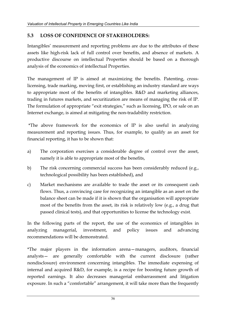## **5.3 LOSS OF CONFIDENCE OF STAKEHOLDERS:**

Intangibles' measurement and reporting problems are due to the attributes of these assets like high-risk lack of full control over benefits, and absence of markets. A productive discourse on intellectual Properties should be based on a thorough analysis of the economics of intellectual Properties.

The management of IP is aimed at maximizing the benefits. Patenting, crosslicensing, trade marking, moving first, or establishing an industry standard are ways to appropriate most of the benefits of intangibles. R&D and marketing alliances, trading in futures markets, and securitization are means of managing the risk of IP. The formulation of appropriate "exit strategies," such as licensing, IPO, or sale on an Internet exchange, is aimed at mitigating the non-tradability restriction.

 \*The above framework for the economics of IP is also useful in analyzing measurement and reporting issues. Thus, for example, to qualify as an asset for financial reporting, it has to be shown that:

- a) The corporation exercises a considerable degree of control over the asset, namely it is able to appropriate most of the benefits,
- b) The risk concerning commercial success has been considerably reduced (e.g., technological possibility has been established), and
- c) Market mechanisms are available to trade the asset or its consequent cash flows. Thus, a convincing case for recognizing an intangible as an asset on the balance sheet can be made if it is shown that the organisation will appropriate most of the benefits from the asset, its risk is relatively low (e.g., a drug that passed clinical tests), and that opportunities to license the technology exist.

In the following parts of the report, the use of the economics of intangibles in analyzing managerial, investment, and policy issues and advancing recommendations will be demonstrated.

\*The major players in the information arena—managers, auditors, financial analysts— are generally comfortable with the current disclosure (rather nondisclosure) environment concerning intangibles. The immediate expensing of internal and acquired R&D, for example, is a recipe for boosting future growth of reported earnings. It also decreases managerial embarrassment and litigation exposure. In such a "comfortable" arrangement, it will take more than the frequently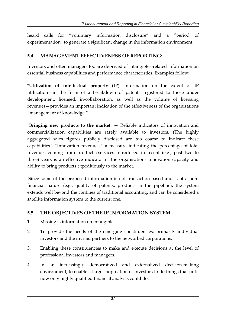heard calls for "voluntary information disclosure" and a "period of experimentation" to generate a significant change in the information environment.

## **5.4 MANAGEMENT EFFECTIVENESS OF REPORTING:**

Investors and often managers too are deprived of intangibles-related information on essential business capabilities and performance characteristics. Examples follow:

\***Utilization of intellectual property (IP**). Information on the extent of IP utilization—in the form of a breakdown of patents registered to those under development, licensed, in-collaboration, as well as the volume of licensing revenues—provides an important indication of the effectiveness of the organisations "management of knowledge."

\***Bringing new products to the market. —** Reliable indicators of innovation and commercialization capabilities are rarely available to investors. (The highly aggregated sales figures publicly disclosed are too coarse to indicate these capabilities.) "Innovation revenues," a measure indicating the percentage of total revenues coming from products/services introduced in recent (e.g., past two to three) years is an effective indicator of the organisations innovation capacity and ability to bring products expeditiously to the market.

 Since some of the proposed information is not transaction-based and is of a nonfinancial nature (e.g., quality of patents, products in the pipeline), the system extends well beyond the confines of traditional accounting, and can be considered a satellite information system to the current one.

## **5.5 THE OBJECTIVES OF THE IP INFORMATION SYSTEM**

- 1. Missing is information on intangibles.
- 2. To provide the needs of the emerging constituencies: primarily individual investors and the myriad partners to the networked corporations,
- 3. Enabling these constituencies to make and execute decisions at the level of professional investors and managers.
- 4. In an increasingly democratized and externalized decision-making environment, to enable a larger population of investors to do things that until now only highly qualified financial analysts could do.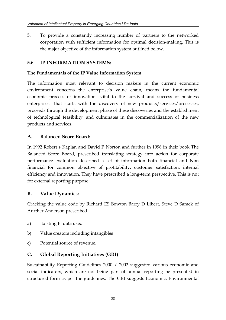5. To provide a constantly increasing number of partners to the networked corporation with sufficient information for optimal decision-making. This is the major objective of the information system outlined below.

### **5.6 IP INFORMATION SYSTEMS:**

### **The Fundamentals of the IP Value Information System**

The information most relevant to decision makers in the current economic environment concerns the enterprise's value chain, means the fundamental economic process of innovation—vital to the survival and success of business enterprises—that starts with the discovery of new products/services/processes, proceeds through the development phase of these discoveries and the establishment of technological feasibility, and culminates in the commercialization of the new products and services.

### **A. Balanced Score Board:**

In 1992 Robert s Kaplan and David P Norton and further in 1996 in their book The Balanced Score Board, prescribed translating strategy into action for corporate performance evaluation described a set of information both financial and Non financial for common objective of profitability, customer satisfaction, internal efficiency and innovation. They have prescribed a long-term perspective. This is not for external reporting purpose.

### **B. Value Dynamics:**

Cracking the value code by Richard ES Bowton Barry D Libert, Steve D Samek of Aurther Anderson prescribed

- a) Existing FI data used
- b) Value creators including intangibles
- c) Potential source of revenue.

### **C. Global Reporting Initiatives (GRI)**

Sustainability Reporting Guidelines 2000 / 2002 suggested various economic and social indicators, which are not being part of annual reporting be presented in structured form as per the guidelines. The GRI suggests Economic, Environmental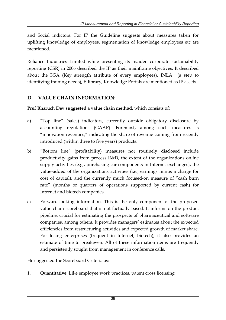and Social indictors. For IP the Guideline suggests about measures taken for uplifting knowledge of employees, segmentation of knowledge employees etc are mentioned.

Reliance Industries Limited while presenting its maiden corporate sustainability reporting (CSR) in 2006 described the IP as their mainframe objectives. It described about the KSA (Key strength attribute of every employees), INLA (a step to identifying training needs), E-library, Knowledge Portals are mentioned as IP assets.

## **D. VALUE CHAIN INFORMATION:**

### **Prof Bharuch Dev suggested a value chain method,** which consists of:

- a) "Top line" (sales) indicators, currently outside obligatory disclosure by accounting regulations (GAAP). Foremost, among such measures is "innovation revenues," indicating the share of revenue coming from recently introduced (within three to five years) products.
- b) "Bottom line" (profitability) measures not routinely disclosed include productivity gains from process R&D, the extent of the organizations online supply activities (e.g., purchasing car components in Internet exchanges), the value-added of the organizations activities (i.e., earnings minus a charge for cost of capital), and the currently much focused-on measure of "cash burn rate" (months or quarters of operations supported by current cash) for Internet and biotech companies.
- c) Forward-looking information. This is the only component of the proposed value chain scoreboard that is not factually based. It informs on the product pipeline, crucial for estimating the prospects of pharmaceutical and software companies, among others. It provides managers' estimates about the expected efficiencies from restructuring activities and expected growth of market share. For losing enterprises (frequent in Internet, biotech), it also provides an estimate of time to breakeven. All of these information items are frequently and persistently sought from management in conference calls.

He suggested the Scoreboard Criteria as:

1. **Quantitative**: Like employee work practices, patent cross licensing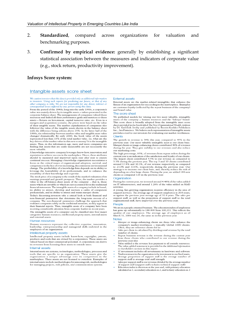- 2. **Standardized**, compared across organizations for valuation and benchmarking purposes.
- 3. **Confirmed by empirical evidence:** generally by establishing a significant statistical association between the measures and indicators of corporate value (e.g., stock return, productivity improvement).

### **Infosys Score system:**

#### Intangible assets score sheet

We caution investors that this data is provided only as additional information to investors. Using such reports for predicting our future, or that of any<br>other company, is risky. We are not responsible for any direct, indirect or consequential losses suffered by any person using this data.

From the period of the 1840s, long into the early 1990s, a corporate's<br>value was mainly driven by its tangible assets - values presented in the care was made to the managements of companies valued those<br>resources and linked all their performance goals and matrices to those<br>resources and linked all their performance goals and matrices to those assets - Return on Investment, capital tumover ratio, etc. Even in a mergers and acquisition scenario, the prices were based on the value of their tangible assets. The market capitalization of companies also followed the value of the tangible assets shown in the balance sheet with the difference being seldom above 25%. In the latter half of the 1990s, the relationship between market value and tangible asset value changed dramatically. By early 2000, the book value of the assets represented less than 15% of the total market value. So, what are the key drivers of the market value in this new economy? It is the intangible assets. Thus, in this information age, more and more companies are finding that assets that are easily measurable are not necessarily the most valuable.

A knowledge-intensive company leverages know-how, innovation and reputation to achieve success in the marketplace. Hence, these attributes reputation to achieve success in the market<br>piace. Hence, these attributes should be measured and improved upon year a<br>fore continual success. Managing a knowledge organization necessitates a<br>focus on the critical issues o campeter in the three order-three casing, accordinates can increment<br>change. The profitability of a knowledge firm depends on its ability to<br>leverage the learnability of its professionals, and to enhance the reusability of their knowledge and expertise

The stock price of a company is the result of the market's valuation of its Fig. social properties of the research of the markets vandance of the entries when earnings potential and growth prospects. Thus, the market provides a value to the off-balance-sheet assets of the company – that is, those financial statements. The intangible assets of a company include its brand, its ability to attract, develop and nurture a cadre of competent professionals, and its ability to attract and retain marqué clients.

.<br>Today's discerning investors take a critical look at both financial and lodays discerning investors take a critical look at both financial and<br>non-financial parameters that determine the long-term success of a<br>company. The non-financial parameters challenge the approach that<br>evaluates companie receiving considerable attention from corporate leaders in recent years.

The intangible assets of a company can be classified into four major categories: human resources, intellectual property assets, internal assets and external assets

#### Human resources

Human resources represent the collective expertise, innovation, readership, entrepreneurship and managerial skills endowed in the<br>employees of an organization.

#### Intellectual property assets

Intellectual property assets include know-how, copyrights, patents,<br>products and tools that are owned by a corporation. These assets are valued based on their commercial potential. A corporation can derive<br>its revenues from licensing these assets to outside users.

#### Internal assets

Internal assets are systems, technologies, methodologies, processes and tools that are specific to an organization. These assets give the organization a unique advantage over its competitors in the marketplace. These assets are not licensed to outsiders. Examples of internal assets include methodologies for assessing risk, methodologies<br>for managing projects, risk policies, and communication systems.

#### **External assets**

External assets are the market-related intangibles that enhance the<br>fitness of an organization for succeeding in the marketplace. Examples are customer loyalty (reflected by the repeat business of the company) and brand value.

#### The score sheet

We published models for valuing our two most valuable, intangible<br>assets of the company – human resources and the "Infosys" brand. above or the company and and reduced from the intensible asset score<br>sheet provided in the book titled The New Organizational Wealth, written by Dr. Karl-Erik Sveiby and published by Berrett-Koehler Publishers<br>Inc., San Francisco. We believe such representation of intangible assets provides a tool to our investors for evaluating our market-worthiness.

#### Clients

The growth in revenue is 34% this year, compared to 47% in the previous year. Our most valuable intangible asset is our client base.<br>Marqué clients or image-enhancing clients contributed 48% of revenues during the year. They give stability to our revenues and also reduce our marketing costs.

The high percentage, 95%, of revenues from repeat orders during the For the distribution of the satisfaction and loyalty of our clients.<br>The largest client contributed 4.4% to our revenue as compared to<br>5.5% during the previous year. The top 5 and 10 clients contributed 5.5% during the previous year. The top 5 and 10 clients contributed<br>around 17.8% and 30.3%, of our revenue respectively, as compared<br>to 21.0% and 33.6%, respectively, during the previous year. Our<br>strategy is to increase o clients as compared 136 in the previous year.

#### Organization

During the current year, we invested around 4.48% of the value-added on IT infrastructure, and around 1.28% of the value-added on R&D activities.

A young, fast-growing organization requires efficiency in the area of support services. The average age of support employees is 30.8 years,<br>as against the previous year average age of 31.9 years. The sales per support staff, as well as the proportion of support staff to the total organizational staff, have improved over the previous year.

#### People

We are in a people-oriented business. The education index of employees<br>has gone up substantially to 148.499 from 100,351. This reflects the quality of our employees. The average age of employees as of March 31, 2006 was 26, the same as in the previous year

#### **Notes**

- Marqué or image-enhancing clients are those who enhance the company's market-worthiness - typically Global 1000 clients.<br>Often, they are reference clients for us
- Sales per client is calculated by dividing total revenue by the total number of clients.
- Repeat business revenue is the revenue during the current year<br>from those clients who contributed to our revenue during the previous year also
- .<br>Value-added is the revenue less payment to all outside resources. The value-added statement is provided in the Additional information<br>to shareholders section in this report.
- IT investment includes all investments in hardware and software
- Total investment in the organization is the investment in our fixed assets Average proportion of support staff is the average number of support staff to average total staff strength
- Sales per support staff is our revenue divided by the average number<br>of support staff (support staff excludes technical support staff)
	-
	- Education index is shown as at the year-end, with primary education<br>calculated as 1, secondary education as 2, and tertiary education as 3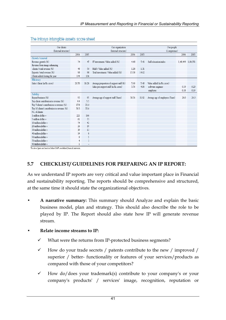| Our clients                                 |                      |                | Our organization                        |              |       | Our people                       |          |          |
|---------------------------------------------|----------------------|----------------|-----------------------------------------|--------------|-------|----------------------------------|----------|----------|
| (External structure)                        | (Internal structure) |                |                                         | (Competence) |       |                                  |          |          |
|                                             | 2006                 | 2005           |                                         | 2006         | 2005  |                                  | 2006     | 2005     |
| Growth / renewal                            |                      |                |                                         |              |       |                                  |          |          |
| Revenue growth (%)                          | 34                   | 47             | IT investment / Value added (%)         | 4.48         | 5.41  | Staff education index            | 1,48,499 | 1,00,351 |
| Revenue from image enhancing                |                      |                |                                         |              |       |                                  |          |          |
| clients / total revenue (%)                 | 48                   | 50             | R&D / Value added (%)                   | 1.28         | 1.31  |                                  |          |          |
| Exports / total revenue (%)                 | 98                   | 98             | Total investment / Value added (%)      | 13.58        | 14.62 |                                  |          |          |
| Clients added during the year               | 144                  | 136            |                                         |              |       |                                  |          |          |
| Efficiency                                  |                      |                |                                         |              |       |                                  |          |          |
| Sales / client (in Rs. crore)               | 20.70                | 16.28          | Average proportion of support staff (%) | 5.60         | 5.40  | Value added (in Rs. crore)       |          |          |
|                                             |                      |                | Sales per support staff (in Rs. crore)  | 3.76         | 4.06  | software engineer                | 0.19     | 0.20     |
|                                             |                      |                |                                         |              |       | employee                         | 0.18     | 0.19     |
| Stability                                   |                      |                |                                         |              |       |                                  |          |          |
| Repeat business (%)                         | 95                   | 95             | Average age of support staff (Years)    | 30.76        | 31.92 | Average age of employees (Years) | 26.0     | 26.0     |
| Top client contribution to revenue (%)      | 4.4                  | 5.5            |                                         |              |       |                                  |          |          |
| Top 5 clients' contribution to revenue (%)  | 17.8                 | 21.0           |                                         |              |       |                                  |          |          |
| Top 10 clients' contribution to revenue (%) | 30.3                 | 33.6           |                                         |              |       |                                  |          |          |
| No. of clients                              |                      |                |                                         |              |       |                                  |          |          |
| 1 million dollar +                          | 221                  | 166            |                                         |              |       |                                  |          |          |
| 5 million dollar +                          | 81                   | 71             |                                         |              |       |                                  |          |          |
| 10 million dollar +                         | 54                   | 42             |                                         |              |       |                                  |          |          |
| 20 million dollar +                         | 26                   | 19             |                                         |              |       |                                  |          |          |
| 30 million dollar +                         | 19                   | 11             |                                         |              |       |                                  |          |          |
| 40 million dollar +                         | 14                   | 8              |                                         |              |       |                                  |          |          |
| 50 million dollar +                         | 9                    | 5              |                                         |              |       |                                  |          |          |
| 70 million dollar +                         | 4                    |                |                                         |              |       |                                  |          |          |
| 90 million dollar +                         |                      | $\overline{a}$ |                                         |              |       |                                  |          |          |

### The Infosys intangible assets score sheet

The above figures are based on Indian GAAP consolidated financial statements

### **5.7 CHECKLIST/ GUIDELINES FOR PREPARING AN IP REPORT:**

As we understand IP reports are very critical and value important place in Financial and sustainability reporting. The reports should be comprehensive and structured, at the same time it should state the organizational objectives.

**• A narrative summary:** This summary should Analyze and explain the basic business model, plan and strategy. This should also describe the role to be played by IP. The Report should also state how IP will generate revenue stream.

### **• Relate income streams to IP:**

- What were the returns from IP-protected business segments?
- $\checkmark$  How do your trade secrets / patents contribute to the new / improved / superior / better- functionality or features of your services/products as compared with those of your competitors?
- $\checkmark$  How do/does your trademark(s) contribute to your company's or your company's products' / services' image, recognition, reputation or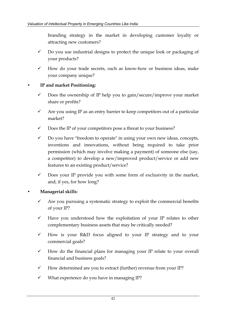branding strategy in the market in developing customer loyalty or attracting new customers?

- $\checkmark$  Do you use industrial designs to protect the unique look or packaging of your products?
- $\checkmark$  How do your trade secrets, such as know-how or business ideas, make your company unique?

### **• IP and market Positioning:**

- $\checkmark$  Does the ownership of IP help you to gain/secure/improve your market share or profits?
- $\checkmark$  Are you using IP as an entry barrier to keep competitors out of a particular market?
- $\checkmark$  Does the IP of your competitors pose a threat to your business?
- $\checkmark$  Do you have "freedom to operate" in using your own new ideas, concepts, inventions and innovations, without being required to take prior permission (which may involve making a payment) of someone else (say, a competitor) to develop a new/improved product/service or add new features to an existing product/service?
- $\checkmark$  Does your IP provide you with some form of exclusivity in the market, and, if yes, for how long?
- **Managerial skills:** 
	- Are you pursuing a systematic strategy to exploit the commercial benefits of your IP?
	- Have you understood how the exploitation of your IP relates to other complementary business assets that may be critically needed?
	- $\checkmark$  How is your R&D focus aligned to your IP strategy and to your commercial goals?
	- $\checkmark$  How do the financial plans for managing your IP relate to your overall financial and business goals?
	- $\checkmark$  How determined are you to extract (further) revenue from your IP?
	- $\checkmark$  What experience do you have in managing IP?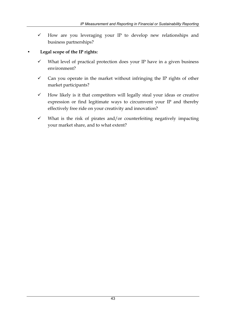$\checkmark$  How are you leveraging your IP to develop new relationships and business partnerships?

## **• Legal scope of the IP rights:**

- $\checkmark$  What level of practical protection does your IP have in a given business environment?
- $\checkmark$  Can you operate in the market without infringing the IP rights of other market participants?
- $\checkmark$  How likely is it that competitors will legally steal your ideas or creative expression or find legitimate ways to circumvent your IP and thereby effectively free ride on your creativity and innovation?
- $\checkmark$  What is the risk of pirates and/or counterfeiting negatively impacting your market share, and to what extent?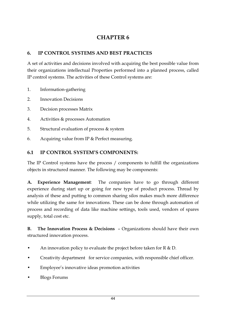# **CHAPTER 6**

### **6. IP CONTROL SYSTEMS AND BEST PRACTICES**

A set of activities and decisions involved with acquiring the best possible value from their organizations intellectual Properties performed into a planned process, called IP control systems. The activities of these Control systems are:

- 1. Information-gathering
- 2. Innovation Decisions
- 3. Decision processes Matrix
- 4. Activities & processes Automation
- 5. Structural evaluation of process & system
- 6. Acquiring value from IP & Perfect measuring.

### **6.1 IP CONTROL SYSTEM'S COMPONENTS:**

The IP Control systems have the process / components to fulfill the organizations objects in structured manner. The following may be components:

**A. Experience Management**: The companies have to go through different experience during start up or going for new type of product process. Thread by analysis of these and putting to common sharing silos makes much more difference while utilizing the same for innovations. These can be done through automation of process and recording of data like machine settings, tools used, vendors of spares supply, total cost etc.

**B. The Innovation Process & Decisions** – Organizations should have their own structured innovation process.

- An innovation policy to evaluate the project before taken for  $R \& D$ .
- Creativity department for service companies, with responsible chief officer.
- Employee's innovative ideas promotion activities
- Blogs Forums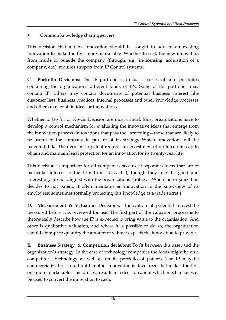• Common knowledge sharing servers

This decision that a new innovation should be sought to add to an existing innovation to make the first more marketable. Whether to seek the new innovation from inside or outside the company (through, e.g., in-licensing, acquisition of a company, etc.) requires support from IP Control systems.

**C. Portfolio Decisions:** The IP portfolio is in fact a series of sub -portfolios containing the organizations different kinds of IPs. Some of the portfolios may contain IP, others may contain documents of potential business interest like customer lists, business practices, internal processes and other knowledge processes and others may contain ideas or innovations.

Whether to Go for or No-Go Decision are most critical. Most organizations have to develop a control mechanism for evaluating the innovative ideas that emerge from the innovation process. Innovations that pass the screening—those that are likely to be useful to the company in pursuit of its strategy Which innovations will be patented; Like The decision to patent requires an investment of up to certain cap to obtain and maintain legal protection for an innovation for its twenty-year life.

This decision is important for all companies because it separates ideas that are of particular interest to the firm from ideas that, though they may be good and interesting, are not aligned with the organizations strategy. (Where an organization decides to not patent, it often maintains an innovation in the know-how of its employees; sometimes formally protecting this knowledge as a trade secret.)

**D. Measurement & Valuation Decisions:** Innovation of potential interest be measured before it is reviewed for use. The first part of the valuation process is to theoretically describe how the IP is expected to bring value to the organisation. And other is qualitative valuation, and where it is possible to do so, the organisation should attempt to quantify the amount of value it expects the innovation to provide.

**E. Business Strategy & Competition decisions:** To fit between this asset and the organization's strategy. In the case of technology companies the focus might be on a competitor's technology as well as on its portfolio of patents. The IP may be commercialized or stored until another innovation is developed that makes the first one more marketable. This process results in a decision about which mechanism will be used to convert the innovation to cash.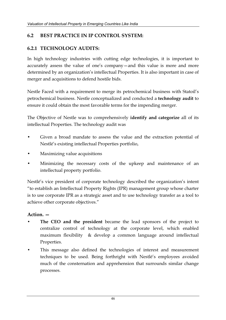## **6.2 BEST PRACTICE IN IP CONTROL SYSTEM:**

## **6.2.1 TECHNOLOGY AUDITS:**

In high technology industries with cutting edge technologies, it is important to accurately assess the value of one's company—and this value is more and more determined by an organization's intellectual Properties. It is also important in case of merger and acquisitions to defend hostile bids.

Nestle Faced with a requirement to merge its petrochemical business with Statoil's petrochemical business. Nestle conceptualized and conducted a **technology audit** to ensure it could obtain the most favorable terms for the impending merger.

The Objective of Nestle was to comprehensively **identify and categorize** all of its intellectual Properties. The technology audit was

- Given a broad mandate to assess the value and the extraction potential of Nestlé's existing intellectual Properties portfolio,
- Maximizing value acquisitions
- Minimizing the necessary costs of the upkeep and maintenance of an intellectual property portfolio.

Nestlé's vice president of corporate technology described the organization's intent "to establish an Intellectual Property Rights (IPR) management group whose charter is to use corporate IPR as a strategic asset and to use technology transfer as a tool to achieve other corporate objectives."

### **Action. —**

- **The CEO and the president** became the lead sponsors of the project to centralize control of technology at the corporate level, which enabled maximum flexibility & develop a common language around intellectual Properties.
- **•** This message also defined the technologies of interest and measurement techniques to be used. Being forthright with Nestlé's employees avoided much of the consternation and apprehension that surrounds similar change processes.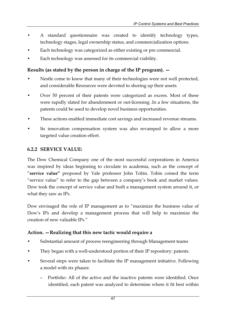- **•** A standard questionnaire was created to identify technology types, technology stages, legal ownership status, and commercialization options.
- **•** Each technology was categorized as either existing or pre commercial.
- **•** Each technology was assessed for its commercial viability.

## **Results (as stated by the person in charge of the IP program). —**

- Nestle come to know that many of their technologies were not well protected, and considerable Resources were devoted to shoring up their assets.
- Over 50 percent of their patents were categorized as excess. Most of these were rapidly slated for abandonment or out-licensing .In a few situations, the patents could be used to develop novel business opportunities.
- These actions enabled immediate cost savings and increased revenue streams.
- Its innovation compensation system was also revamped to allow a more targeted value creation effort.

### **6.2.2 SERVICE VALUE:**

The Dow Chemical Company one of the most successful corporations in America was inspired by ideas beginning to circulate in academia, such as the concept of "**service value"** proposed by Yale professor John Tobin. Tobin coined the term "service value" to refer to the gap between a company's book and market values. Dow took the concept of service value and built a management system around it, or what they saw as IPs.

Dow envisaged the role of IP management as to "maximize the business value of Dow's IPs and develop a management process that will help to maximize the creation of new valuable IPs."

### **Action. —Realizing that this new tactic would require a**

- Substantial amount of process reengineering through Management teams
- They began with a well-understood portion of their IP repository: patents.
- Several steps were taken to facilitate the IP management initiative. Following a model with six phases:
	- Portfolio: All of the active and the inactive patents were identified. Once identified, each patent was analyzed to determine where it fit best within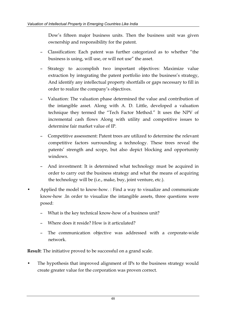Dow's fifteen major business units. Then the business unit was given ownership and responsibility for the patent.

- Classification: Each patent was further categorized as to whether "the business is using, will use, or will not use" the asset.
- Strategy to accomplish two important objectives: Maximize value extraction by integrating the patent portfolio into the business's strategy, And identify any intellectual property shortfalls or gaps necessary to fill in order to realize the company's objectives.
- Valuation: The valuation phase determined the value and contribution of the intangible asset. Along with A. D. Little, developed a valuation technique they termed the "Tech Factor Method." It uses the NPV of incremental cash flows Along with utility and competitive issues to determine fair market value of IP.
- Competitive assessment: Patent trees are utilized to determine the relevant competitive factors surrounding a technology. These trees reveal the patents' strength and scope, but also depict blocking and opportunity windows.
- And investment: It is determined what technology must be acquired in order to carry out the business strategy and what the means of acquiring the technology will be (i.e., make, buy, joint venture, etc.).
- Applied the model to know-how. : Find a way to visualize and communicate know-how .In order to visualize the intangible assets, three questions were posed:
	- What is the key technical know-how of a business unit?
	- Where does it reside? How is it articulated?
	- The communication objective was addressed with a corporate-wide network.

**Result**: The initiative proved to be successful on a grand scale.

The hypothesis that improved alignment of IPs to the business strategy would create greater value for the corporation was proven correct.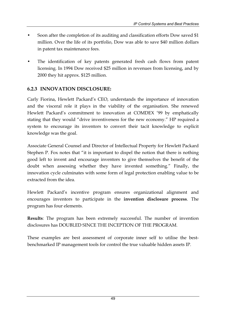- Soon after the completion of its auditing and classification efforts Dow saved \$1 million. Over the life of its portfolio, Dow was able to save \$40 million dollars in patent tax maintenance fees.
- The identification of key patents generated fresh cash flows from patent licensing. In 1994 Dow received \$25 million in revenues from licensing, and by 2000 they hit approx. \$125 million.

### **6.2.3 INNOVATION DISCLOSURE:**

Carly Fiorina, Hewlett Packard's CEO, understands the importance of innovation and the visceral role it plays in the viability of the organisation. She renewed Hewlett Packard's commitment to innovation at COMDEX '99 by emphatically stating that they would "drive inventiveness for the new economy." HP required a system to encourage its inventors to convert their tacit knowledge to explicit knowledge was the goal.

Associate General Counsel and Director of Intellectual Property for Hewlett Packard Stephen P. Fox notes that "it is important to dispel the notion that there is nothing good left to invent and encourage inventors to give themselves the benefit of the doubt when assessing whether they have invented something." Finally, the innovation cycle culminates with some form of legal protection enabling value to be extracted from the idea.

Hewlett Packard's incentive program ensures organizational alignment and encourages inventors to participate in the **invention disclosure process**. The program has four elements.

**Results**: The program has been extremely successful. The number of invention disclosures has DOUBLED SINCE THE INCEPTION OF THE PROGRAM.

These examples are best assessment of corporate inner self to utilise the bestbenchmarked IP management tools for control the true valuable hidden assets IP.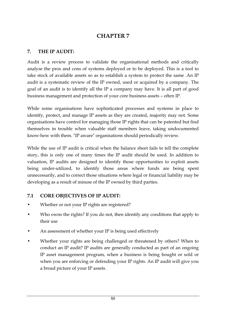# **CHAPTER 7**

### **7. THE IP AUDIT:**

Audit is a review process to validate the organisational methods and critically analyse the pros and cons of systems deployed or to be deployed. This is a tool to take stock of available assets so as to establish a system to protect the same .An IP audit is a systematic review of the IP owned, used or acquired by a company. The goal of an audit is to identify all the IP a company may have. It is all part of good business management and protection of your core business assets – often IP.

While some organisations have sophisticated processes and systems in place to identify, protect, and manage IP assets as they are created, majority may not. Some organisations have control for managing those IP rights that can be patented but find themselves in trouble when valuable staff members leave, taking undocumented know-how with them. "IP aware" organisations should periodically review.

While the use of IP audit is critical when the balance sheet fails to tell the complete story, this is only one of many times the IP audit should be used. In addition to valuation, IP audits are designed to identify those opportunities to exploit assets being under-utilized, to identify those areas where funds are being spent unnecessarily, and to correct those situations where legal or financial liability may be developing as a result of misuse of the IP owned by third parties.

## **7.1 CORE OBJECTIVES OF IP AUDIT:**

- Whether or not your IP rights are registered?
- Who owns the rights? If you do not, then identify any conditions that apply to their use
- An assessment of whether your IP is being used effectively
- Whether your rights are being challenged or threatened by others? When to conduct an IP audit? IP audits are generally conducted as part of an ongoing IP asset management program, when a business is being bought or sold or when you are enforcing or defending your IP rights. An IP audit will give you a broad picture of your IP assets.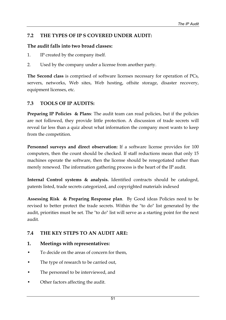### **7.2 THE TYPES OF IP S COVERED UNDER AUDIT:**

### **The audit falls into two broad classes:**

- 1. IP created by the company itself.
- 2. Used by the company under a license from another party.

**The Second class** is comprised of software licenses necessary for operation of PCs, servers, networks, Web sites, Web hosting, offsite storage, disaster recovery, equipment licenses, etc.

### **7.3 TOOLS OF IP AUDITS:**

**Preparing IP Policies & Plans**: The audit team can read policies, but if the policies are not followed, they provide little protection. A discussion of trade secrets will reveal far less than a quiz about what information the company most wants to keep from the competition.

**Personnel surveys and direct observation:** If a software license provides for 100 computers, then the count should be checked. If staff reductions mean that only 15 machines operate the software, then the license should be renegotiated rather than merely renewed. The information gathering process is the heart of the IP audit.

**Internal Control systems & analysis.** Identified contracts should be cataloged, patents listed, trade secrets categorized, and copyrighted materials indexed

**Assessing Risk & Preparing Response plan**. By Good ideas Policies need to be revised to better protect the trade secrets. Within the "to do" list generated by the audit, priorities must be set. The "to do" list will serve as a starting point for the next audit.

## **7.4 THE KEY STEPS TO AN AUDIT ARE:**

- **1. Meetings with representatives:**
- To decide on the areas of concern for them,
- The type of research to be carried out,
- The personnel to be interviewed, and
- Other factors affecting the audit.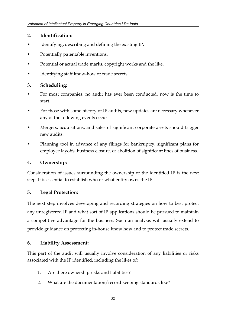### **2. Identification:**

- Identifying, describing and defining the existing IP,
- Potentially patentable inventions,
- Potential or actual trade marks, copyright works and the like.
- Identifying staff know-how or trade secrets.

### **3. Scheduling:**

- For most companies, no audit has ever been conducted, now is the time to start.
- For those with some history of IP audits, new updates are necessary whenever any of the following events occur.
- Mergers, acquisitions, and sales of significant corporate assets should trigger new audits.
- Planning tool in advance of any filings for bankruptcy, significant plans for employee layoffs, business closure, or abolition of significant lines of business.

### **4. Ownership:**

Consideration of issues surrounding the ownership of the identified IP is the next step. It is essential to establish who or what entity owns the IP.

### **5. Legal Protection:**

The next step involves developing and recording strategies on how to best protect any unregistered IP and what sort of IP applications should be pursued to maintain a competitive advantage for the business. Such an analysis will usually extend to provide guidance on protecting in-house know how and to protect trade secrets.

### **6. Liability Assessment:**

This part of the audit will usually involve consideration of any liabilities or risks associated with the IP identified, including the likes of:

- 1. Are there ownership risks and liabilities?
- 2. What are the documentation/record keeping standards like?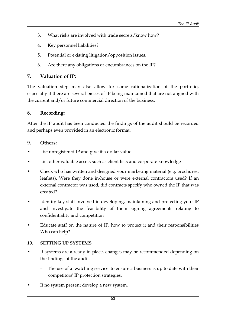- 3. What risks are involved with trade secrets/know how?
- 4. Key personnel liabilities?
- 5. Potential or existing litigation/opposition issues.
- 6. Are there any obligations or encumbrances on the IP?

### **7. Valuation of IP:**

The valuation step may also allow for some rationalization of the portfolio, especially if there are several pieces of IP being maintained that are not aligned with the current and/or future commercial direction of the business.

### **8. Recording:**

After the IP audit has been conducted the findings of the audit should be recorded and perhaps even provided in an electronic format.

### **9. Others:**

- List unregistered IP and give it a dollar value
- List other valuable assets such as client lists and corporate knowledge
- Check who has written and designed your marketing material (e.g. brochures, leaflets). Were they done in-house or were external contractors used? If an external contractor was used, did contracts specify who owned the IP that was created?
- Identify key staff involved in developing, maintaining and protecting your IP and investigate the feasibility of them signing agreements relating to confidentiality and competition
- Educate staff on the nature of IP, how to protect it and their responsibilities Who can help?

### **10. SETTING UP SYSTEMS**

- If systems are already in place, changes may be recommended depending on the findings of the audit.
	- The use of a 'watching service' to ensure a business is up to date with their competitors' IP protection strategies.
- If no system present develop a new system.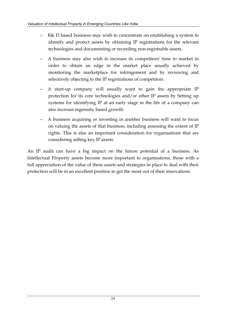- R& D based business may wish to concentrate on establishing a system to identify and protect assets by obtaining IP registrations for the relevant technologies and documenting or recording non-registrable assets.
- A business may also wish to increase its competitors' time to market in order to obtain an edge in the market place usually achieved by monitoring the marketplace for infringement and by reviewing and selectively objecting to the IP registrations of competitors.
- A start-up company will usually want to gain the appropriate IP protection for its core technologies and/or other IP assets by Setting up systems for identifying IP at an early stage in the life of a company can also increase ingenuity based growth.
- A business acquiring or investing in another business will want to focus on valuing the assets of that business, including assessing the extent of IP rights. This is also an important consideration for organisations that are considering selling key IP assets.

An IP audit can have a big impact on the future potential of a business. As Intellectual Property assets become more important to organisations, those with a full appreciation of the value of these assets and strategies in place to deal with their protection will be in an excellent position to get the most out of their innovations.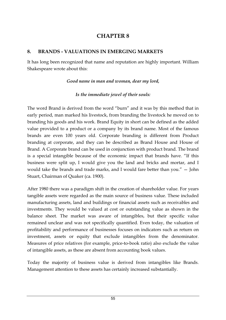# **CHAPTER 8**

### **8. BRANDS - VALUATIONS IN EMERGING MARKETS**

It has long been recognized that name and reputation are highly important. William Shakespeare wrote about this:

### *Good name in man and woman, dear my lord,*

### *Is the immediate jewel of their souls:*

The word Brand is derived from the word "burn" and it was by this method that in early period, man marked his livestock, from branding the livestock he moved on to branding his goods and his work. Brand Equity in short can be defined as the added value provided to a product or a company by its brand name. Most of the famous brands are even 100 years old. Corporate branding is different from Product branding at corporate, and they can be described as Brand House and House of Brand. A Corporate brand can be used in conjunction with product brand. The brand is a special intangible because of the economic impact that brands have. "If this business were split up, I would give you the land and bricks and mortar, and I would take the brands and trade marks, and I would fare better than you." — John Stuart, Chairman of Quaker (ca. 1900).

After 1980 there was a paradigm shift in the creation of shareholder value. For years tangible assets were regarded as the main source of business value. These included manufacturing assets, land and buildings or financial assets such as receivables and investments. They would be valued at cost or outstanding value as shown in the balance sheet. The market was aware of intangibles, but their specific value remained unclear and was not specifically quantified. Even today, the valuation of profitability and performance of businesses focuses on indicators such as return on investment, assets or equity that exclude intangibles from the denominator. Measures of price relatives (for example, price-to-book ratio) also exclude the value of intangible assets, as these are absent from accounting book values.

Today the majority of business value is derived from intangibles like Brands. Management attention to these assets has certainly increased substantially.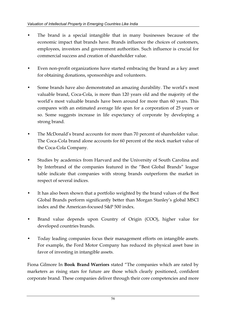- The brand is a special intangible that in many businesses because of the economic impact that brands have. Brands influence the choices of customers, employees, investors and government authorities. Such influence is crucial for commercial success and creation of shareholder value.
- Even non-profit organizations have started embracing the brand as a key asset for obtaining donations, sponsorships and volunteers.
- Some brands have also demonstrated an amazing durability. The world's most valuable brand, Coca-Cola, is more than 120 years old and the majority of the world's most valuable brands have been around for more than 60 years. This compares with an estimated average life span for a corporation of 25 years or so. Some suggests increase in life expectancy of corporate by developing a strong brand.
- The McDonald's brand accounts for more than 70 percent of shareholder value. The Coca-Cola brand alone accounts for 60 percent of the stock market value of the Coca-Cola Company.
- Studies by academics from Harvard and the University of South Carolina and by Interbrand of the companies featured in the "Best Global Brands" league table indicate that companies with strong brands outperform the market in respect of several indices.
- It has also been shown that a portfolio weighted by the brand values of the Best Global Brands perform significantly better than Morgan Stanley's global MSCI index and the American-focused S&P 500 index.
- Brand value depends upon Country of Origin (COO), higher value for developed countries brands.
- Today leading companies focus their management efforts on intangible assets. For example, the Ford Motor Company has reduced its physical asset base in favor of investing in intangible assets.

Fiona Gilmore In **Book Brand Warriors** stated "The companies which are rated by marketers as rising stars for future are those which clearly positioned, confident corporate brand. These companies deliver through their core competencies and more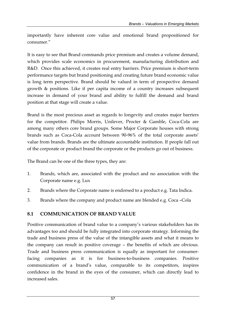importantly have inherent core value and emotional brand propositioned for consumer."

It is easy to see that Brand commands price premium and creates a volume demand, which provides scale economics in procurement, manufacturing distribution and R&D. Once this achieved, it creates real entry barriers. Price premium is short-term performance targets but brand positioning and creating future brand economic value is long term perspective. Brand should be valued in term of prospective demand growth & positions. Like if per capita income of a country increases subsequent increase in demand of your brand and ability to fulfill the demand and brand position at that stage will create a value.

Brand is the most precious asset as regards to longevity and creates major barriers for the competitor. Philips Morris, Unilever, Procter & Gamble, Coca-Cola are among many others core brand groups. Some Major Corporate houses with strong brands such as Coca-Cola account between 90-96% of the total corporate assets' value from brands. Brands are the ultimate accountable institution. If people fall out of the corporate or product brand the corporate or the products go out of business.

The Brand can be one of the three types, they are:

- 1. Brands, which are, associated with the product and no association with the Corporate name e.g. Lux
- 2. Brands where the Corporate name is endorsed to a product e.g. Tata Indica.
- 3. Brands where the company and product name are blended e.g. Coca –Cola

# **8.1 COMMUNICATION OF BRAND VALUE**

Positive communication of brand value to a company's various stakeholders has its advantages too and should be fully integrated into corporate strategy. Informing the trade and business press of the value of the intangible assets and what it means to the company can result in positive coverage – the benefits of which are obvious. Trade and business press communication is equally as important for consumerfacing companies as it is for business-to-business companies. Positive communication of a brand's value, comparable to its competitors, inspires confidence in the brand in the eyes of the consumer, which can directly lead to increased sales.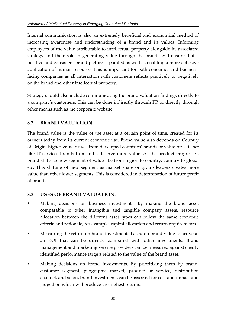Internal communication is also an extremely beneficial and economical method of increasing awareness and understanding of a brand and its values. Informing employees of the value attributable to intellectual property alongside its associated strategy and their role in generating value through the brands will ensure that a positive and consistent brand picture is painted as well as enabling a more cohesive application of human resource. This is important for both consumer and businessfacing companies as all interaction with customers reflects positively or negatively on the brand and other intellectual property.

Strategy should also include communicating the brand valuation findings directly to a company's customers. This can be done indirectly through PR or directly through other means such as the corporate website.

# **8.2 BRAND VALUATION**

The brand value is the value of the asset at a certain point of time, created for its owners today from its current economic use. Brand value also depends on Country of Origin, higher value drives from developed countries' brands or value for skill set like IT services brands from India deserve more value. As the product progresses, brand shifts to new segment of value like from region to country, country to global etc. This shifting of new segment as market share or group leaders creates more value than other lower segments. This is considered in determination of future profit of brands.

## **8.3 USES OF BRAND VALUATION:**

- Making decisions on business investments. By making the brand asset comparable to other intangible and tangible company assets, resource allocation between the different asset types can follow the same economic criteria and rationale, for example, capital allocation and return requirements.
- Measuring the return on brand investments based on brand value to arrive at an ROI that can be directly compared with other investments. Brand management and marketing service providers can be measured against clearly identified performance targets related to the value of the brand asset.
- Making decisions on brand investments. By prioritizing them by brand, customer segment, geographic market, product or service, distribution channel, and so on, brand investments can be assessed for cost and impact and judged on which will produce the highest returns.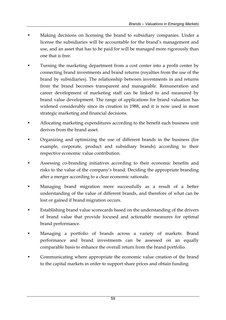- Making decisions on licensing the brand to subsidiary companies. Under a license the subsidiaries will be accountable for the brand's management and use, and an asset that has to be paid for will be managed more rigorously than one that is free.
- Turning the marketing department from a cost center into a profit center by connecting brand investments and brand returns (royalties from the use of the brand by subsidiaries). The relationship between investments in and returns from the brand becomes transparent and manageable. Remuneration and career development of marketing staff can be linked to and measured by brand value development. The range of applications for brand valuation has widened considerably since its creation in 1988, and it is now used in most strategic marketing and financial decisions.
- Allocating marketing expenditures according to the benefit each business unit derives from the brand asset.
- Organizing and optimizing the use of different brands in the business (for example, corporate, product and subsidiary brands) according to their respective economic value contribution.
- Assessing co-branding initiatives according to their economic benefits and risks to the value of the company's brand. Deciding the appropriate branding after a merger according to a clear economic rationale.
- Managing brand migration more successfully as a result of a better understanding of the value of different brands, and therefore of what can be lost or gained if brand migration occurs.
- Establishing brand value scorecards based on the understanding of the drivers of brand value that provide focused and actionable measures for optimal brand performance.
- Managing a portfolio of brands across a variety of markets. Brand performance and brand investments can be assessed on an equally comparable basis to enhance the overall return from the brand portfolio.
- Communicating where appropriate the economic value creation of the brand to the capital markets in order to support share prices and obtain funding.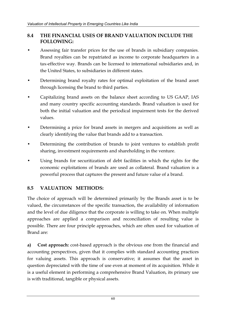### **8.4 THE FINANCIAL USES OF BRAND VALUATION INCLUDE THE FOLLOWING:**

- Assessing fair transfer prices for the use of brands in subsidiary companies. Brand royalties can be repatriated as income to corporate headquarters in a tax-effective way. Brands can be licensed to international subsidiaries and, in the United States, to subsidiaries in different states.
- Determining brand royalty rates for optimal exploitation of the brand asset through licensing the brand to third parties.
- Capitalizing brand assets on the balance sheet according to US GAAP, IAS and many country specific accounting standards. Brand valuation is used for both the initial valuation and the periodical impairment tests for the derived values.
- Determining a price for brand assets in mergers and acquisitions as well as clearly identifying the value that brands add to a transaction.
- Determining the contribution of brands to joint ventures to establish profit sharing, investment requirements and shareholding in the venture.
- Using brands for securitization of debt facilities in which the rights for the economic exploitations of brands are used as collateral. Brand valuation is a powerful process that captures the present and future value of a brand.

## **8.5 VALUATION METHODS:**

The choice of approach will be determined primarily by the Brands asset is to be valued, the circumstances of the specific transaction, the availability of information and the level of due diligence that the corporate is willing to take on. When multiple approaches are applied a comparison and reconciliation of resulting value is possible. There are four principle approaches, which are often used for valuation of Brand are:

**a) Cost approach:** cost-based approach is the obvious one from the financial and accounting perspectives, given that it complies with standard accounting practices for valuing assets. This approach is conservative; it assumes that the asset in question depreciated with the time of use even at moment of its acquisition. While it is a useful element in performing a comprehensive Brand Valuation, its primary use is with traditional, tangible or physical assets.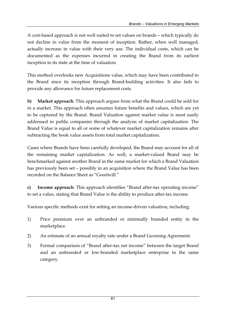A cost-based approach is not well suited to set values on brands – which typically do not decline in value from the moment of inception. Rather, when well managed, actually increase in value with their very use. The individual costs, which can be documented as the expenses incurred in creating the Brand from its earliest inception to its state at the time of valuation.

This method overlooks new Acquisitions value, which may have been contributed to the Brand since its inception through Brand-building activities. It also fails to provide any allowance for future replacement costs.

**b) Market approach**: This approach argues from what the Brand could be sold for in a market. This approach often assumes future benefits and values, which are yet to be captured by the Brand. Brand Valuation against market value is most easily addressed in public companies through the analysis of market capitalization. The Brand Value is equal to all or some of whatever market capitalization remains after subtracting the book value assets from total market capitalization.

Cases where Brands have been carefully developed, the Brand may account for all of the remaining market capitalization. As well, a market-valued Brand may be benchmarked against another Brand in the same market for which a Brand Valuation has previously been set – possibly in an acquisition where the Brand Value has been recorded on the Balance Sheet as "Goodwill."

**c) Income approach**: This approach identifies "Brand after-tax operating income" to set a value, stating that Brand Value is the ability to produce after-tax income.

Various specific methods exist for setting an income-driven valuation, including:

- 1) Price premium over an unbranded or minimally branded entity in the marketplace.
- 2) An estimate of an annual royalty rate under a Brand Licensing Agreement.
- 3) Formal comparison of "Brand after-tax net income" between the target Brand and an unbranded or low-branded marketplace enterprise in the same category.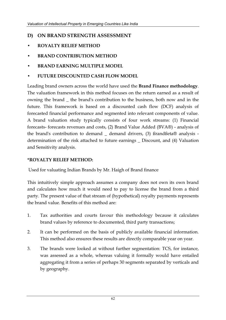- **D) ON BRAND STRENGTH ASSESSMENT**
- **ROYALTY RELIEF METHOD**
- **BRAND CONTRIBUTION METHOD**
- **BRAND EARNING MULTIPLE MODEL**
- **FUTURE DISCOUNTED CASH FLOW MODEL**

Leading brand owners across the world have used the **Brand Finance methodology**. The valuation framework in this method focuses on the return earned as a result of owning the brand \_ the brand's contribution to the business, both now and in the future. This framework is based on a discounted cash flow (DCF) analysis of forecasted financial performance and segmented into relevant components of value. A brand valuation study typically consists of four work streams: (1) Financial forecasts- forecasts revenues and costs, (2) Brand Value Added (BVA®) - analysis of the brand's contribution to demand \_ demand drivers, (3) ßrandßeta® analysis determination of the risk attached to future earnings \_ Discount, and (4) Valuation and Sensitivity analysis.

#### **\*ROYALTY RELIEF METHOD:**

Used for valuating Indian Brands by Mr. Haigh of Brand finance

This intuitively simple approach assumes a company does not own its own brand and calculates how much it would need to pay to license the brand from a third party. The present value of that stream of (hypothetical) royalty payments represents the brand value. Benefits of this method are:

- 1. Tax authorities and courts favour this methodology because it calculates brand values by reference to documented, third party transactions;
- 2. It can be performed on the basis of publicly available financial information. This method also ensures these results are directly comparable year on year.
- 3. The brands were looked at without further segmentation: TCS, for instance, was assessed as a whole, whereas valuing it formally would have entailed aggregating it from a series of perhaps 30 segments separated by verticals and by geography.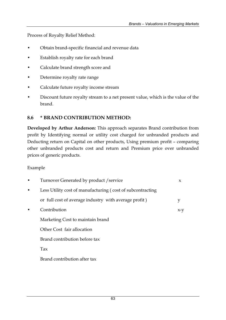Process of Royalty Relief Method:

- Obtain brand-specific financial and revenue data
- Establish royalty rate for each brand
- Calculate brand strength score and
- Determine royalty rate range
- Calculate future royalty income stream
- Discount future royalty stream to a net present value, which is the value of the brand.

#### **8.6 \* BRAND CONTRIBUTION METHOD:**

**Developed by Arthur Anderson:** This approach separates Brand contribution from profit by Identifying normal or utility cost charged for unbranded products and Deducting return on Capital on other products, Using premium profit – comparing other unbranded products cost and return and Premium price over unbranded prices of generic products.

#### Example

|           | Turnover Generated by product / service                    | X     |
|-----------|------------------------------------------------------------|-------|
| $\bullet$ | Less Utility cost of manufacturing (cost of subcontracting |       |
|           | or full cost of average industry with average profit)      | V     |
|           | Contribution                                               | $x-y$ |
|           | Marketing Cost to maintain brand                           |       |
|           | Other Cost fair allocation                                 |       |
|           | Brand contribution before tax                              |       |
|           | Tax                                                        |       |
|           | Brand contribution after tax                               |       |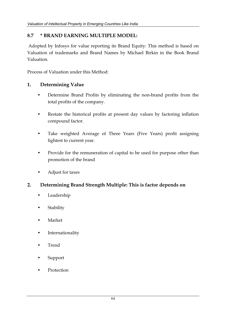### **8.7 \* BRAND EARNING MULTIPLE MODEL:**

 Adopted by Infosys for value reporting its Brand Equity: This method is based on Valuation of trademarks and Brand Names by Michael Birkin in the Book Brand Valuation.

Process of Valuation under this Method:

### **1. Determining Value**

- Determine Brand Profits by eliminating the non-brand profits from the total profits of the company.
- Restate the historical profits at present day values by factoring inflation compound factor.
- Take weighted Average of Three Years (Five Years) profit assigning lightest to current year.
- Provide for the remuneration of capital to be used for purpose other than promotion of the brand
- Adjust for taxes

#### **2. Determining Brand Strength Multiple: This is factor depends on**

- **Leadership**
- **Stability**
- Market
- **Internationality**
- **Trend**
- **Support**
- **Protection**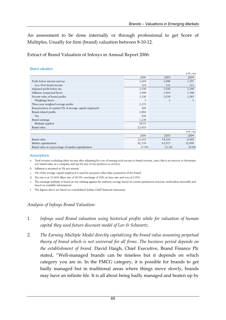An assessment to be done internally or through professional to get Score of Multiples, Usually for firm (brand) valuation between 8-10-12.

Extract of Brand Valuation of Infosys in Annual Report 2006:

#### **Brand valuation**

|                                                          |        |        | in Ks. crore |
|----------------------------------------------------------|--------|--------|--------------|
|                                                          | 2006   | 2005   | 2004         |
| Profit before interest and tax                           | 2,654  | 2,048  | 1,357        |
| Less: Non brand income                                   | 124    | 112    | 111          |
| Adjusted profit before tax                               | 2,530  | 1,936  | 1,246        |
| Inflation compound factor                                | 1.000  | 1.053  | 1.108        |
| Present value of brand profits                           | 2,530  | 2.039  | 1,381        |
| Weightage factor                                         | 3      | 2      |              |
| Three-year weighted average profits                      | 2,175  |        |              |
| Remuneration of capital (5% of average capital employed) | 309    |        |              |
| Brand-related profits                                    | 1,866  |        |              |
| Tax                                                      | 628    |        |              |
| Brand earnings                                           | 1,238  |        |              |
| Multiple applied                                         | 18.51  |        |              |
| Brand value                                              | 22,915 |        |              |
|                                                          |        |        | in Rs. crore |
|                                                          | 2006   | 2005   | 2004         |
| Brand value                                              | 22,915 | 14,153 | 8,185        |
| Market capitalization                                    | 82,154 | 61,073 | 32,909       |
| Brand value as a percentage of market capitalization     | 27.9%  | 23.2%  | 24.9%        |

#### Assumptions

a. Total revenue excluding other income after adjusting for cost of earning such income is brand revenue, since this is an exercise to determine our brand value as a company and not for any of our products or services.

b. Inflation is assumed at 5% per annum.

c. 5% of the average capital employed is used for purposes other than promotion of the brand.

d. Tax rate is at 33.66% (Base rate of 30.0%, surcharge of 10% on base rate and cess of 2.0%).

e. The earnings multiple is based on our ranking against the industry average based on certain parameters (exercise undertaken internally and based on available information).

f. The figures above are based on consolidated Indian GAAP financial statements.

#### *Analysis of Infosys Brand Valuation:*

- 1. *Infosys used Brand valuation using historical profits while for valuation of human capital they used future discount model of Lev & Schwartz.*
- 2. *The Earning Multiple Model directly capitalizing the brand value assuming perpetual theory of brand which is not universal for all firms. The business period depends on the establishment of brand.* David Haigh, Chief Executive, Brand Finance Plc stated, "Well-managed brands can be timeless but it depends on which category you are in. In the FMCG category, it is possible for brands to get badly managed but in traditional areas where things move slowly, brands may have an infinite life. It is all about being badly managed and beaten up by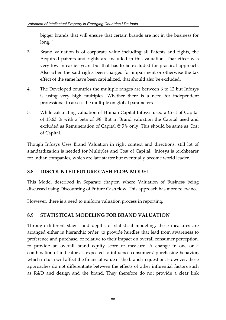bigger brands that will ensure that certain brands are not in the business for long. "

- 3. Brand valuation is of corporate value including all Patents and rights, the Acquired patents and rights are included in this valuation. That effect was very low in earlier years but that has to be excluded for practical approach. Also when the said rights been charged for impairment or otherwise the tax effect of the same have been capitalized, that should also be excluded.
- 4. The Developed countries the multiple ranges are between 6 to 12 but Infosys is using very high multiples. Whether there is a need for independent professional to assess the multiple on global parameters.
- 5. While calculating valuation of Human Capital Infosys used a Cost of Capital of 13.63 % with a beta of .98. But in Brand valuation the Capital used and excluded as Remuneration of Capital @ 5% only. This should be same as Cost of Capital.

Though Infosys Uses Brand Valuation in right context and directions, still lot of standardization is needed for Multiples and Cost of Capital. Infosys is torchbearer for Indian companies, which are late starter but eventually become world leader.

### **8.8 DISCOUNTED FUTURE CASH FLOW MODEL**

This Model described in Separate chapter, where Valuation of Business being discussed using Discounting of Future Cash flow. This approach has more relevance.

However, there is a need to uniform valuation process in reporting.

### **8.9 STATISTICAL MODELING FOR BRAND VALUATION**

Through different stages and depths of statistical modeling, these measures are arranged either in hierarchic order, to provide hurdles that lead from awareness to preference and purchase, or relative to their impact on overall consumer perception, to provide an overall brand equity score or measure. A change in one or a combination of indicators is expected to influence consumers' purchasing behavior, which in turn will affect the financial value of the brand in question. However, these approaches do not differentiate between the effects of other influential factors such as R&D and design and the brand. They therefore do not provide a clear link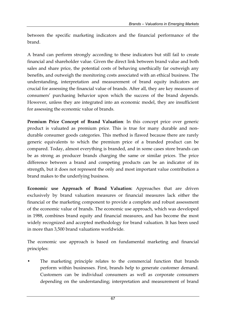between the specific marketing indicators and the financial performance of the brand.

A brand can perform strongly according to these indicators but still fail to create financial and shareholder value. Given the direct link between brand value and both sales and share price, the potential costs of behaving unethically far outweigh any benefits, and outweigh the monitoring costs associated with an ethical business. The understanding, interpretation and measurement of brand equity indicators are crucial for assessing the financial value of brands. After all, they are key measures of consumers' purchasing behavior upon which the success of the brand depends. However, unless they are integrated into an economic model, they are insufficient for assessing the economic value of brands.

**Premium Price Concept of Brand Valuation**: In this concept price over generic product is valuated as premium price. This is true for many durable and nondurable consumer goods categories. This method is flawed because there are rarely generic equivalents to which the premium price of a branded product can be compared. Today, almost everything is branded, and in some cases store brands can be as strong as producer brands charging the same or similar prices. The price difference between a brand and competing products can be an indicator of its strength, but it does not represent the only and most important value contribution a brand makes to the underlying business.

**Economic use Approach of Brand Valuation:** Approaches that are driven exclusively by brand valuation measures or financial measures lack either the financial or the marketing component to provide a complete and robust assessment of the economic value of brands. The economic use approach, which was developed in 1988, combines brand equity and financial measures, and has become the most widely recognized and accepted methodology for brand valuation. It has been used in more than 3,500 brand valuations worldwide.

The economic use approach is based on fundamental marketing and financial principles:

The marketing principle relates to the commercial function that brands perform within businesses. First, brands help to generate customer demand. Customers can be individual consumers as well as corporate consumers depending on the understanding; interpretation and measurement of brand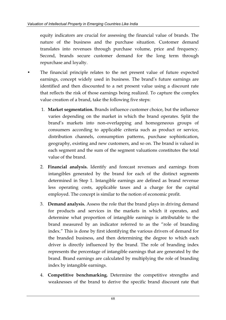equity indicators are crucial for assessing the financial value of brands. The nature of the business and the purchase situation. Customer demand translates into revenues through purchase volume, price and frequency. Second, brands secure customer demand for the long term through repurchase and loyalty.

- The financial principle relates to the net present value of future expected earnings, concept widely used in business. The brand's future earnings are identified and then discounted to a net present value using a discount rate that reflects the risk of those earnings being realized. To capture the complex value creation of a brand, take the following five steps:
	- 1. **Market segmentation.** Brands influence customer choice, but the influence varies depending on the market in which the brand operates. Split the brand's markets into non-overlapping and homogeneous groups of consumers according to applicable criteria such as product or service, distribution channels, consumption patterns, purchase sophistication, geography, existing and new customers, and so on. The brand is valued in each segment and the sum of the segment valuations constitutes the total value of the brand.
	- 2. **Financial analysis.** Identify and forecast revenues and earnings from intangibles generated by the brand for each of the distinct segments determined in Step 1. Intangible earnings are defined as brand revenue less operating costs, applicable taxes and a charge for the capital employed. The concept is similar to the notion of economic profit.
	- 3. **Demand analysis.** Assess the role that the brand plays in driving demand for products and services in the markets in which it operates, and determine what proportion of intangible earnings is attributable to the brand measured by an indicator referred to as the "role of branding index." This is done by first identifying the various drivers of demand for the branded business, and then determining the degree to which each driver is directly influenced by the brand. The role of branding index represents the percentage of intangible earnings that are generated by the brand. Brand earnings are calculated by multiplying the role of branding index by intangible earnings.
	- 4. **Competitive benchmarking.** Determine the competitive strengths and weaknesses of the brand to derive the specific brand discount rate that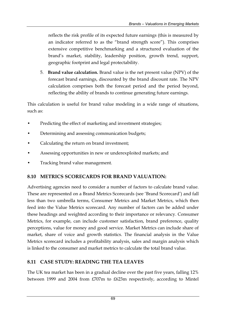reflects the risk profile of its expected future earnings (this is measured by an indicator referred to as the "brand strength score"). This comprises extensive competitive benchmarking and a structured evaluation of the brand's market, stability, leadership position, growth trend, support, geographic footprint and legal protectability.

5. **Brand value calculation.** Brand value is the net present value (NPV) of the forecast brand earnings, discounted by the brand discount rate. The NPV calculation comprises both the forecast period and the period beyond, reflecting the ability of brands to continue generating future earnings.

This calculation is useful for brand value modeling in a wide range of situations, such as:

- Predicting the effect of marketing and investment strategies;
- Determining and assessing communication budgets;
- Calculating the return on brand investment;
- Assessing opportunities in new or underexploited markets; and
- Tracking brand value management.

# **8.10 METRICS SCORECARDS FOR BRAND VALUATION:**

Advertising agencies need to consider a number of factors to calculate brand value. These are represented on a Brand Metrics Scorecards (see 'Brand Scorecard') and fall less than two umbrella terms, Consumer Metrics and Market Metrics, which then feed into the Value Metrics scorecard. Any number of factors can be added under these headings and weighted according to their importance or relevancy. Consumer Metrics, for example, can include customer satisfaction, brand preference, quality perceptions, value for money and good service. Market Metrics can include share of market, share of voice and growth statistics. The financial analysis in the Value Metrics scorecard includes a profitability analysis, sales and margin analysis which is linked to the consumer and market metrics to calculate the total brand value.

# **8.11 CASE STUDY: READING THE TEA LEAVES**

The UK tea market has been in a gradual decline over the past five years, falling 12% between 1999 and 2004 from £707m to £623m respectively, according to Mintel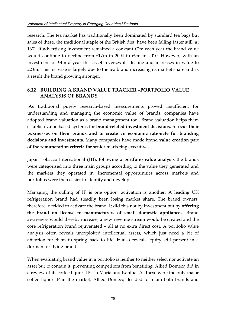research. The tea market has traditionally been dominated by standard tea bags but sales of these, the traditional staple of the British diet, have been falling faster still, at 16%. If advertising investment remained a constant £2m each year the brand value would continue to decline from £17m in 2004 to £9m in 2010. However, with an investment of £4m a year this asset reverses its decline and increases in value to £23m. This increase is largely due to the tea brand increasing its market share and as a result the brand growing stronger.

### **8.12 BUILDING A BRAND VALUE TRACKER –PORTFOLIO VALUE ANALYSIS OF BRANDS**

 As traditional purely research-based measurements proved insufficient for understanding and managing the economic value of brands, companies have adopted brand valuation as a brand management tool. Brand valuation helps them establish value based systems for **brand-related investment decisions, refocus their businesses on their brands and to create an economic rationale for branding decisions and investments.** Many companies have made brand **value creation part of the remuneration criteria for** senior marketing executives.

Japan Tobacco International (JTI), following **a portfolio value analysis** the brands were categorised into three main groups according to the value they generated and the markets they operated in. Incremental opportunities across markets and portfolios were then easier to identify and develop.

Managing the culling of IP is one option, activation is another. A leading UK refrigeration brand had steadily been losing market share. The brand owners, therefore, decided to activate the brand. It did this not by investment but by **offering the brand on license to manufacturers of small domestic appliances**. Brand awareness would thereby increase, a new revenue stream would be created and the core refrigeration brand rejuvenated – all at no extra direct cost. A portfolio value analysis often reveals unexploited intellectual assets, which just need a bit of attention for them to spring back to life. It also reveals equity still present in a dormant or dying brand.

When evaluating brand value in a portfolio is neither to neither select nor activate an asset but to contain it, preventing competitors from benefiting. Allied Domecq did in a review of its coffee liquor IP Tia Maria and Kahlua. As these were the only major coffee liquor IP in the market, Allied Domecq decided to retain both brands and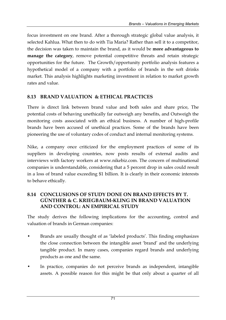focus investment on one brand. After a thorough strategic global value analysis, it selected Kahlua. What then to do with Tia Maria? Rather than sell it to a competitor, the decision was taken to maintain the brand, as it would be **more advantageous to manage the category**, remove potential competitive threats and retain strategic opportunities for the future. The Growth/opportunity portfolio analysis features a hypothetical model of a company with a portfolio of brands in the soft drinks market. This analysis highlights marketing investment in relation to market growth rates and value.

### **8.13 BRAND VALUATION & ETHICAL PRACTICES**

There is direct link between brand value and both sales and share price, The potential costs of behaving unethically far outweigh any benefits, and Outweigh the monitoring costs associated with an ethical business. A number of high-profile brands have been accused of unethical practices. Some of the brands have been pioneering the use of voluntary codes of conduct and internal monitoring systems.

Nike, a company once criticized for the employment practices of some of its suppliers in developing countries, now posts results of external audits and interviews with factory workers at www.nikebiz.com. The concern of multinational companies is understandable, considering that a 5 percent drop in sales could result in a loss of brand value exceeding \$1 billion. It is clearly in their economic interests to behave ethically.

#### **8.14 CONCLUSIONS OF STUDY DONE ON BRAND EFFECTS BY T. GÜNTHER & C. KRIEGBAUM-KLING IN BRAND VALUATION AND CONTROL: AN EMPIRICAL STUDY**

The study derives the following implications for the accounting, control and valuation of brands in German companies:

- Brands are usually thought of as 'labeled products'. This finding emphasizes the close connection between the intangible asset 'brand' and the underlying tangible product. In many cases, companies regard brands and underlying products as one and the same.
- In practice, companies do not perceive brands as independent, intangible assets. A possible reason for this might be that only about a quarter of all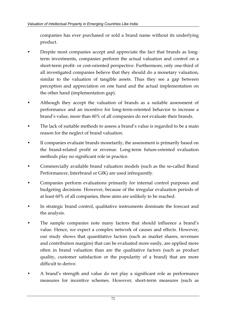companies has ever purchased or sold a brand name without its underlying product.

- Despite most companies accept and appreciate the fact that brands as longterm investments, companies perform the actual valuation and control on a short-term profit- or cost-oriented perspective. Furthermore, only one-third of all investigated companies believe that they should do a monetary valuation, similar to the valuation of tangible assets. Thus they see a gap between perception and appreciation on one hand and the actual implementation on the other hand (implementation gap).
- Although they accept the valuation of brands as a suitable assessment of performance and an incentive for long-term-oriented behavior to increase a brand's value, more than 60% of all companies do not evaluate their brands.
- The lack of suitable methods to assess a brand's value is regarded to be a main reason for the neglect of brand valuation.
- If companies evaluate brands monetarily, the assessment is primarily based on the brand-related profit or revenue. Long-term future-oriented evaluation methods play no significant role in practice.
- Commercially available brand valuation models (such as the so-called Brand Performancer, Interbrand or GfK) are used infrequently.
- Companies perform evaluations primarily for internal control purposes and budgeting decisions. However, because of the irregular evaluation periods of at least 60% of all companies, these aims are unlikely to be reached.
- In strategic brand control, qualitative instruments dominate the forecast and the analysis.
- The sample companies note many factors that should influence a brand's value. Hence, we expect a complex network of causes and effects. However, our study shows that quantitative factors (such as market shares, revenues and contribution margins) that can be evaluated more easily, are applied more often in brand valuation than are the qualitative factors (such as product quality, customer satisfaction or the popularity of a brand) that are more difficult to derive.
- A brand's strength and value do not play a significant role as performance measures for incentive schemes. However, short-term measures (such as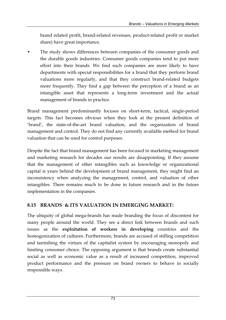brand related profit, brand-related revenues, product-related profit or market share) have great importance.

The study shows differences between companies of the consumer goods and the durable goods industries. Consumer goods companies tend to put more effort into their brands. We find such companies are more likely to have departments with special responsibilities for a brand that they perform brand valuations more regularly, and that they construct brand-related budgets more frequently. They find a gap between the perception of a brand as an intangible asset that represents a long-term investment and the actual management of brands in practice.

Brand management predominantly focuses on short-term, tactical, single-period targets. This fact becomes obvious when they look at the present definition of 'brand', the state-of-the-art brand valuation, and the organization of brand management and control. They do not find any currently available method for brand valuation that can be used for control purposes.

Despite the fact that brand management has been focused in marketing management and marketing research for decades our results are disappointing. If they assume that the management of other intangibles such as knowledge or organizational capital is years behind the development of brand management, they might find an inconsistency when analyzing the management, control, and valuation of other intangibles. There remains much to be done in future research and in the future implementation in the companies.

### **8.15 BRANDS & ITS VALUATION IN EMERGING MARKET:**

The ubiquity of global mega-brands has made branding the focus of discontent for many people around the world. They see a direct link between brands and such issues as the **exploitation of workers in developing** countries and the homogenization of cultures. Furthermore, brands are accused of stifling competition and tarnishing the virtues of the capitalist system by encouraging monopoly and limiting consumer choice. The opposing argument is that brands create substantial social as well as economic value as a result of increased competition, improved product performance and the pressure on brand owners to behave in socially responsible ways.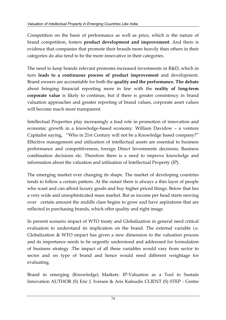Competition on the basis of performance as well as price, which is the nature of brand competition, fosters **product development and improvement**. And there is evidence that companies that promote their brands more heavily than others in their categories do also tend to be the more innovative in their categories.

The need to keep brands relevant promotes increased investments in R&D, which in turn **leads to a continuous process of product improvement** and development. Brand owners are accountable for both the **quality and the performance. The debate** about bringing financial reporting more in line with the **reality of long-term corporate value** is likely to continue, but if there is greater consistency in brand valuation approaches and greater reporting of brand values, corporate asset values will become much more transparent.

Intellectual Properties play increasingly a lead role in promotion of innovation and economic growth in a knowledge-based economy. William Davidow – a venture Capitalist saying, "Who in 21st Century will not be a Knowledge based company?" Effective management and utilization of intellectual assets are essential to business performance and competitiveness, foreign Direct Investments decisions, Business combination decisions etc. Therefore there is a need to improve knowledge and information about the valuation and utilisation of Intellectual Property (IP).

The emerging market ever changing its shape. The market of developing countries tends to follow a certain pattern. At the outset there is always a thin layer of people who want and can afford luxury goods and buy higher priced things. Below that lies a very wide and unsophisticated mass market. But as income per head starts moving over certain amount the middle class begins to grow and have aspirations that are reflected in purchasing brands, which offer quality and right image.

In present scenario impact of WTO treaty and Globalization in general need critical evaluation to understand its implication on the brand. The external variable i.e. Globalization & WTO impact has given a new dimension to the valuation process and its importance needs to be urgently understood and addressed for formulation of business strategy .The impact of all these variables would vary from sector to sector and on type of brand and hence would need different weightage for evaluating.

Brand in emerging (Knowledge) Markets: IP-Valuation as a Tool to Sustain Innovation AUTHOR (S) Eric J. Iversen & Aris Kaloudis CLIENT (S) STEP - Centre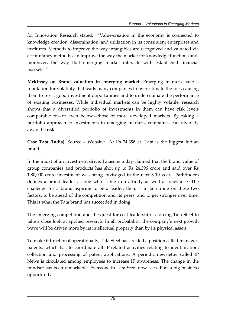for Innovation Research stated, "Value-creation in the economy is connected to knowledge creation, dissemination, and utilization in its constituent enterprises and institutes. Methods to improve the way intangibles are recognized and valuated via accountancy methods can improve the way the market for knowledge functions and, moreover, the way that emerging market interacts with established financial markets. "

**Mckinsey on Brand valuation in emerging market:** Emerging markets have a reputation for volatility that leads many companies to overestimate the risk, causing them to reject good investment opportunities and to underestimate the performance of existing businesses. While individual markets can be highly volatile, research shows that a diversified portfolio of investments in them can have risk levels comparable to—or even below—those of more developed markets. By taking a portfolio approach to investments in emerging markets, companies can diversify away the risk.

**Case Tata (India)**: Source – Website: At Rs 24,396 cr, Tata is the biggest Indian brand.

In the midst of an investment drive, Tatasons today claimed that the brand value of group companies and products has shot up to Rs 24,396 crore and said over Rs 1,80,000 crore investment was being envisaged in the next 8-10 years. Pathfinders defines a brand leader as one who is high on affinity as well as relevance. The challenge for a brand aspiring to be a leader, then, is to be strong on these two factors, to be ahead of the competition and its peers, and to get stronger over time. This is what the Tata brand has succeeded in doing.

The emerging competition and the quest for cost leadership is forcing Tata Steel to take a close look at applied research. In all probability, the company's next growth wave will be driven more by its intellectual property than by its physical assets.

To make it functional operationally, Tata Steel has created a position called managerpatents, which has to coordinate all IP-related activities relating to identification, collection and processing of patent applications. A periodic newsletter called IP News is circulated among employees to increase IP awareness. The change in the mindset has been remarkable. Everyone in Tata Steel now sees IP as a big business opportunity.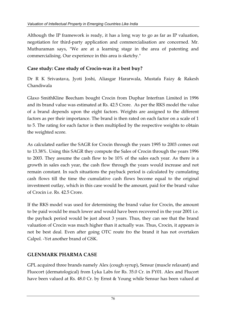Although the IP framework is ready, it has a long way to go as far as IP valuation, negotiation for third-party application and commercialisation are concerned. Mr. Muthuraman says, "We are at a learning stage in the area of patenting and commercialising. Our experience in this area is sketchy."

### **Case study: Case study of Crocin-was it a best buy?**

Dr R K Srivastava, Jyoti Joshi, Aliasgar Hararwala, Mustafa Faizy & Rakesh Chandiwala

Glaxo SmithKline Beecham bought Crocin from Duphar Interfran Limited in 1996 and its brand value was estimated at Rs. 42.5 Crore. As per the RKS model the value of a brand depends upon the eight factors. Weights are assigned to the different factors as per their importance. The brand is then rated on each factor on a scale of 1 to 5. The rating for each factor is then multiplied by the respective weights to obtain the weighted score.

As calculated earlier the SAGR for Crocin through the years 1995 to 2003 comes out to 13.38%. Using this SAGR they compute the Sales of Crocin through the years 1996 to 2003. They assume the cash flow to be 10% of the sales each year. As there is a growth in sales each year, the cash flow through the years would increase and not remain constant. In such situations the payback period is calculated by cumulating cash flows till the time the cumulative cash flows become equal to the original investment outlay, which in this case would be the amount, paid for the brand value of Crocin i.e. Rs. 42.5 Crore.

If the RKS model was used for determining the brand value for Crocin, the amount to be paid would be much lower and would have been recovered in the year 2001 i.e. the payback period would be just about 3 years. Thus, they can see that the brand valuation of Crocin was much higher than it actually was. Thus, Crocin, it appears is not be best deal. Even after going OTC route fro the brand it has not overtaken Calpol. -Yet another brand of GSK.

### **GLENMARK PHARMA CASE**

GPL acquired three brands namely Alex (cough syrup), Sensur (muscle relaxant) and Fluocort (dermatological) from Lyka Labs for Rs. 35.0 Cr. in FY01. Alex and Flucort have been valued at Rs. 48.0 Cr. by Ernst & Young while Sensur has been valued at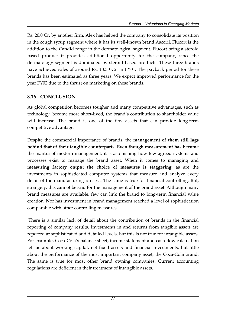Rs. 20.0 Cr. by another firm. Alex has helped the company to consolidate its position in the cough syrup segment where it has its well-known brand Ascoril. Flucort is the addition to the Candid range in the dermatological segment. Flucort being a steroid based product it provides additional opportunity for the company, since the dermatology segment is dominated by steroid based products. These three brands have achieved sales of around Rs. 13.50 Cr. in FY01. The payback period for these brands has been estimated as three years. We expect improved performance for the year FY02 due to the thrust on marketing on these brands.

#### **8.16 CONCLUSION**

As global competition becomes tougher and many competitive advantages, such as technology, become more short-lived, the brand's contribution to shareholder value will increase. The brand is one of the few assets that can provide long-term competitive advantage.

Despite the commercial importance of brands, the **management of them still lags behind that of their tangible counterparts. Even though measurement has become** the mantra of modern management, it is astonishing how few agreed systems and processes exist to manage the brand asset. When it comes to managing and **measuring factory output the choice of measures is staggering**, as are the investments in sophisticated computer systems that measure and analyze every detail of the manufacturing process. The same is true for financial controlling. But, strangely, this cannot be said for the management of the brand asset. Although many brand measures are available, few can link the brand to long-term financial value creation. Nor has investment in brand management reached a level of sophistication comparable with other controlling measures.

 There is a similar lack of detail about the contribution of brands in the financial reporting of company results. Investments in and returns from tangible assets are reported at sophisticated and detailed levels, but this is not true for intangible assets. For example, Coca-Cola's balance sheet, income statement and cash flow calculation tell us about working capital, net fixed assets and financial investments, but little about the performance of the most important company asset, the Coca-Cola brand. The same is true for most other brand owning companies. Current accounting regulations are deficient in their treatment of intangible assets.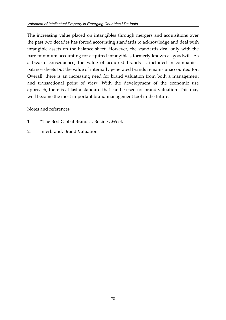The increasing value placed on intangibles through mergers and acquisitions over the past two decades has forced accounting standards to acknowledge and deal with intangible assets on the balance sheet. However, the standards deal only with the bare minimum accounting for acquired intangibles, formerly known as goodwill. As a bizarre consequence, the value of acquired brands is included in companies' balance sheets but the value of internally generated brands remains unaccounted for. Overall, there is an increasing need for brand valuation from both a management and transactional point of view. With the development of the economic use approach, there is at last a standard that can be used for brand valuation. This may well become the most important brand management tool in the future.

#### Notes and references

- 1. "The Best Global Brands", BusinessWeek
- 2. Interbrand, Brand Valuation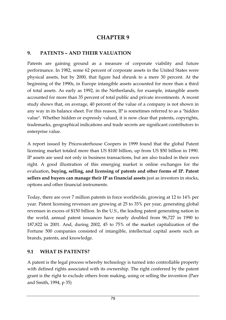# **CHAPTER 9**

### **9. PATENTS – AND THEIR VALUATION**

Patents are gaining ground as a measure of corporate viability and future performance. In 1982, some 62 percent of corporate assets in the United States were physical assets, but by 2000, that figure had shrunk to a mere 30 percent. At the beginning of the 1990s, in Europe intangible assets accounted for more than a third of total assets. As early as 1992, in the Netherlands, for example, intangible assets accounted for more than 35 percent of total public and private investments. A recent study shows that, on average, 40 percent of the value of a company is not shown in any way in its balance sheet. For this reason, IP is sometimes referred to as a "hidden value". Whether hidden or expressly valued, it is now clear that patents, copyrights, trademarks, geographical indications and trade secrets are significant contributors to enterprise value.

A report issued by Pricewaterhouse Coopers in 1999 found that the global Patent licensing market totaled more than US \$100 billion, up from US \$50 billion in 1990. IP assets are used not only in business transactions, but are also traded in their own right. A good illustration of this emerging market is online exchanges for the evaluation, **buying, selling, and licensing of patents and other forms of IP. Patent sellers and buyers can manage their IP as financial assets** just as investors in stocks, options and other financial instruments.

Today, there are over 7 million patents in force worldwide, growing at 12 to 14% per year. Patent licensing revenues are growing at 25 to 35% per year, generating global revenues in excess of \$150 billion. In the U.S., the leading patent generating nation in the world, annual patent issuances have nearly doubled from 96,727 in 1990 to 187,822 in 2001. And, during 2002, 45 to 75% of the market capitalization of the Fortune 500 companies consisted of intangible, intellectual capital assets such as brands, patents, and knowledge.

#### **9.1 WHAT IS PATENTS?**

A patent is the legal process whereby technology is turned into controllable property with defined rights associated with its ownership. The right conferred by the patent grant is the right to exclude others from making, using or selling the invention (Parr and Smith, 1994, p 35)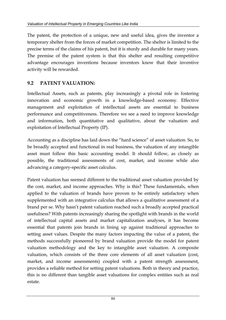The patent, the protection of a unique, new and useful idea, gives the inventor a temporary shelter from the forces of market competition. The shelter is limited to the precise terms of the claims of his patent, but it is sturdy and durable for many years. The premise of the patent system is that this shelter and resulting competitive advantage encourages inventions because inventors know that their inventive activity will be rewarded.

#### **9.2 PATENT VALUATION:**

Intellectual Assets, such as patents, play increasingly a pivotal role in fostering innovation and economic growth in a knowledge-based economy. Effective management and exploitation of intellectual assets are essential to business performance and competitiveness. Therefore we see a need to improve knowledge and information, both quantitative and qualitative, about the valuation and exploitation of Intellectual Property (IP).

Accounting as a discipline has laid down the "hard science" of asset valuation. So, to be broadly accepted and functional in real business, the valuation of any intangible asset must follow this basic accounting model. It should follow, as closely as possible, the traditional assessments of cost, market, and income while also advancing a category-specific asset calculus.

Patent valuation has seemed different to the traditional asset valuation provided by the cost, market, and income approaches. Why is this? These fundamentals, when applied to the valuation of brands have proven to be entirely satisfactory when supplemented with an integrative calculus that allows a qualitative assessment of a brand per se. Why hasn't patent valuation reached such a broadly accepted practical usefulness? With patents increasingly sharing the spotlight with brands in the world of intellectual capital assets and market capitalization analyses, it has become essential that patents join brands in lining up against traditional approaches to setting asset values. Despite the many factors impacting the value of a patent, the methods successfully pioneered by brand valuation provide the model for patent valuation methodology and the key to intangible asset valuation. A composite valuation, which consists of the three core elements of all asset valuation (cost, market, and income assessments) coupled with a patent strength assessment, provides a reliable method for setting patent valuations. Both in theory and practice, this is no different than tangible asset valuations for complex entities such as real estate.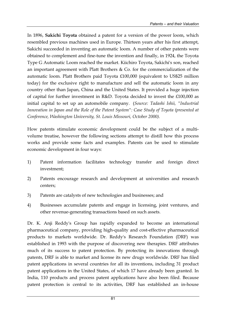In 1896, **Sakichi Toyota** obtained a patent for a version of the power loom, which resembled previous machines used in Europe. Thirteen years after his first attempt, Sakichi succeeded in inventing an automatic loom. A number of other patents were obtained to complement and fine-tune the invention and finally, in 1924, the Toyota Type G Automatic Loom reached the market. Kiichiro Toyota, Sakichi's son, reached an important agreement with Platt Brothers  $\&$  Co. for the commercialization of the automatic loom. Platt Brothers paid Toyota £100,000 (equivalent to US\$25 million today) for the exclusive right to manufacture and sell the automatic loom in any country other than Japan, China and the United States. It provided a huge injection of capital for further investment in R&D. Toyota decided to invest the £100,000 as initial capital to set up an automobile company. (*Source: Tadashi Ishii, "Industrial Innovation in Japan and the Role of the Patent System": Case Study of Toyota (presented at Conference, Washington University, St. Louis Missouri, October 2000).*

How patents stimulate economic development could be the subject of a multivolume treatise, however the following sections attempt to distill how this process works and provide some facts and examples. Patents can be used to stimulate economic development in four ways:

- 1) Patent information facilitates technology transfer and foreign direct investment;
- 2) Patents encourage research and development at universities and research centers;
- 3) Patents are catalysts of new technologies and businesses; and
- 4) Businesses accumulate patents and engage in licensing, joint ventures, and other revenue-generating transactions based on such assets.

Dr. K. Anji Reddy's Group has rapidly expanded to become an international pharmaceutical company, providing high-quality and cost-effective pharmaceutical products to markets worldwide. Dr. Reddy's Research Foundation (DRF) was established in 1993 with the purpose of discovering new therapies. DRF attributes much of its success to patent protection. By protecting its innovations through patents, DRF is able to market and license its new drugs worldwide. DRF has filed patent applications in several countries for all its inventions, including 31 product patent applications in the United States, of which 17 have already been granted. In India, 110 products and process patent applications have also been filed. Because patent protection is central to its activities, DRF has established an in-house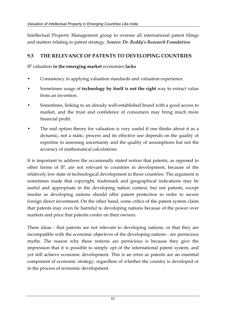Intellectual Property Management group to oversee all international patent filings and matters relating to patent strategy. *Source: Dr. Reddy's Research Foundation*

### **9.3 THE RELEVANCE OF PATENTS TO DEVELOPING COUNTRIES**

IP valuation **in the emerging market** economies **lacks**

- Consistency in applying valuation standards and valuation experience.
- Sometimes usage of **technology by itself is not the right** way to extract value from an invention.
- Sometimes, linking to an already well-established brand with a good access to market, and the trust and confidence of consumers may bring much more financial profit.
- The real option theory for valuation is very useful if one thinks about it as a dynamic, not a static, process and its effective use depends on the quality of expertise in assessing uncertainty and the quality of assumptions but not the accuracy of mathematical calculations.

It is important to address the occasionally stated notion that patents, as opposed to other forms of IP, are not relevant to countries in development, because of the relatively low state of technological development in those countries. The argument is sometimes made that copyright, trademark and geographical indications may be useful and appropriate in the developing nation context, but not patents, except insofar as developing nations should offer patent protection in order to secure foreign direct investment. On the other hand, some critics of the patent system claim that patents may even be harmful to developing nations because of the power over markets and price that patents confer on their owners.

These ideas - that patents are not relevant to developing nations, or that they are incompatible with the economic objectives of the developing nations - are pernicious myths. The reason why these notions are pernicious is because they give the impression that it is possible to simply opt of the international patent system, and yet still achieve economic development. This is an error as patents are an essential component of economic strategy, regardless of whether the country is developed or in the process of economic development.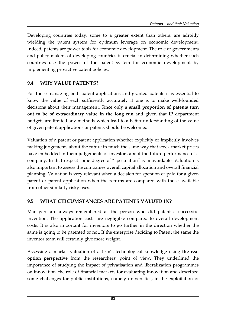Developing countries today, some to a greater extent than others, are adroitly wielding the patent system for optimum leverage on economic development. Indeed, patents are power tools for economic development. The role of governments and policy-makers of developing countries is crucial in determining whether such countries use the power of the patent system for economic development by implementing pro-active patent policies.

### **9.4 WHY VALUE PATENTS?**

For those managing both patent applications and granted patents it is essential to know the value of each sufficiently accurately if one is to make well-founded decisions about their management. Since only a **small proportion of patents turn out to be of extraordinary value in the long run** and given that IP department budgets are limited any methods which lead to a better understanding of the value of given patent applications or patents should be welcomed.

Valuation of a patent or patent application whether explicitly or implicitly involves making judgements about the future in much the same way that stock market prices have embedded in them judgements of investors about the future performance of a company. In that respect some degree of "speculation" is unavoidable. Valuation is also important to assess the companies overall capital allocation and overall financial planning. Valuation is very relevant when a decision for spent on or paid for a given patent or patent application when the returns are compared with those available from other similarly risky uses.

## **9.5 WHAT CIRCUMSTANCES ARE PATENTS VALUED IN?**

Managers are always remembered as the person who did patent a successful invention. The application costs are negligible compared to overall development costs. It is also important for inventors to go further in the direction whether the same is going to be patented or not. If the enterprise deciding to Patent the same the inventor team will certainly give more weight.

Assessing a market valuation of a firm's technological knowledge using **the real option perspective** from the researchers' point of view. They underlined the importance of studying the impact of privatisation and liberalization programmes on innovation, the role of financial markets for evaluating innovation and described some challenges for public institutions, namely universities, in the exploitation of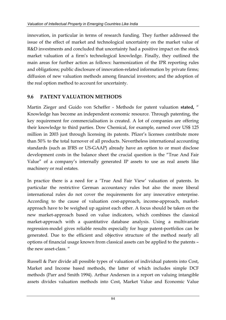innovation, in particular in terms of research funding. They further addressed the issue of the effect of market and technological uncertainty on the market value of R&D investments and concluded that uncertainty had a positive impact on the stock market valuation of a firm's technological knowledge. Finally, they outlined the main areas for further action as follows: harmonization of the IPR reporting rules and obligations; public disclosure of innovation-related information by private firms; diffusion of new valuation methods among financial investors; and the adoption of the real option method to account for uncertainty.

### **9.6 PATENT VALUATION METHODS**

Martin Zieger and Guido von Scheffer - Methods for patent valuation **stated,** " Knowledge has become an independent economic resource. Through patenting, the key requirement for commercialisation is created. A lot of companies are offering their knowledge to third parties. Dow Chemical, for example, earned over US\$ 125 million in 2003 just through licensing its patents. Pfizer's licenses contribute more than 50% to the total turnover of all products. Nevertheless international accounting standards (such as IFRS or US-GAAP) already have an option to or must disclose development costs in the balance sheet the crucial question is the "True And Fair Value" of a company's internally generated IP assets to use as real assets like machinery or real estates.

In practice there is a need for a 'True And Fair View' valuation of patents. In particular the restrictive German accountancy rules but also the more liberal international rules do not cover the requirements for any innovative enterprise. According to the cause of valuation cost-approach, income-approach, marketapproach have to be weighed up against each other. A focus should be taken on the new market-approach based on value indicators, which combines the classical market-approach with a quantitative database analysis. Using a multivariate regression-model gives reliable results especially for huge patent-portfolios can be generated. Due to the efficient and objective structure of the method nearly all options of financial usage known from classical assets can be applied to the patents – the new asset-class. "

Russell & Parr divide all possible types of valuation of individual patents into Cost, Market and Income based methods, the latter of which includes simple DCF methods (Parr and Smith 1994). Arthur Andersen in a report on valuing intangible assets divides valuation methods into Cost, Market Value and Economic Value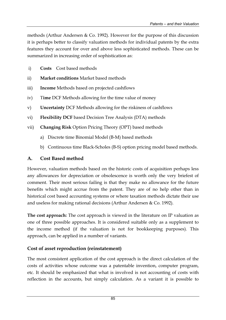methods (Arthur Andersen & Co. 1992). However for the purpose of this discussion it is perhaps better to classify valuation methods for individual patents by the extra features they account for over and above less sophisticated methods. These can be summarized in increasing order of sophistication as:

- i) **Costs** Cost based methods
- ii) **Market conditions** Market based methods
- iii) **Income** Methods based on projected cashflows
- iv) T**ime** DCF Methods allowing for the time value of money
- v) **Uncertainty** DCF Methods allowing for the riskiness of cashflows
- vi) **Flexibility DCF** based Decision Tree Analysis (DTA) methods
- vii) **Changing Risk** Option Pricing Theory (OPT) based methods
	- a) Discrete time Binomial Model (B-M) based methods
	- b) Continuous time Black-Scholes (B-S) option pricing model based methods.

### **A. Cost Based method**

However, valuation methods based on the historic costs of acquisition perhaps less any allowances for depreciation or obsolescence is worth only the very briefest of comment. Their most serious failing is that they make no allowance for the future benefits which might accrue from the patent. They are of no help other than in historical cost based accounting systems or where taxation methods dictate their use and useless for making rational decisions (Arthur Andersen & Co. 1992).

**The cost approach:** The cost approach is viewed in the literature on IP valuation as one of three possible approaches. It is considered suitable only as a supplement to the income method (if the valuation is not for bookkeeping purposes). This approach, can be applied in a number of variants.

## **Cost of asset reproduction (reinstatement)**

The most consistent application of the cost approach is the direct calculation of the costs of activities whose outcome was a patentable invention, computer program, etc. It should be emphasized that what is involved is not accounting of costs with reflection in the accounts, but simply calculation. As a variant it is possible to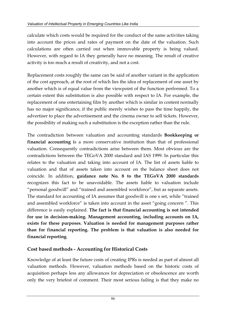calculate which costs would be required for the conduct of the same activities taking into account the prices and rates of payment on the date of the valuation. Such calculations are often carried out when immovable property is being valued. However, with regard to IA they generally have no meaning. The result of creative activity is too much a result of creativity, and not a cost.

Replacement costs roughly the same can be said of another variant in the application of the cost approach, at the root of which lies the idea of replacement of one asset by another which is of equal value from the viewpoint of the function performed. To a certain extent this substitution is also possible with respect to IA. For example, the replacement of one entertaining film by another which is similar in content normally has no major significance, if the public merely wishes to pass the time happily, the advertiser to place the advertisement and the cinema owner to sell tickets. However, the possibility of making such a substitution is the exception rather than the rule.

The contradiction between valuation and accounting standards **Bookkeeping or financial accounting i**s a more conservative institution than that of professional valuation. Consequently contradictions arise between them. Most obvious are the contradictions between the TEGoVA 2000 standard and IAS 1999. In particular this relates to the valuation and taking into account of IA. The list of assets liable to valuation and that of assets taken into account on the balance sheet does not coincide. In addition, **guidance note No. 8 to the TEGoVA 2000 standards** recognizes this fact to be unavoidable. The assets liable to valuation include "personal goodwill" and "trained and assembled workforce", but as separate assets. The standard for accounting of IA assumes that goodwill is one s set, while "trained and assembled workforce" is taken into account in the asset "going concern ". This difference is easily explained. **The fact is that financial accounting is not intended for use in decision-making. Management accounting, including accounts on IA, exists for these purposes. Valuation is needed for management purposes rather than for financial reporting. The problem is that valuation is also needed for financial reporting**.

### **Cost based methods - Accounting for Historical Costs**

Knowledge of at least the future costs of creating IPRs is needed as part of almost all valuation methods. However, valuation methods based on the historic costs of acquisition perhaps less any allowances for depreciation or obsolescence are worth only the very briefest of comment. Their most serious failing is that they make no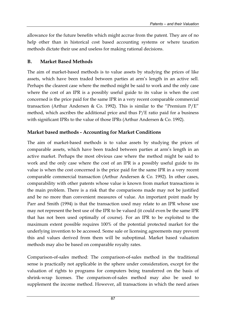allowance for the future benefits which might accrue from the patent. They are of no help other than in historical cost based accounting systems or where taxation methods dictate their use and useless for making rational decisions.

### **B. Market Based Methods**

The aim of market-based methods is to value assets by studying the prices of like assets, which have been traded between parties at arm's length in an active sell. Perhaps the clearest case where the method might be said to work and the only case where the cost of an IPR is a possibly useful guide to its value is when the cost concerned is the price paid for the same IPR in a very recent comparable commercial transaction (Arthur Andersen & Co. 1992). This is similar to the "Premium P/E" method, which ascribes the additional price and thus P/E ratio paid for a business with significant IPRs to the value of those IPRs (Arthur Andersen & Co. 1992).

### **Market based methods - Accounting for Market Conditions**

The aim of market-based methods is to value assets by studying the prices of comparable assets, which have been traded between parties at arm's length in an active market. Perhaps the most obvious case where the method might be said to work and the only case where the cost of an IPR is a possibly useful guide to its value is when the cost concerned is the price paid for the same IPR in a very recent comparable commercial transaction (Arthur Andersen & Co. 1992). In other cases, comparability with other patents whose value is known from market transactions is the main problem. There is a risk that the comparisons made may not be justified and be no more than convenient measures of value. An important point made by Parr and Smith (1994) is that the transaction used may relate to an IPR whose use may not represent the best use of the IPR to be valued (it could even be the same IPR that has not been used optimally of course). For an IPR to be exploited to the maximum extent possible requires 100% of the potential protected market for the underlying invention to be accessed. Some sale or licensing agreements may prevent this and values derived from them will be suboptimal. Market based valuation methods may also be based on comparable royalty rates.

Comparison-of-sales method: The comparison-of-sales method in the traditional sense is practically not applicable in the sphere under consideration, except for the valuation of rights to programs for computers being transferred on the basis of shrink-wrap licenses. The comparison-of-sales method may also be used to supplement the income method. However, all transactions in which the need arises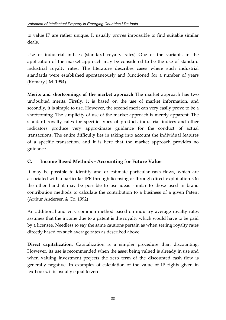to value IP are rather unique. It usually proves impossible to find suitable similar deals.

Use of industrial indices (standard royalty rates) One of the variants in the application of the market approach may be considered to be the use of standard industrial royalty rates. The literature describes cases where such industrial standards were established spontaneously and functioned for a number of years (Romary J.M. 1994).

**Merits and shortcomings of the market approach** The market approach has two undoubted merits. Firstly, it is based on the use of market information, and secondly, it is simple to use. However, the second merit can very easily prove to be a shortcoming. The simplicity of use of the market approach is merely apparent. The standard royalty rates for specific types of product, industrial indices and other indicators produce very approximate guidance for the conduct of actual transactions. The entire difficulty lies in taking into account the individual features of a specific transaction, and it is here that the market approach provides no guidance.

### **C. Income Based Methods - Accounting for Future Value**

It may be possible to identify and or estimate particular cash flows, which are associated with a particular IPR through licensing or through direct exploitation. On the other hand it may be possible to use ideas similar to those used in brand contribution methods to calculate the contribution to a business of a given Patent (Arthur Andersen & Co. 1992)

An additional and very common method based on industry average royalty rates assumes that the income due to a patent is the royalty which would have to be paid by a licensee. Needless to say the same cautions pertain as when setting royalty rates directly based on such average rates as described above.

**Direct capitalization:** Capitalization is a simpler procedure than discounting. However, its use is recommended when the asset being valued is already in use and when valuing investment projects the zero term of the discounted cash flow is generally negative. In examples of calculation of the value of IP rights given in textbooks, it is usually equal to zero.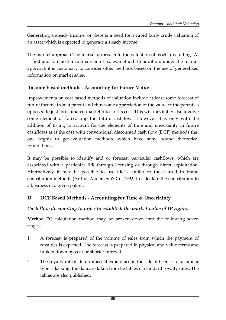Generating a steady income, or there is a need for a rapid fairly crude valuation of an asset which is expected to generate a steady income.

The market approach The market approach to the valuation of assets (including IA) is first and foremost a comparison of- sales method. In addition, under the market approach it is customary to consider other methods based on the use of generalized information on market sales.

### **Income based methods - Accounting for Future Value**

Improvements on cost based methods of valuation include at least some forecast of future income from a patent and thus some appreciation of the value of the patent as opposed to just its estimated market price or its cost. This will inevitably also involve some element of forecasting the future cashflows. However it is only with the addition of trying to account for the elements of time and uncertainty in future cashflows as is the case with conventional discounted cash flow (DCF) methods that one begins to get valuation methods, which have some sound theoretical foundations.

It may be possible to identify and or forecast particular cashflows, which are associated with a particular IPR through licensing or through direct exploitation. Alternatively it may be possible to use ideas similar to those used in brand contribution methods (Arthur Andersen & Co. 1992) to calculate the contribution to a business of a given patent.

## **D. DCF Based Methods - Accounting for Time & Uncertainty**

### *Cash flow discounting In order to establish the market value of IP rights,*

**Method D1** calculation method may be broken down into the following seven stages:

- 1. A forecast is prepared of the volume of sales from which the payment of royalties is expected. The forecast is prepared in physical and value terms and broken down by year or shorter interval.
- 2. The royalty rate is determined. If experience in the sale of licenses of a similar type is lacking, the data are taken from t e tables of standard royalty rates. The tables are also published.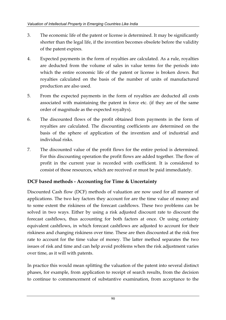- 3. The economic life of the patent or license is determined. It may be significantly shorter than the legal life, if the invention becomes obsolete before the validity of the patent expires.
- 4. Expected payments in the form of royalties are calculated. As a rule, royalties are deducted from the volume of sales in value terms for the periods into which the entire economic life of the patent or license is broken down. But royalties calculated on the basis of the number of units of manufactured production are also used.
- 5. From the expected payments in the form of royalties are deducted all costs associated with maintaining the patent in force etc. (if they are of the same order of magnitude as the expected royaltys).
- 6. The discounted flows of the profit obtained from payments in the form of royalties are calculated. The discounting coefficients are determined on the basis of the sphere of application of the invention and of industrial and individual risks.
- 7. The discounted value of the profit flows for the entire period is determined. For this discounting operation the profit flows are added together. The flow of profit in the current year is recorded with coefficient. It is considered to consist of those resources, which are received or must be paid immediately.

### **DCF based methods - Accounting for Time & Uncertainty**

Discounted Cash flow (DCF) methods of valuation are now used for all manner of applications. The two key factors they account for are the time value of money and to some extent the riskiness of the forecast cashflows. These two problems can be solved in two ways. Either by using a risk adjusted discount rate to discount the forecast cashflows, thus accounting for both factors at once. Or using certainty equivalent cashflows, in which forecast cashflows are adjusted to account for their riskiness and changing riskiness over time. These are then discounted at the risk free rate to account for the time value of money. The latter method separates the two issues of risk and time and can help avoid problems when the risk adjustment varies over time, as it will with patents.

In practice this would mean splitting the valuation of the patent into several distinct phases, for example, from application to receipt of search results, from the decision to continue to commencement of substantive examination, from acceptance to the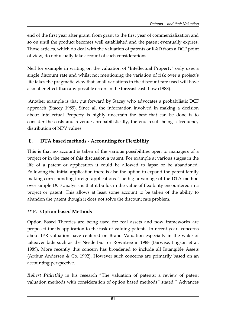end of the first year after grant, from grant to the first year of commercialization and so on until the product becomes well established and the patent eventually expires. Those articles, which do deal with the valuation of patents or R&D from a DCF point of view, do not usually take account of such considerations.

Neil for example in writing on the valuation of "Intellectual Property" only uses a single discount rate and whilst not mentioning the variation of risk over a project's life takes the pragmatic view that small variations in the discount rate used will have a smaller effect than any possible errors in the forecast cash flow (1988).

 Another example is that put forward by Stacey who advocates a probabilistic DCF approach (Stacey 1989). Since all the information involved in making a decision about Intellectual Property is highly uncertain the best that can be done is to consider the costs and revenues probabilistically, the end result being a frequency distribution of NPV values.

# **E. DTA based methods - Accounting for Flexibility**

This is that no account is taken of the various possibilities open to managers of a project or in the case of this discussion a patent. For example at various stages in the life of a patent or application it could be allowed to lapse or be abandoned. Following the initial application there is also the option to expand the patent family making corresponding foreign applications. The big advantage of the DTA method over simple DCF analysis is that it builds in the value of flexibility encountered in a project or patent. This allows at least some account to be taken of the ability to abandon the patent though it does not solve the discount rate problem.

# **\*\* F. Option based Methods**

Option Based Theories are being used for real assets and now frameworks are proposed for its application to the task of valuing patents. In recent years concerns about IPR valuation have centered on Brand Valuation especially in the wake of takeover bids such as the Nestle bid for Rowntree in 1988 (Barwise, Higson et al. 1989). More recently this concern has broadened to include all Intangible Assets (Arthur Andersen & Co. 1992). However such concerns are primarily based on an accounting perspective.

*Robert Pitkethly* in his research "The valuation of patents: a review of patent valuation methods with consideration of option based methods" stated " Advances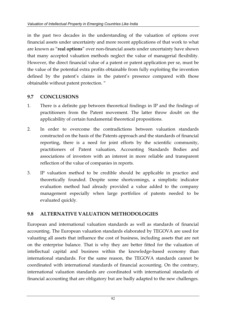in the past two decades in the understanding of the valuation of options over financial assets under uncertainty and more recent applications of that work to what are known as "**real options**" over non-financial assets under uncertainty have shown that many accepted valuation methods neglect the value of managerial flexibility. However, the direct financial value of a patent or patent application per se, must be the value of the potential extra profits obtainable from fully exploiting the invention defined by the patent's claims in the patent's presence compared with those obtainable without patent protection. "

#### **9.7 CONCLUSIONS**

- 1. There is a definite gap between theoretical findings in IP and the findings of practitioners from the Patent movement. The latter throw doubt on the applicability of certain fundamental theoretical propositions.
- 2. In order to overcome the contradictions between valuation standards constructed on the basis of the Patents approach and the standards of financial reporting, there is a need for joint efforts by the scientific community, practitioners of Patent valuation, Accounting Standards Bodies and associations of investors with an interest in more reliable and transparent reflection of the value of companies in reports.
- 3. IP valuation method to be credible should be applicable in practice and theoretically founded. Despite some shortcomings, a simplistic indicator evaluation method had already provided a value added to the company management especially when large portfolios of patents needed to be evaluated quickly.

### **9.8 ALTERNATIVE VALUATION METHODOLOGIES**

European and international valuation standards as well as standards of financial accounting. The European valuation standards elaborated by TEGOVA are used for valuating all assets that influence the cost of business, including assets that are not on the enterprise balance. That is why they are better fitted for the valuation of intellectual capital and business within the knowledge-based economy than international standards. For the same reason, the TEGOVA standards cannot be coordinated with international standards of financial accounting. On the contrary, international valuation standards are coordinated with international standards of financial accounting that are obligatory but are badly adapted to the new challenges.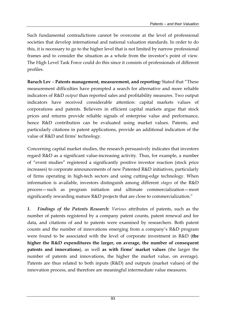Such fundamental contradictions cannot be overcome at the level of professional societies that develop international and national valuation standards. In order to do this, it is necessary to go to the higher level that is not limited by narrow professional frames and to consider the situation as a whole from the investor's point of view. The High Level Task Force could do this since it consists of professionals of different profiles.

**Baruch Lev** – **Patents management, measurement, and reporting:** Stated that "These measurement difficulties have prompted a search for alternative and more reliable indicators of R&D *output* than reported sales and profitability measures. Two output indicators have received considerable attention: capital markets values of corporations and patents. Believers in efficient capital markets argue that stock prices and returns provide reliable signals of enterprise value and performance, hence R&D contribution can be evaluated using market values. Patents, and particularly citations in patent applications, provide an additional indication of the value of R&D and firms' technology.

Concerning capital market studies, the research persuasively indicates that investors regard R&D as a significant value-increasing activity. Thus, for example, a number of "event studies" registered a significantly positive investor reaction (stock price increases) to corporate announcements of new Patented R&D initiatives, particularly of firms operating in high-tech sectors and using cutting-edge technology. When information is available, investors distinguish among different *stages* of the R&D process—such as program initiation and ultimate commercialization—most significantly rewarding mature R&D projects that are close to commercialization."

*1. Findings of the Patents Research: Various* attributes of patents, such as the number of patents registered by a company patent counts, patent renewal and fee data, and citations of and to patents were examined by researchers. Both patent counts and the number of innovations emerging from a company's R&D program were found to be associated with the level of corporate investment in R&D (**the higher the R&D expenditures the larger, on average, the number of consequent patents and innovations**), as well **as with firms' market values** (the larger the number of patents and innovations, the higher the market value, on average). Patents are thus related to both inputs (R&D) and outputs (market values) of the innovation process, and therefore are meaningful intermediate value measures.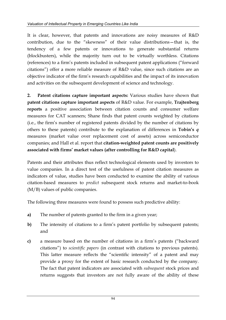It is clear, however, that patents and innovations are noisy measures of R&D contribution, due to the "skewness" of their value distributions—that is, the tendency of a few patents or innovations to generate substantial returns (blockbusters), while the majority turn out to be virtually worthless. Citations (references) to a firm's patents included in subsequent patent applications ("forward citations") offer a more reliable measure of R&D value, since such citations are an objective indicator of the firm's research capabilities and the impact of its innovation and activities on the subsequent development of science and technology.

**2. Patent citations capture important aspects:** Various studies have shown that **patent citations capture important aspects** of R&D value. For example, **Trajtenberg reports** a positive association between citation counts and consumer welfare measures for CAT scanners; Shane finds that patent counts weighted by citations (i.e., the firm's number of registered patents divided by the number of citations by others to these patents) contribute to the explanation of differences in **Tobin's** *q* measures (market value over replacement cost of assets) across semiconductor companies; and Hall et al. report that **citation-weighted patent counts are positively associated with firms' market values (after controlling for R&D capital**).

Patents and their attributes thus reflect technological elements used by investors to value companies. In a direct test of the usefulness of patent citation measures as indicators of value, studies have been conducted to examine the ability of various citation-based measures to *predict* subsequent stock returns and market-to-book (M/B) values of public companies.

The following three measures were found to possess such predictive ability:

- **a)** The number of patents granted to the firm in a given year;
- **b)** The intensity of citations to a firm's patent portfolio by subsequent patents; and
- **c)** a measure based on the number of citations in a firm's patents ("backward citations") to *scientific papers* (in contrast with citations to previous patents). This latter measure reflects the "scientific intensity" of a patent and may provide a proxy for the extent of basic research conducted by the company. The fact that patent indicators are associated with *subsequent* stock prices and returns suggests that investors are not fully aware of the ability of these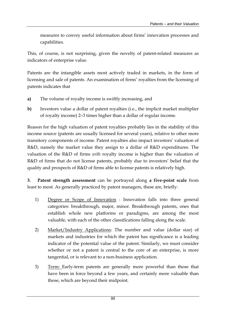measures to convey useful information about firms' innovation processes and capabilities.

This, of course, is not surprising, given the novelty of patent-related measures as indicators of enterprise value.

Patents are the intangible assets most actively traded in markets, in the form of licensing and sale of patents. An examination of firms' royalties from the licensing of patents indicates that

- **a)** The volume of royalty income is swiftly increasing, and
- **b)** Investors value a dollar of patent royalties (i.e., the implicit market multiplier of royalty income) 2–3 times higher than a dollar of regular income.

Reason for the high valuation of patent royalties probably lies in the stability of this income source (patents are usually licensed for several years), relative to other more transitory components of income. Patent royalties also impact investors' valuation of R&D, namely the market value they assign to a dollar of R&D expenditures. The valuation of the R&D of firms *with* royalty income is higher than the valuation of R&D of firms that do not license patents, probably due to investors' belief that the quality and prospects of R&D of firms able to license patents is relatively high.

**3. Patent strength assessment** can be portrayed along **a five-point scale** from least to most. As generally practiced by patent managers, these are, briefly:

- 1) Degree or Scope of Innovation : Innovation falls into three general categories: breakthrough, major, minor. Breakthrough patents, ones that establish whole new platforms or paradigms, are among the most valuable, with each of the other classifications falling along the scale.
- 2) Market/Industry Applications: The number and value (dollar size) of markets and industries for which the patent has significance is a leading indicator of the potential value of the patent. Similarly, we must consider whether or not a patent is central to the core of an enterprise, is more tangential, or is relevant to a non-business application.
- 3) Term: Early-term patents are generally more powerful than those that have been in force beyond a few years, and certainly more valuable than those, which are beyond their midpoint.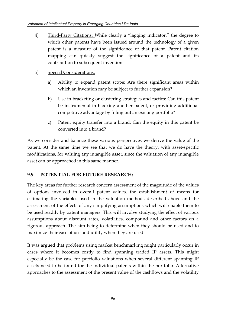- 4) Third-Party Citations: While clearly a "lagging indicator," the degree to which other patents have been issued around the technology of a given patent is a measure of the significance of that patent. Patent citation mapping can quickly suggest the significance of a patent and its contribution to subsequent invention.
- 5) Special Considerations:
	- a) Ability to expand patent scope: Are there significant areas within which an invention may be subject to further expansion?
	- b) Use in bracketing or clustering strategies and tactics: Can this patent be instrumental in blocking another patent, or providing additional competitive advantage by filling out an existing portfolio?
	- c) Patent equity transfer into a brand: Can the equity in this patent be converted into a brand?

As we consider and balance these various perspectives we derive the value of the patent. At the same time we see that we do have the theory, with asset-specific modifications, for valuing any intangible asset, since the valuation of any intangible asset can be approached in this same manner.

#### **9.9 POTENTIAL FOR FUTURE RESEARCH:**

The key areas for further research concern assessment of the magnitude of the values of options involved in overall patent values, the establishment of means for estimating the variables used in the valuation methods described above and the assessment of the effects of any simplifying assumptions which will enable them to be used readily by patent managers. This will involve studying the effect of various assumptions about discount rates, volatilities, compound and other factors on a rigorous approach. The aim being to determine when they should be used and to maximize their ease of use and utility when they are used.

It was argued that problems using market benchmarking might particularly occur in cases where it becomes costly to find spanning traded IP assets. This might especially be the case for portfolio valuations when several different spanning IP assets need to be found for the individual patents within the portfolio. Alternative approaches to the assessment of the present value of the cashflows and the volatility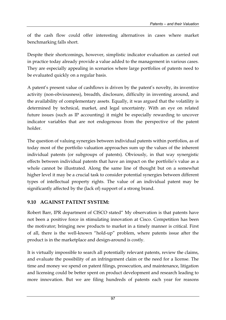of the cash flow could offer interesting alternatives in cases where market benchmarking falls short.

Despite their shortcomings, however, simplistic indicator evaluation as carried out in practice today already provide a value added to the management in various cases. They are especially appealing in scenarios where large portfolios of patents need to be evaluated quickly on a regular basis.

A patent's present value of cashflows is driven by the patent's novelty, its inventive activity (non-obviousness), breadth, disclosure, difficulty in inventing around, and the availability of complementary assets. Equally, it was argued that the volatility is determined by technical, market, and legal uncertainty. With an eye on related future issues (such as IP accounting) it might be especially rewarding to uncover indicator variables that are not endogenous from the perspective of the patent holder.

The question of valuing synergies between individual patents within portfolios, as of today most of the portfolio valuation approaches sum up the values of the inherent individual patents (or subgroups of patents). Obviously, in that way synergistic effects between individual patents that have an impact on the portfolio's value as a whole cannot be illustrated. Along the same line of thought but on a somewhat higher level it may be a crucial task to consider potential synergies between different types of intellectual property rights. The value of an individual patent may be significantly affected by the (lack of) support of a strong brand.

## **9.10 AGAINST PATENT SYSTEM:**

Robert Barr, IPR department of CISCO stated" My observation is that patents have not been a positive force in stimulating innovation at Cisco. Competition has been the motivator; bringing new products to market in a timely manner is critical. First of all, there is the well-known "hold-up" problem, where patents issue after the product is in the marketplace and design-around is costly.

It is virtually impossible to search all potentially relevant patents, review the claims, and evaluate the possibility of an infringement claim or the need for a license. The time and money we spend on patent filings, prosecution, and maintenance, litigation and licensing could be better spent on product development and research leading to more innovation. But we are filing hundreds of patents each year for reasons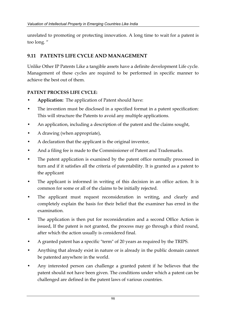unrelated to promoting or protecting innovation. A long time to wait for a patent is too long. "

## **9.11 PATENTS LIFE CYCLE AND MANAGEMENT**

Unlike Other IP Patents Like a tangible assets have a definite development Life cycle. Management of these cycles are required to be performed in specific manner to achieve the best out of them.

### **PATENT PROCESS LIFE CYCLE:**

- • **Application:** The application of Patent should have:
- The invention must be disclosed in a specified format in a patent specification: This will structure the Patents to avoid any multiple applications.
- An application, including a description of the patent and the claims sought,
- A drawing (when appropriate),
- A declaration that the applicant is the original inventor,
- And a filing fee is made to the Commissioner of Patent and Trademarks.
- The patent application is examined by the patent office normally processed in turn and if it satisfies all the criteria of patentability. It is granted as a patent to the applicant
- The applicant is informed in writing of this decision in an office action. It is common for some or all of the claims to be initially rejected.
- The applicant must request reconsideration in writing, and clearly and completely explain the basis for their belief that the examiner has erred in the examination.
- The application is then put for reconsideration and a second Office Action is issued, If the patent is not granted, the process may go through a third round, after which the action usually is considered final.
- A granted patent has a specific "term" of 20 years as required by the TRIPS.
- Anything that already exist in nature or is already in the public domain cannot be patented anywhere in the world.
- Any interested person can challenge a granted patent if he believes that the patent should not have been given. The conditions under which a patent can be challenged are defined in the patent laws of various countries.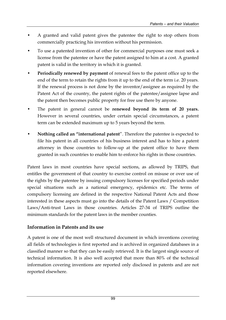- A granted and valid patent gives the patentee the right to stop others from commercially practicing his invention without his permission.
- To use a patented invention of other for commercial purposes one must seek a license from the patentee or have the patent assigned to him at a cost. A granted patent is valid in the territory in which it is granted.
- • **Periodically renewed by payment** of renewal fees to the patent office up to the end of the term to retain the rights from it up to the end of the term i.e. 20 years. If the renewal process is not done by the inventor/assignee as required by the Patent Act of the country, the patent rights of the patentee/assignee lapse and the patent then becomes public property for free use there by anyone.
- The patent in general cannot be **renewed beyond its term of 20 years.** However in several countries, under certain special circumstances, a patent term can be extended maximum up to 5 years beyond the term.
- • **Nothing called an "international patent**". Therefore the patentee is expected to file his patent in all countries of his business interest and has to hire a patent attorney in those countries to follow-up at the patent office to have them granted in such countries to enable him to enforce his rights in those countries.

Patent laws in most countries have special sections, as allowed by TRIPS, that entitles the government of that country to exercise control on misuse or over use of the rights by the patentee by issuing compulsory licenses for specified periods under special situations such as a national emergency, epidemics etc. The terms of compulsory licensing are defined in the respective National Patent Acts and those interested in these aspects must go into the details of the Patent Laws / Competition Laws/Anti-trust Laws in those countries. Articles 27-34 of TRIPS outline the minimum standards for the patent laws in the member counties.

### **Information in Patents and its use**

A patent is one of the most well structured document in which inventions covering all fields of technologies is first reported and is archived in organized databases in a classified manner so that they can be easily retrieved. It is the largest single source of technical information. It is also well accepted that more than 80% of the technical information covering inventions are reported only disclosed in patents and are not reported elsewhere.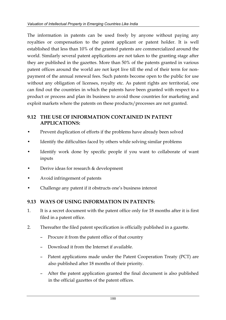The information in patents can be used freely by anyone without paying any royalties or compensation to the patent applicant or patent holder. It is well established that less than 10% of the granted patents are commercialized around the world. Similarly several patent applications are not taken to the granting stage after they are published in the gazettes. More than 50% of the patents granted in various patent offices around the world are not kept live till the end of their term for nonpayment of the annual renewal fees. Such patents become open to the public for use without any obligation of licenses, royalty etc. As patent rights are territorial, one can find out the countries in which the patents have been granted with respect to a product or process and plan its business to avoid those countries for marketing and exploit markets where the patents on these products/processes are not granted.

### **9.12 THE USE OF INFORMATION CONTAINED IN PATENT APPLICATIONS:**

- Prevent duplication of efforts if the problems have already been solved
- Identify the difficulties faced by others while solving similar problems
- Identify work done by specific people if you want to collaborate of want inputs
- Derive ideas for research & development
- Avoid infringement of patents
- Challenge any patent if it obstructs one's business interest

## **9.13 WAYS OF USING INFORMATION IN PATENTS:**

- 1. It is a secret document with the patent office only for 18 months after it is first filed in a patent office.
- 2. Thereafter the filed patent specification is officially published in a gazette.
	- Procure it from the patent office of that country
	- Download it from the Internet if available.
	- Patent applications made under the Patent Cooperation Treaty (PCT) are also published after 18 months of their priority.
	- After the patent application granted the final document is also published in the official gazettes of the patent offices.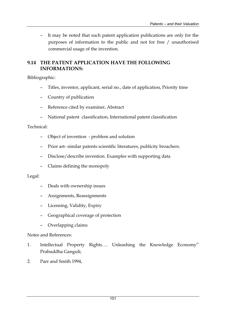– It may be noted that such patent application publications are only for the purposes of information to the public and not for free / unauthorised commercial usage of the invention.

### **9.14 THE PATENT APPLICATION HAVE THE FOLLOWING INFORMATIONS:**

Bibliographic:

- Titles, inventor, applicant, serial no., date of application, Priority time
- Country of publication
- Reference cited by examiner, Abstract
- National patent classification, International patent classification

#### Technical:

- Object of invention problem and solution
- Prior art- similar patents scientific literatures, publicity broachers.
- Disclose/describe invention. Examples with supporting data
- Claims defining the monopoly

#### Legal:

- Deals with ownership issues
- Assignments, Reassignments
- Licensing, Validity, Expiry
- Geographical coverage of protection
- Overlapping claims

Notes and References:

- 1. Intellectual Property Rights…. Unleashing the Knowledge Economy" Prabuddha Ganguli;
- 2. Parr and Smith 1994,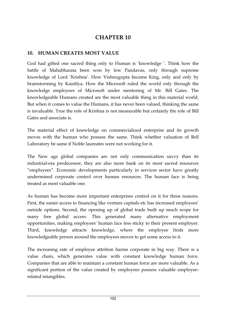# **CHAPTER 10**

### **10. HUMAN CREATES MOST VALUE**

God had gifted one sacred thing only to Human is 'knowledge '. Think how the battle of Mahabharata been won by few Pandavas, only through supreme knowledge of Lord 'Krishna'. How Vishnugupta became King, only and only by brainstorming by Kautilya. How the Microsoft ruled the world only through the knowledge employees of Microsoft under mentoring of Mr. Bill Gates. The knowledgeable Humans created are the most valuable thing in this material world. But when it comes to value the Humans, it has never been valued, thinking the same is invaluable. True the role of Krishna is not measurable but certainly the role of Bill Gates and associate is.

The material effect of knowledge on commercialized enterprise and its growth moves with the human who possess the same. Think whether valuation of Bell Laboratory be same if Noble laureates were not working for it.

The New age global companies are not only communication savvy than its industrial-era predecessor, they are also more bank on its most sacred resources "employees". Economic developments particularly in services sector have greatly undermined corporate control over human resources. The human face is being treated as most valuable one.

As human has become more important enterprises control on it for three reasons. First, the easier access to financing like venture capitals etc has increased employees' outside options. Second, the opening up of global trade built up much scope for many free global access. This generated many alternative employment opportunities, making employees' human face less sticky to their present employer. Third, knowledge attracts knowledge, where the employee finds more knowledgeable person around the employees moves to get some access to it.

The increasing rate of employee attrition harms corporate in big way. There is a value chain, which generates value with constant knowledge human force. Companies that are able to maintain a constant human force are more valuable. As a significant portion of the value created by employees possess valuable employeerelated intangibles.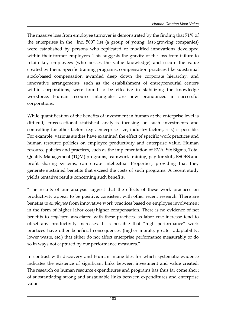The massive loss from employee turnover is demonstrated by the finding that 71% of the enterprises in the "Inc. 500" list (a group of young, fast-growing companies) were established by persons who replicated or modified innovations developed within their former employers. This suggests the gravity of the loss from failure to retain key employees (who posses the value knowledge) and secure the value created by them. Specific training programs, compensation practices like substantial stock-based compensation awarded deep down the corporate hierarchy, and innovative arrangements, such as the establishment of entrepreneurial centers within corporations, were found to be effective in stabilizing the knowledge workforce. Human resource intangibles are now pronounced in successful corporations.

While quantification of the benefits of investment in human at the enterprise level is difficult, cross-sectional statistical analysis focusing on such investments and controlling for other factors (e.g., enterprise size, industry factors, risk) is possible. For example, various studies have examined the effect of specific work practices and human resource policies on employee productivity and enterprise value. Human resource policies and practices, such as the implementation of EVA, Six Sigma, Total Quality Management (TQM) programs, teamwork training, pay-for-skill, ESOPS and profit sharing systems, can create intellectual Properties, providing that they generate sustained benefits that exceed the costs of such programs. A recent study yields tentative results concerning such benefits.

"The results of our analysis suggest that the effects of these work practices on productivity appear to be positive, consistent with other recent research. There are benefits to *employees* from innovative work practices based on employee involvement in the form of higher labor cost/higher compensation. There is no evidence of net benefits to *employers* associated with these practices, as labor cost increase tend to offset any productivity increases. It is possible that "high performance" work practices have other beneficial consequences (higher morale, greater adaptability, lower waste, etc.) that either do not affect enterprise performance measurably or do so in ways not captured by our performance measures."

In contrast with discovery and Human intangibles for which systematic evidence indicates the existence of significant links between investment and value created. The research on human resource expenditures and programs has thus far come short of substantiating strong and sustainable links between expenditures and enterprise value.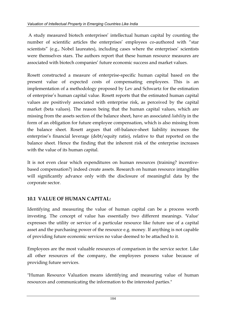A study measured biotech enterprises' intellectual human capital by counting the number of scientific articles the enterprises' employees co-authored with "star scientists" (e.g., Nobel laureates), including cases where the enterprises' scientists were themselves stars. The authors report that these human resource measures are associated with biotech companies' future economic success and market values.

Rosett constructed a measure of enterprise-specific human capital based on the present value of expected costs of compensating employees. This is an implementation of a methodology proposed by Lev and Schwartz for the estimation of enterprise's human capital value. Rosett reports that the estimated human capital values are positively associated with enterprise risk, as perceived by the capital market (beta values). The reason being that the human capital values, which are missing from the assets section of the balance sheet, have an associated *liability* in the form of an obligation for future employee compensation, which is also missing from the balance sheet. Rosett argues that off-balance-sheet liability increases the enterprise's financial leverage (debt/equity ratio), relative to that reported on the balance sheet. Hence the finding that the inherent risk of the enterprise increases with the value of its human capital.

It is not even clear which expenditures on human resources (training? incentivebased compensation?) indeed create assets. Research on human resource intangibles will significantly advance only with the disclosure of meaningful data by the corporate sector.

## **10.1 VALUE OF HUMAN CAPITAL:**

Identifying and measuring the value of human capital can be a process worth investing. The concept of value has essentially two different meanings. 'Value' expresses the utility or service of a particular resource like future use of a capital asset and the purchasing power of the resource e.g. money. If anything is not capable of providing future economic services no value deemed to be attached to it.

Employees are the most valuable resources of comparison in the service sector. Like all other resources of the company, the employees possess value because of providing future services.

"Human Resource Valuation means identifying and measuring value of human resources and communicating the information to the interested parties."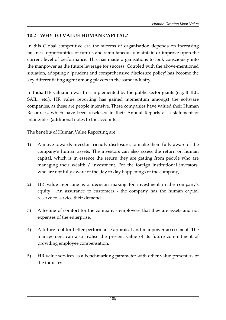## **10.2 WHY TO VALUE HUMAN CAPITAL?**

In this Global competitive era the success of organisation depends on increasing business opportunities of future, and simultaneously maintain or improve upon the current level of performance. This has made organisations to look consciously into the manpower as the future leverage for success. Coupled with the above-mentioned situation, adopting a 'prudent and comprehensive disclosure policy' has become the key differentiating agent among players in the same industry.

In India HR valuation was first implemented by the public sector giants (e.g. BHEL, SAIL, etc.). HR value reporting has gained momentum amongst the software companies, as these are people intensive. These companies have valued their Human Resources, which have been disclosed in their Annual Reports as a statement of intangibles (additional notes to the accounts).

The benefits of Human Value Reporting are:

- 1) A move towards investor friendly disclosure, to make them fully aware of the company's human assets. The investors can also assess the return on human capital, which is in essence the return they are getting from people who are managing their wealth / investment. For the foreign institutional investors, who are not fully aware of the day to day happenings of the company,
- 2) HR value reporting is a decision making for investment in the company's equity. An assurance to customers - the company has the human capital reserve to service their demand.
- 3) A feeling of comfort for the company's employees that they are assets and not expenses of the enterprise.
- 4) A future tool for better performance appraisal and manpower assessment. The management can also realise the present value of its future commitment of providing employee compensation.
- 5) HR value services as a benchmarking parameter with other value presenters of the industry.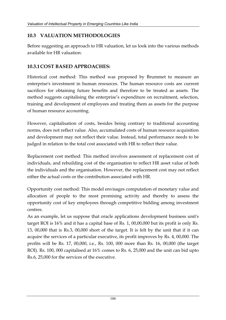## **10.3 VALUATION METHODOLOGIES**

Before suggesting an approach to HR valuation, let us look into the various methods available for HR valuation:

### **10.3.1 COST BASED APPROACHES:**

Historical cost method: This method was proposed by Brummet to measure an enterprise's investment in human resources. The human resource costs are current sacrifices for obtaining future benefits and therefore to be treated as assets. The method suggests capitalising the enterprise's expenditure on recruitment, selection, training and development of employees and treating them as assets for the purpose of human resource accounting.

However, capitalisation of costs, besides being contrary to traditional accounting norms, does not reflect value. Also, accumulated costs of human resource acquisition and development may not reflect their value. Instead, total performance needs to be judged in relation to the total cost associated with HR to reflect their value.

Replacement cost method: This method involves assessment of replacement cost of individuals, and rebuilding cost of the organisation to reflect HR asset value of both the individuals and the organisation. However, the replacement cost may not reflect either the actual costs or the contribution associated with HR.

Opportunity cost method: This model envisages computation of monetary value and allocation of people to the most promising activity and thereby to assess the opportunity cost of key employees through competitive bidding among investment centres.

As an example, let us suppose that oracle applications development business unit's target ROI is 16% and it has a capital base of Rs. 1, 00,00,000 but its profit is only Rs. 13, 00,000 that is Rs.3, 00,000 short of the target. It is felt by the unit that if it can acquire the services of a particular executive, its profit improves by Rs. 4, 00,000. The profits will be Rs. 17, 00,000, i.e., Rs. 100, 000 more than Rs. 16, 00,000 (the target ROI). Rs. 100, 000 capitalised at 16% comes to Rs. 6, 25,000 and the unit can bid upto Rs.6, 25,000 for the services of the executive.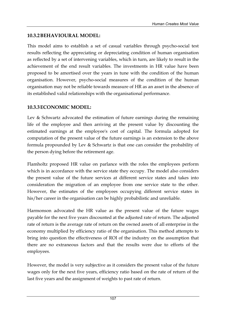## **10.3.2 BEHAVIOURAL MODEL:**

This model aims to establish a set of casual variables through psycho-social test results reflecting the appreciating or depreciating condition of human organisation as reflected by a set of intervening variables, which in turn, are likely to result in the achievement of the end result variables. The investments in HR value have been proposed to be amortised over the years in tune with the condition of the human organisation. However, psycho-social measures of the condition of the human organisation may not be reliable towards measure of HR as an asset in the absence of its established valid relationships with the organisational performance.

## **10.3.3 ECONOMIC MODEL:**

Lev & Schwartz advocated the estimation of future earnings during the remaining life of the employee and then arriving at the present value by discounting the estimated earnings at the employee's cost of capital. The formula adopted for computation of the present value of the future earnings is an extension to the above formula propounded by Lev & Schwartz is that one can consider the probability of the person dying before the retirement age.

Flamholtz proposed HR value on parlance with the roles the employees perform which is in accordance with the service state they occupy. The model also considers the present value of the future services at different service states and takes into consideration the migration of an employee from one service state to the other. However, the estimates of the employees occupying different service states in his/her career in the organisation can be highly probabilistic and unreliable.

Harmonson advocated the HR value as the present value of the future wages payable for the next five years discounted at the adjusted rate of return. The adjusted rate of return is the average rate of return on the owned assets of all enterprise in the economy multiplied by efficiency ratio of the organisation. This method attempts to bring into question the effectiveness of ROI of the industry on the assumption that there are no extraneous factors and that the results were due to efforts of the employees.

However, the model is very subjective as it considers the present value of the future wages only for the next five years, efficiency ratio based on the rate of return of the last five years and the assignment of weights to past rate of return.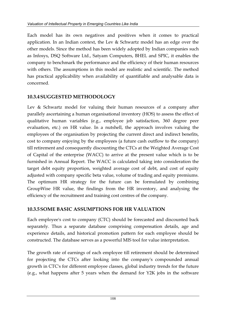Each model has its own negatives and positives when it comes to practical application. In an Indian context, the Lev & Schwartz model has an edge over the other models. Since the method has been widely adopted by Indian companies such as Infosys, DSQ Software Ltd., Satyam Computers, BHEL and SPIC, it enables the company to benchmark the performance and the efficiency of their human resources with others. The assumptions in this model are realistic and scientific. The method has practical applicability when availability of quantifiable and analysable data is concerned.

## **10.3.4 SUGGESTED METHODOLOGY**

Lev & Schwartz model for valuing their human resources of a company after parallely ascertaining a human organisational inventory (HOS) to assess the effect of qualitative human variables (e.g., employee job satisfaction, 360 degree peer evaluation, etc.) on HR value. In a nutshell, the approach involves valuing the employees of the organisation by projecting the current direct and indirect benefits, cost to company enjoying by the employees (a future cash outflow to the company) till retirement and consequently discounting the CTCs at the Weighted Average Cost of Capital of the enterprise (WACC) to arrive at the present value which is to be furnished in Annual Report. The WACC is calculated taking into consideration the target debt equity proportion, weighted average cost of debt, and cost of equity adjusted with company specific beta value, volume of trading and equity premiums. The optimum HR strategy for the future can be formulated by combining GroupWise HR value, the findings from the HR inventory, and analysing the efficiency of the recruitment and training cost centres of the company.

## **10.3.5 SOME BASIC ASSUMPTIONS FOR HR VALUATION**

Each employee's cost to company (CTC) should be forecasted and discounted back separately. Thus a separate database comprising compensation details, age and experience details, and historical promotion pattern for each employee should be constructed. The database serves as a powerful MIS tool for value interpretation.

The growth rate of earnings of each employee till retirement should be determined for projecting the CTCs after looking into the company's compounded annual growth in CTC's for different employee classes, global industry trends for the future (e.g., what happens after 5 years when the demand for Y2K jobs in the software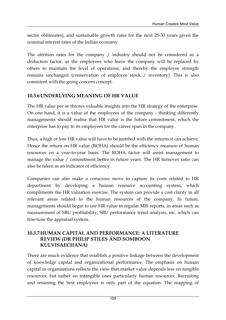sector obliterates), and sustainable growth rates for the next 25-30 years given the nominal interest rates of the Indian economy.

The attrition rates for the company / industry should not be considered as a deduction factor, as the employees who leave the company will be replaced by others to maintain the level of operations, and thereby the employee strength remains unchanged (conservation of employee stock / inventory). This is also consistent with the going concern concept.

## **10.3.6 UNDERLYING MEANING OF HR VALUE**

The HR value per se throws valuable insights into the HR strategy of the enterprise. On one hand, it is a value of the employees of the company - thinking differently managements should realise that HR value is the future commitment, which the enterprise has to pay to its employees for the career span in the company.

Thus, a high or low HR value will have to be justified with the returns it can achieve. Hence the return on HR value (ROHA) should be the efficiency measure of human resources on a year-to-year basis. The ROHA factor will assist management to manage the value / commitment better in future years. The HR turnover ratio can also be taken as an indicator of efficiency.

Companies can also make a conscious move to capture its costs related to HR department by developing a human resource accounting system, which compliments the HR valuation exercise. The system can provide a cost clarity in all relevant areas related to the human resources of the company. In future, managements should begin to use HR value in regular MIS reports, in areas such as measurement of SBU profitability, SBU performance trend analysis, etc. which can fine-tune the appraisal system.

#### **10.3.7 HUMAN CAPITAL AND PERFORMANCE: A LITERATURE REVIEW (DR PHILIP STILES AND SOMBOON KULVISAECHANA)**

There are much evidence that establish a positive linkage between the development of knowledge capital and organizational performance. The emphasis on human capital in organisations reflects the view that market value depends less on tangible resources, but rather on intangible ones particularly human resources. Recruiting and retaining the best employees is only part of the equation. The mapping of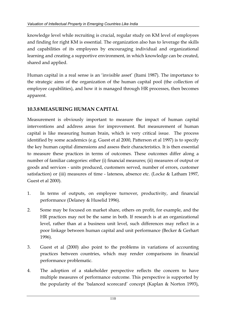knowledge level while recruiting is crucial, regular study on KM level of employees and finding for right KM is essential. The organization also has to leverage the skills and capabilities of its employees by encouraging individual and organizational learning and creating a supportive environment, in which knowledge can be created, shared and applied.

Human capital in a real sense is an 'invisible asset' (Itami 1987). The importance to the strategic aims of the organization of the human capital pool (the collection of employee capabilities), and how it is managed through HR processes, then becomes apparent.

## **10.3.8 MEASURING HUMAN CAPITAL**

Measurement is obviously important to measure the impact of human capital interventions and address areas for improvement. But measurement of human capital is like measuring human brain, which is very critical issue. The process identified by some academics (e.g. Guest et al 2000, Patterson et al 1997) is to specify the key human capital dimensions and assess their characteristics. It is then essential to measure these practices in terms of outcomes. These outcomes differ along a number of familiar categories: either (i) financial measures; (ii) measures of output or goods and services - units produced, customers served, number of errors, customer satisfaction) or (iii) measures of time - lateness, absence etc. (Locke & Latham 1997, Guest et al 2000).

- 1. In terms of outputs, on employee turnover, productivity, and financial performance (Delaney & Huselid 1996).
- 2. Some may be focused on market share, others on profit, for example, and the HR practices may not be the same in both. If research is at an organizational level, rather than at a business unit level, such differences may reflect in a poor linkage between human capital and unit performance (Becker & Gerhart 1996).
- 3. Guest et al (2000) also point to the problems in variations of accounting practices between countries, which may render comparisons in financial performance problematic.
- 4. The adoption of a stakeholder perspective reflects the concern to have multiple measures of performance outcome. This perspective is supported by the popularity of the 'balanced scorecard' concept (Kaplan & Norton 1993),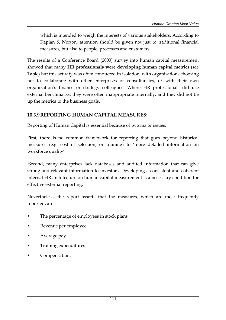which is intended to weigh the interests of various stakeholders. According to Kaplan & Norton, attention should be given not just to traditional financial measures, but also to people, processes and customers.

The results of a Conference Board (2003) survey into human capital measurement showed that many **HR professionals were developing human capital metrics** (see Table) but this activity was often conducted in isolation, with organisations choosing not to collaborate with other enterprises or consultancies, or with their own organization's finance or strategy colleagues. Where HR professionals did use external benchmarks, they were often inappropriate internally, and they did not tie up the metrics to the business goals.

## **10.3.9 REPORTING HUMAN CAPITAL MEASURES:**

Reporting of Human Capital is essential because of two major issues:

First, there is no common framework for reporting that goes beyond historical measures (e.g. cost of selection, or training) to 'more detailed information on workforce quality'

 Second, many enterprises lack databases and audited information that can give strong and relevant information to investors. Developing a consistent and coherent internal HR architecture on human capital measurement is a necessary condition for effective external reporting.

Nevertheless, the report asserts that the measures, which are most frequently reported, are:

- The percentage of employees in stock plans
- Revenue per employee
- Average pay
- Training expenditures
- Compensation.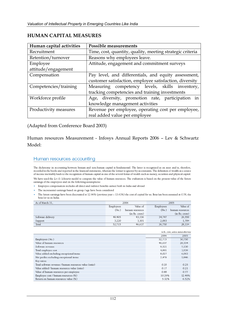#### **HUMAN CAPITAL MEASURES**

| Human capital activities | <b>Possible measurements</b>                              |
|--------------------------|-----------------------------------------------------------|
| Recruitment              | Time, cost, quantity, quality, meeting strategic criteria |
| Retention/turnover       | Reasons why employees leave.                              |
| Employee                 | Attitude, engagement and commitment surveys               |
| attitude/engagement      |                                                           |
| Compensation             | Pay level, and differentials, and equity assessment,      |
|                          | customer satisfaction, employee satisfaction, diversity   |
| Competencies/training    | Measuring competency levels, skills inventory,            |
|                          | tracking competencies and training investments            |
| Workforce profile        | Age, diversity, promotion rate, participation in          |
|                          | knowledge management activities                           |
| Productivity measures    | Revenue per employee, operating cost per employee,        |
|                          | real added value per employee                             |

(Adapted from Conference Board 2003)

Human resources Measurement - Infosys Annual Reports 2006 – Lev & Schwartz Model:

#### Human resources accounting

The dichotomy in accounting between human and non-human capital is fundamental. The latter is recognized as an asset and is, therefore, recorded in the books and reported in the financial statements, whereas the former is ignored by accountants. The definition of wealth as a source of income inevitably leads to the recognition of human capital as one of the several forms of wealth such as money, securities and physical capital.

We have used the Lev & Schwartz model to compute the value of human resources. The evaluation is based on the present value of the future earnings of the employees and on the following assumptions:

- Employee compensation includes all direct and indirect benefits earned both in India and abroad  $\bullet$
- The incremental earnings based on group / age have been considered
- The future earnings have been discounted at 12.96% (previous year 13.63%) the cost of capital for us. Beta has been assumed at 0.78, the beta for us in India.

| As of March 31,   | 2006      |                 | 2005      |                 |
|-------------------|-----------|-----------------|-----------|-----------------|
|                   | Employees | Value of        | Employees | Value of        |
|                   | (No.)     | human resources | (No.)     | human resources |
|                   |           | (in Rs. crore)  |           | (in Rs. crore)  |
| Software delivery | 49,495    | 43,336          | 34,747    | 26,550          |
| Support           | 3,220     | 3,301           | 2.003     | 1,784           |
| Total             | 52,715    | 46,637          | 36,750    | 28,334          |

|                                                        | in Rs. crore, unless stated otherwise |        |
|--------------------------------------------------------|---------------------------------------|--------|
|                                                        | 2006                                  | 2005   |
| Employees (No.)                                        | 52,715                                | 36,750 |
| Value of human resources                               | 46,637                                | 28,334 |
| Software revenue                                       | 9,521                                 | 7,130  |
| Total employee cost                                    | 4.801                                 | 3.539  |
| Value added excluding exceptional items                | 8,027                                 | 6,053  |
| Net profits excluding exceptional items                | 2,479                                 | 1,846  |
| Key ratios                                             |                                       |        |
| Total software revenue / human resources value (ratio) | 0.20                                  | 0.25   |
| Value added / human resources value (ratio)            | 0.17                                  | 0.21   |
| Value of human resources per employee                  | 0.88                                  | 0.77   |
| Employee cost / human resources (%)                    | 10.29%                                | 12.49% |
| Return on human resources value (%)                    | 5.32%                                 | 6.52%  |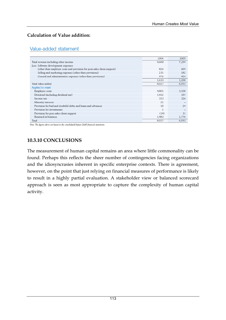### **Calculation of Value addition:**

#### Value-added statement

|                                                                         | 2006  | 2005  |
|-------------------------------------------------------------------------|-------|-------|
| Total revenue including other income                                    | 9,660 | 7,254 |
| Less: Software development expenses                                     |       |       |
| (other than employee costs and provision for post-sales client support) | 826   | 604   |
| Selling and marketing expenses (other than provisions)                  | 231   | 182   |
| General and administration expenses (other than provisions)             | 576   | 414   |
|                                                                         | 1,633 | 1,200 |
| Total value-added                                                       | 8,027 | 6,053 |
| Applied to meet                                                         |       |       |
| Employee costs                                                          | 4.801 | 3.539 |
| Dividend (including dividend tax)                                       | 1,412 | 357   |
| Income tax                                                              | 313   | 326   |
| Minority interests                                                      | 21    |       |
| Provision for bad and doubtful debts and loans and advances             | 10    | 24    |
| Provision for investments                                               |       |       |
| Provision for post-sales client support                                 | (14)  | 31    |
| Retained in business                                                    | 1,483 | 1,776 |
| Total                                                                   | 8,027 | 6,053 |

Note: The figures above are based on the consolidated Indian GAAP financial statements.

## **10.3.10 CONCLUSIONS**

The measurement of human capital remains an area where little commonality can be found. Perhaps this reflects the sheer number of contingencies facing organizations and the idiosyncrasies inherent in specific enterprise contexts. There is agreement, however, on the point that just relying on financial measures of performance is likely to result in a highly partial evaluation. A stakeholder view or balanced scorecard approach is seen as most appropriate to capture the complexity of human capital activity.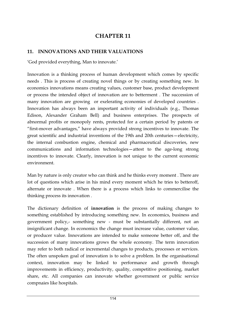# **CHAPTER 11**

### **11. INNOVATIONS AND THEIR VALUATIONS**

'God provided everything, Man to innovate.'

Innovation is a thinking process of human development which comes by specific needs . This is process of creating novel things or by creating something new. In economics innovations means creating values, customer base, product development or process the intended object of innovation are to betterment . The succession of many innovation are growing or exelerating economies of developed countries . Innovation has always been an important activity of individuals (e.g., Thomas Edison, Alexander Graham Bell) and business enterprises. The prospects of abnormal profits or monopoly rents, protected for a certain period by patents or "first-mover advantages," have always provided strong incentives to innovate. The great scientific and industrial inventions of the 19th and 20th centuries—electricity, the internal combustion engine, chemical and pharmaceutical discoveries, new communications and information technologies—attest to the age-long strong incentives to innovate. Clearly, innovation is not unique to the current economic environment.

Man by nature is only creator who can think and he thinks every moment . There are lot of questions which arise in his mind every moment which he tries to betteroff, alternate or innovate . When there is a process which links to commercilise the thinking process its innovation .

The dictionary definition of **innovation** is the process of making changes to something established by introducing something new. In economics, business and government policy,- something new - must be substantially different, not an insignificant change. In economics the change must increase value, customer value, or producer value. Innovations are intended to make someone better off, and the succession of many innovations grows the whole economy. The term innovation may refer to both radical or incremental changes to products, processes or services. The often unspoken goal of innovation is to solve a problem. In the organisational context, innovation may be linked to performance and growth through improvements in efficiency, productivity, quality, competitive positioning, market share, etc. All companies can innovate whether government or public service compnaies like hospitals.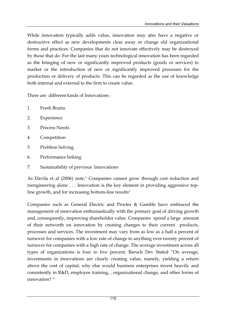While innovation typically adds value, innovation may also have a negative or destructive effect as new developments clear away or change old organizational forms and practices. Companies that do not innovate effectively may be destroyed by those that do. For the last many years technological innovation has been regarded as the bringing of new or significantly improved products (goods or services) to market or the introduction of new or significantly improved processes for the production or delivery of products. This can be regarded as the use of knowledge both internal and external to the firm to create value.

There are different kinds of Innovations :

- 1. Fresh Brains
- 2. Experience
- 3. Process Needs
- 4. Competition
- 5. Problem Solving
- 6. Performance linking
- 7. Sustainability of previous Innovations

As Davila et al (2006) note," Companies cannot grow through cost reduction and reengineering alone . . . Innovation is the key element in providing aggressive topline growth, and for increasing bottom-line results"

Companies such as General Electric and Procter & Gamble have embraced the management of innovation enthusiastically with the primary goal of driving growth and, consequently, improving shareholder value. Companies spend a large amount of their networth on innovation by creating changes to their current products, processes and services. The investment may vary from as low as a half a percent of turnover for companies with a low rate of change to anything over twenty percent of turnover for companies with a high rate of change. The average investment across all types of organizations is four to five percent. Baruch Dev Stated "On average, investments in innovations are clearly creating value, namely, yielding a return above the cost of capital; why else would business enterprises invest heavily and consistently in R&D, employee training, , organizational change, and other forms of innovation? "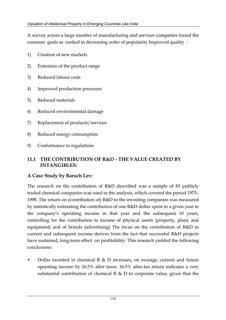A survey across a large number of manufacturing and services companies found the common goals as ranked in decreasing order of popularity Improved quality :

- 1) Creation of new markets
- 2) Extension of the product range
- 3) Reduced labour costs
- 4) Improved production processes
- 5) Reduced materials
- 6) Reduced environmental damage
- 7) Replacement of products/services
- 8) Reduced energy consumption
- 9) Conformance to regulations

## **11.1 THE CONTRIBUTION OF R&D - THE VALUE CREATED BY INTANGIBLES:**

## **A Case Study by Baruch Lev:**

The research on the contribution of R&D described was a sample of 83 publicly traded chemical companies was used in the analysis, which covered the period 1975– 1998. The return on (contribution of) R&D to the investing companies was measured by statistically estimating the contribution of one R&D dollar spent in a given year to the company's operating income in that year and the subsequent 10 years, controlling for the contribution to income of physical assets (property, plant, and equipment) and of brands (advertising) The focus on the contribution of R&D to current and subsequent income derives from the fact that successful R&D projects have sustained, long-term effect on profitability. This research yielded the following conclusions:

Dollar invested in chemical  $R \& D$  increases, on average, current and future operating income by 16.5% after taxes. 16.5% after-tax return indicates a very substantial contribution of chemical  $R \& D$  to corporate value, given that the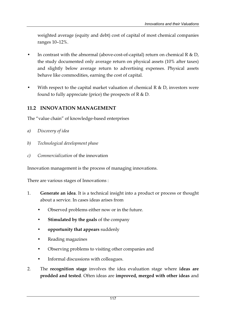weighted average (equity and debt) cost of capital of most chemical companies ranges 10–12%.

- In contrast with the abnormal (above-cost-of-capital) return on chemical R & D, the study documented only average return on physical assets (10% after taxes) and slightly below average return to advertising expenses. Physical assets behave like commodities, earning the cost of capital.
- With respect to the capital market valuation of chemical  $R \& D$ , investors were found to fully appreciate (price) the prospects of  $R \& D$ .

### **11.2 INNOVATION MANAGEMENT**

The "value chain" of knowledge-based enterprises

- *a) Discovery of idea*
- *b) Technological development phase*
- *c) Commercialization* of the innovation

Innovation management is the process of managing innovations.

There are various stages of Innovations :

- 1. **Generate an idea**. It is a technical insight into a product or process or thought about a service. In cases ideas arises from
	- Observed problems either now or in the future.
	- **Stimulated by the goals** of the company
	- **opportunity that appears** suddenly
	- Reading magazines
	- Observing problems to visiting other companies and
	- Informal discussions with colleagues.
- 2. The **recognition stage** involves the idea evaluation stage where **ideas are prodded and tested**. Often ideas are **improved, merged with other ideas** and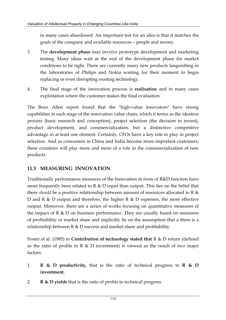in many cases abandoned. An important test for an idea is that it matches the goals of the company and available resources – people and money.

- 3. The **development phase** may involve prototype development and marketing testing. Many ideas wait at the end of the development phase for market conditions to be right. There are currently many new products languishing in the laboratories of Philips and Nokia waiting for their moment to begin replacing or even disrupting existing technology.
- 4. The final stage of the innovation process is **realisation** and in many cases exploitation where the customer makes the final evaluation.

The Booz Allen report found that the "high-value innovators" have strong capabilities in each stage of the innovation value chain, which it terms as the ideation process (basic research and conception), project selection (the decision to invest), product development, and commercialization, but a distinctive competitive advantage in at least one element. Certainly, CFOs have a key role to play in project selection. And as consumers in China and India become more important customers, these countries will play more and more of a role in the commercialization of new products.

## **11.3 MEASURING INNOVATION**

Traditionally performance measures of the Innovation in form of R&D function have more frequently been related to R & D input than output. This lies on the belief that there *should* be a positive relationship between amount of resources allocated to R & D and R & D output and therefore, the higher R & D expenses, the more effective output. Moreover, there are a series of works focusing on quantitative measures of the impact of  $R \& D$  on business performance. They are usually based on measures of profitability or market share and implicitly lie on the assumption that a there is a relationship between R & D success and market share and profitability.

Foster et al. (1985) in **Contribution of technology stated that** R & D return (defined as the ratio of profits to R & D investment) is viewed as the result of two major factors:

- 1. **R & D productivity,** that is the ratio of technical progress to **R & D investment**,
- 2. **R & D yields** that is the ratio of profits to technical progress.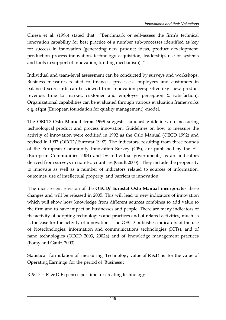Chiesa et al. (1996) stated that "Benchmark or self-assess the firm's technical innovation capability for best practice of a number sub-processes identified as key for success in innovation (generating new product ideas, product development, production process innovation, technology acquisition, leadership, use of systems and tools in support of innovation, funding mechanism). "

Individual and team-level assessment can be conducted by surveys and workshops. Business measures related to finances, processes, employees and customers in balanced scorecards can be viewed from innovation perspective (e.g. new product revenue, time to market, customer and employee perception & satisfaction). Organizational capabilities can be evaluated through various evaluation frameworks e.g. **efqm** (European foundation for quality management) -model.

The **OECD Oslo Manual from 1995** suggests standard guidelines on measuring technological product and process innovation. Guidelines on how to measure the activity of innovation were codified in 1992 as the Oslo Manual (OECD 1992) and revised in 1997 (OECD/Eurostat 1997). The indicators, resulting from three rounds of the European Community Innovation Survey (CIS), are published by the EU (European Communities 2004) and by individual governments, as are indicators derived from surveys in non-EU countries (Gault 2003). They include the propensity to innovate as well as a number of indicators related to sources of information, outcomes, use of intellectual property, and barriers to innovation.

 The most recent revision of the **OECD/ Eurostat Oslo Manual incorporates** these changes and will be released in 2005. This will lead to new indicators of innovation which will show how knowledge from different sources combines to add value to the firm and to have impact on businesses and people. There are many indicators of the activity of adopting technologies and practices and of related activities, much as is the case for the activity of innovation. The OECD publishes indicators of the use of biotechnologies, information and communications technologies (ICTs), and of nano technologies (OECD 2003, 2002a) and of knowledge management practices (Foray and Gault, 2003)

Statistical formulation of measuring Technology value of  $R &D$  is for the value of Operating Earnings for the period of Business :

 $R & D = R & D$  Expenses per time for creating technology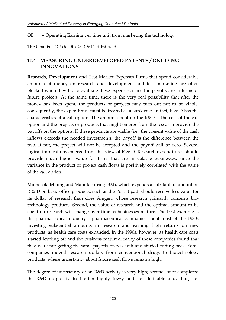$OE = Operating$  Earning per time unit from marketing the technology

The Goal is  $OE (te - t0) > R & D + Interest$ 

### **11.4 MEASURING UNDERDEVELOPED PATENTS / ONGOING INNOVATIONS**

**Research, Development** and Test Market Expenses Firms that spend considerable amounts of money on research and development and test marketing are often blocked when they try to evaluate these expenses, since the payoffs are in terms of future projects. At the same time, there is the very real possibility that after the money has been spent, the products or projects may turn out not to be viable; consequently, the expenditure must be treated as a sunk cost. In fact,  $R \& D$  has the characteristics of a call option. The amount spent on the R&D is the cost of the call option and the projects or products that might emerge from the research provide the payoffs on the options. If these products are viable (i.e., the present value of the cash inflows exceeds the needed investment), the payoff is the difference between the two. If not, the project will not be accepted and the payoff will be zero. Several logical implications emerge from this view of R & D. Research expenditures should provide much higher value for firms that are in volatile businesses, since the variance in the product or project cash flows is positively correlated with the value of the call option.

Minnesota Mining and Manufacturing (3M), which expends a substantial amount on R & D on basic office products, such as the Post-it pad, should receive less value for its dollar of research than does Amgen, whose research primarily concerns biotechnology products. Second, the value of research and the optimal amount to be spent on research will change over time as businesses mature. The best example is the pharmaceutical industry - pharmaceutical companies spent most of the 1980s investing substantial amounts in research and earning high returns on new products, as health care costs expanded. In the 1990s, however, as health care costs started leveling off and the business matured, many of these companies found that they were not getting the same payoffs on research and started cutting back. Some companies moved research dollars from conventional drugs to biotechnology products, where uncertainty about future cash flows remains high.

The degree of uncertainty of an R&D activity is very high; second, once completed the R&D output is itself often highly fuzzy and not definable and, thus, not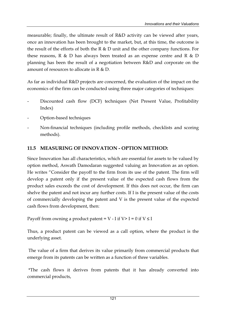measurable; finally, the ultimate result of R&D activity can be viewed after years, once an innovation has been brought to the market, but, at this time, the outcome is the result of the efforts of both the R & D unit and the other company functions. For these reasons,  $R \& D$  has always been treated as an expense centre and  $R \& D$ planning has been the result of a negotiation between R&D and corporate on the amount of resources to allocate in R & D.

As far as individual R&D projects are concerned, the evaluation of the impact on the economics of the firm can be conducted using three major categories of techniques:

- Discounted cash flow (DCF) techniques (Net Present Value, Profitability Index)
- Option-based techniques
- Non-financial techniques (including profile methods, checklists and scoring methods).

### **11.5 MEASURING OF INNOVATION - OPTION METHOD:**

Since Innovation has all characteristics, which are essential for assets to be valued by option method, Aswath Damodaran suggested valuing an Innovation as an option. He writes "Consider the payoff to the firm from its use of the patent. The firm will develop a patent only if the present value of the expected cash flows from the product sales exceeds the cost of development. If this does not occur, the firm can shelve the patent and not incur any further costs. If I is the present value of the costs of commercially developing the patent and V is the present value of the expected cash flows from development, then:

Payoff from owning a product patent =  $V - I$  if  $V > I = 0$  if  $V \leq I$ 

Thus, a product patent can be viewed as a call option, where the product is the underlying asset.

 The value of a firm that derives its value primarily from commercial products that emerge from its patents can be written as a function of three variables.

 \*The cash flows it derives from patents that it has already converted into commercial products,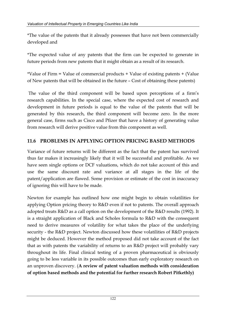\*The value of the patents that it already possesses that have not been commercially developed and

\*The expected value of any patents that the firm can be expected to generate in future periods from new patents that it might obtain as a result of its research.

\*Value of Firm = Value of commercial products + Value of existing patents + (Value of New patents that will be obtained in the future – Cost of obtaining these patents)

 The value of the third component will be based upon perceptions of a firm's research capabilities. In the special case, where the expected cost of research and development in future periods is equal to the value of the patents that will be generated by this research, the third component will become zero. In the more general case, firms such as Cisco and Pfizer that have a history of generating value from research will derive positive value from this component as well.

## **11.6 PROBLEMS IN APPLYING OPTION PRICING BASED METHODS**

Variance of future returns will be different as the fact that the patent has survived thus far makes it increasingly likely that it will be successful and profitable. As we have seen single options or DCF valuations, which do not take account of this and use the same discount rate and variance at all stages in the life of the patent/application are flawed. Some provision or estimate of the cost in inaccuracy of ignoring this will have to be made.

Newton for example has outlined how one might begin to obtain volatilities for applying Option pricing theory to R&D even if not to patents. The overall approach adopted treats R&D as a call option on the development of the R&D results (1992). It is a straight application of Black and Scholes formula to R&D with the consequent need to derive measures of volatility for what takes the place of the underlying security - the R&D project. Newton discussed how these volatilities of R&D projects might be deduced. However the method proposed did not take account of the fact that as with patents the variability of returns to an R&D project will probably vary throughout its life. Final clinical testing of a proven pharmaceutical is obviously going to be less variable in its possible outcomes than early exploratory research on an unproven discovery. (**A review of patent valuation methods with consideration of option based methods and the potential for further research Robert Pitkethly)**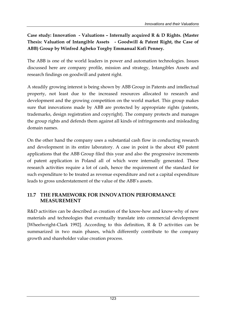## **Case study: Innovation - Valuations – Internally acquired R & D Rights. (Master Thesis: Valuation of Intangible Assets - Goodwill & Patent Right, the Case of ABB) Group by Winfred Agbeko Torgby Emmanual Kofi Penney.**

The ABB is one of the world leaders in power and automation technologies. Issues discussed here are company profile, mission and strategy, Intangibles Assets and research findings on goodwill and patent right.

A steadily growing interest is being shown by ABB Group in Patents and intellectual property, not least due to the increased resources allocated to research and development and the growing competition on the world market. This group makes sure that innovations made by ABB are protected by appropriate rights (patents, trademarks, design registration and copyright). The company protects and manages the group rights and defends them against all kinds of infringements and misleading domain names.

On the other hand the company uses a substantial cash flow in conducting research and development in its entire laboratory. A case in point is the about 450 patent applications that the ABB Group filed this year and also the progressive increments of patent application in Poland all of which were internally generated. These research activities require a lot of cash, hence the requirement of the standard for such expenditure to be treated as revenue expenditure and not a capital expenditure leads to gross understatement of the value of the ABB's assets.

### **11.7 THE FRAMEWORK FOR INNOVATION PERFORMANCE MEASUREMENT**

R&D activities can be described as creation of the know-how and know-why of new materials and technologies that eventually translate into commercial development [Wheelwright-Clark 1992]. According to this definition, R & D activities can be summarized in two main phases, which differently contribute to the company growth and shareholder value creation process.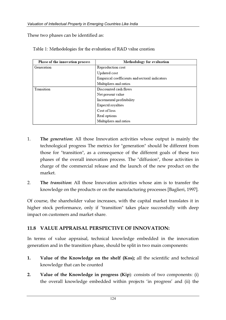These two phases can be identified as:

| Phase of the innovation process | Methodology for evaluation                     |
|---------------------------------|------------------------------------------------|
| Generation                      | Reproduction cost                              |
|                                 | Updated cost                                   |
|                                 | Empirical coefficients and sectoral indicators |
|                                 | Multipliers and ratios                         |
| Transition                      | Discounted cash flows                          |
|                                 | Net present value                              |
|                                 | Incremental profitability                      |
|                                 | Expectd royalties                              |
|                                 | Cost of loss                                   |
|                                 | Real options                                   |
|                                 | Multipliers and ratios                         |

Table 1: Methodologies for the evaluation of R&D value creation

- 1. **The** *generation***:** All those Innovation activities whose output is mainly the technological progress The metrics for "generation" should be different from those for "transition", as a consequence of the different goals of these two phases of the overall innovation process. The "diffusion", those activities in charge of the commercial release and the launch of the new product on the market.
- 2. **The** *transition***:** All those Innovation activities whose aim is to transfer the knowledge on the products or on the manufacturing processes [Baglieri, 1997].

Of course, the shareholder value increases, with the capital market translates it in higher stock performance, only if "transition" takes place successfully with deep impact on customers and market share.

## **11.8 VALUE APPRAISAL PERSPECTIVE OF INNOVATION:**

In terms of value appraisal, technical knowledge embedded in the innovation generation and in the transition phase, should be split in two main components:

- **1. Value of the Knowledge on the shelf (Kos);** all the scientific and technical knowledge that can be counted
- **2. Value of the Knowledge in progress (Kip**): consists of two components: (i) the overall knowledge embedded within projects 'in progress' and (ii) the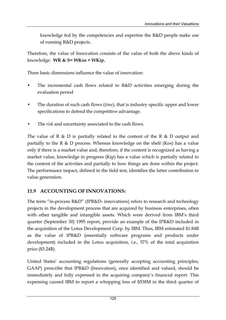knowledge fed by the competencies and expertise the R&D people make use of running R&D projects.

Therefore, the value of Innovation consists of the value of both the above kinds of knowledge: **WR & S= WKos + WKip.** 

Three basic dimensions influence the value of innovation:

- The incremental cash flows related to R&D activities emerging during the evaluation period
- The duration of such cash flows (*time*), that is industry specific upper and lower specifications to defend the competitive advantage.
- The *risk* and uncertainty associated to the cash flows.

The value of R & D is partially related to the content of the R & D output and partially to the R  $\&$  D process. Whereas knowledge on the shelf (Kos) has a value only if there is a market value and, therefore, if the content is recognized as having a market value, knowledge in progress (Kip) has a value which is partially related to the content of the activities and partially to how things are done within the project. The performance impact, defined in the field test, identifies the latter contribution to value generation.

## **11.9 ACCOUNTING OF INNOVATIONS:**

The term "in-process R&D" (IPR&D- innovations) refers to research and technology projects in the development process that are acquired by business enterprises, often with other tangible and intangible assets. Which were derived from IBM's third quarter (September 30) 1995 report, provide an example of the IPR&D included in the acquisition of the Lotus Development Corp. by IBM. Thus, IBM estimated \$1.84B as the value of IPR&D (essentially software programs and products under development) included in the Lotus acquisition, i.e., 57% of the total acquisition price (\$3.24B).

United States' accounting regulations (generally accepting accounting principles; GAAP) prescribe that IPR&D (Innovation), once identified and valued, should be immediately and fully expensed in the acquiring company's financial report. This expensing caused IBM to report a whopping loss of \$538M in the third quarter of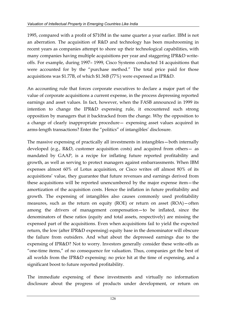1995, compared with a profit of \$710M in the same quarter a year earlier. IBM is not an aberration. The acquisition of R&D and technology has been mushrooming in recent years as companies attempt to shore up their technological capabilities, with many companies having multiple acquisitions per year and staggering IPR&D writeoffs. For example, during 1997– 1999, Cisco Systems conducted 14 acquisitions that were accounted for by the "purchase method." The total price paid for those acquisitions was \$1.77B, of which \$1.36B (77%) were expensed as IPR&D.

An accounting rule that forces corporate executives to declare a major part of the value of corporate acquisitions a current expense, in the process depressing reported earnings and asset values. In fact, however, when the FASB announced in 1999 its intention to change the IPR&D expensing rule, it encountered such strong opposition by managers that it backtracked from the change. Why the opposition to a change of clearly inappropriate procedure— expensing asset values acquired in arms-length transactions? Enter the "politics" of intangibles' disclosure.

The massive expensing of practically all investments in intangibles—both internally developed (e.g., R&D, customer acquisition costs) and acquired from others— as mandated by GAAP, is a recipe for inflating future reported profitability and growth, as well as serving to protect managers against embarrassments. When IBM expenses almost 60% of Lotus acquisition, or Cisco writes off almost 80% of its acquisitions' value, they guarantee that future revenues and earnings derived from these acquisitions will be reported unencumbered by the major expense item—the amortization of the acquisition costs. Hence the inflation in future profitability and growth. The expensing of intangibles also causes commonly used profitability measures, such as the return on equity (ROE) or return on asset (ROA)—often among the drivers of management compensation—to be inflated, since the denominators of these ratios (equity and total assets, respectively) are missing the expensed part of the acquisitions. Even when acquisitions fail to yield the expected return, the low (after IPR&D expensing) equity base in the denominator will obscure the failure from outsiders. And what about the depressed earnings due to the expensing of IPR&D? Not to worry. Investors generally consider these write-offs as "one-time items," of no consequence for valuation. Thus, companies get the best of all worlds from the IPR&D expensing: no price hit at the time of expensing, and a significant boost to future reported profitability.

The immediate expensing of these investments and virtually no information disclosure about the progress of products under development, or return on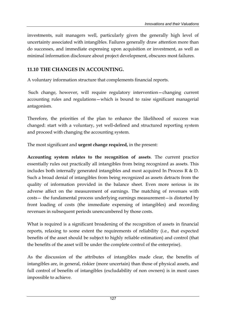investments, suit managers well, particularly given the generally high level of uncertainty associated with intangibles. Failures generally draw attention more than do successes, and immediate expensing upon acquisition or investment, as well as minimal information disclosure about project development, obscures most failures.

### **11.10 THE CHANGES IN ACCOUNTING.**

A voluntary information structure that complements financial reports.

 Such change, however, will require regulatory intervention—changing current accounting rules and regulations—which is bound to raise significant managerial antagonism.

Therefore, the priorities of the plan to enhance the likelihood of success was changed: start with a voluntary, yet well-defined and structured reporting system and proceed with changing the accounting system.

The most significant and **urgent change required,** in the present:

**Accounting system relates to the recognition of assets**. The current practice essentially rules out practically all intangibles from being recognized as assets. This includes both internally generated intangibles and most acquired In Process R & D. Such a broad denial of intangibles from being recognized as assets detracts from the quality of information provided in the balance sheet. Even more serious is its adverse affect on the measurement of earnings. The matching of revenues with costs— the fundamental process underlying earnings measurement—is distorted by front loading of costs (the immediate expensing of intangibles) and recording revenues in subsequent periods unencumbered by those costs.

What is required is a significant broadening of the recognition of assets in financial reports, relaxing to some extent the requirements of reliability (i.e., that expected benefits of the asset should be subject to highly reliable estimation) and control (that the benefits of the asset will be under the complete control of the enterprise).

As the discussion of the attributes of intangibles made clear, the benefits of intangibles are, in general, riskier (more uncertain) than those of physical assets, and full control of benefits of intangibles (excludability of non owners) is in most cases impossible to achieve.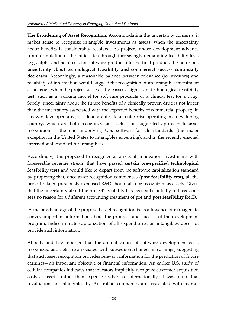**The Broadening of Asset Recognition:** Accommodating the uncertainty concerns, it makes sense to recognize intangible investments as assets, when the uncertainty about benefits is considerably resolved. As projects under development advance from formulation of the initial idea through increasingly demanding feasibility tests (e.g., alpha and beta tests for software products) to the final product, the notorious **uncertainty about technological feasibility and commercial success continually decreases**. Accordingly, a reasonable balance between relevance (to investors) and reliability of information would suggest the recognition of an intangible investment as an asset, when the project successfully passes a significant technological feasibility test, such as a working model for software products or a clinical test for a drug. Surely, uncertainty about the future benefits of a clinically proven drug is not larger than the uncertainty associated with the expected benefits of commercial property in a newly developed area, or a loan granted to an enterprise operating in a developing country, which are both recognized as assets. This suggested approach to asset recognition is the one underlying U.S. software-for-sale standards (the major exception in the United States to intangibles expensing), and in the recently enacted international standard for intangibles.

Accordingly, it is proposed to recognize as assets all innovation investments with foreseeable revenue stream that have passed **certain pre-specified technological feasibility tests** and would like to depart from the software capitalization standard by proposing that, once asset recognition commences (**post feasibility test**), all the project-related previously expensed R&D should also be recognized as assets. Given that the uncertainty about the project's viability has been substantially reduced, one sees no reason for a different accounting treatment of **pre and post feasibility R&D**.

 A major advantage of the proposed asset recognition is its allowance of managers to convey important information about the progress and success of the development program. Indiscriminate capitalization of all expenditures on intangibles does not provide such information.

Abbody and Lev reported that the annual values of software development costs recognized as assets are associated with subsequent changes in earnings, suggesting that such asset recognition provides relevant information for the prediction of future earnings—an important objective of financial information. An earlier U.S. study of cellular companies indicates that investors implicitly recognize customer acquisition costs as assets, rather than expenses; whereas, internationally, it was found that revaluations of intangibles by Australian companies are associated with market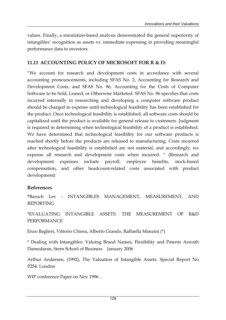values. Finally, a simulation-based analysis demonstrated the general superiority of intangibles' recognition as assets vs. immediate expensing in providing meaningful performance data to investors.

### **11.11 ACCOUNTING POLICY OF MICROSOFT FOR R & D:**

"We account for research and development costs in accordance with several accounting pronouncements, including SFAS No. 2, Accounting for Research and Development Costs, and SFAS No. 86, Accounting for the Costs of Computer Software to be Sold, Leased, or Otherwise Marketed. SFAS No. 86 specifies that costs incurred internally in researching and developing a computer software product should be charged to expense until technological feasibility has been established for the product. Once technological feasibility is established, all software costs should be capitalized until the product is available for general release to customers. Judgment is required in determining when technological feasibility of a product is established. We have determined that technological feasibility for our software products is reached shortly before the products are released to manufacturing. Costs incurred after technological feasibility is established are not material, and accordingly, we expense all research and development costs when incurred. " (Research and development expenses include payroll, employee benefits, stock-based compensation, and other headcount-related costs associated with product development)

### **References**

**\***Baruch Lev - INTANGIBLES MANAGEMENT, MEASUREMENT, AND REPORTING

\*EVALUATING INTANGIBLE ASSETS: THE MEASUREMENT OF R&D PERFORMANCE

Enzo Baglieri, Vittorio Chiesa, Alberto Grando, Raffaella Manzini (\*)

\* Dealing with Intangibles: Valuing Brand Names, Flexibility and Patents Aswath Damodaran, Stern School of Business January 2006

Arthur Andersen, (1992), The Valuation of Intangible Assets. Special Report No P254. London

WIP conference Paper on Nov 1996…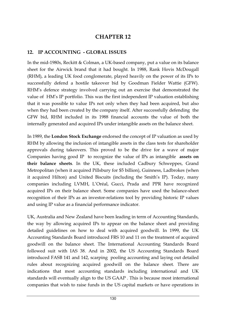# **CHAPTER 12**

### **12. IP ACCOUNTING - GLOBAL ISSUES**

In the mid-1980s, Reckitt & Colman, a UK-based company, put a value on its balance sheet for the Airwick brand that it had bought. In 1988, Rank Hovis McDougall (RHM), a leading UK food conglomerate, played heavily on the power of its IPs to successfully defend a hostile takeover bid by Goodman Fielder Wattie (GFW). RHM's defence strategy involved carrying out an exercise that demonstrated the value of HM's IP portfolio. This was the first independent IP valuation establishing that it was possible to value IPs not only when they had been acquired, but also when they had been created by the company itself. After successfully defending the GFW bid, RHM included in its 1988 financial accounts the value of both the internally generated and acquired IPs under intangible assets on the balance sheet.

In 1989, the **London Stock Exchange** endorsed the concept of IP valuation as used by RHM by allowing the inclusion of intangible assets in the class tests for shareholder approvals during takeovers. This proved to be the drive for a wave of major Companies having good IP to recognize the value of IPs as intangible **assets on their balance sheets**. In the UK, these included Cadbury Schweppes, Grand Metropolitan (when it acquired Pillsbury for \$5 billion), Guinness, Ladbrokes (when it acquired Hilton) and United Biscuits (including the Smith's IP). Today, many companies including LVMH, L'Oréal, Gucci, Prada and PPR have recognized acquired IPs on their balance sheet. Some companies have used the balance-sheet recognition of their IPs as an investor-relations tool by providing historic IP values and using IP value as a financial performance indicator.

UK, Australia and New Zealand have been leading in term of Accounting Standards, the way by allowing acquired IPs to appear on the balance sheet and providing detailed guidelines on how to deal with acquired goodwill. In 1999, the UK Accounting Standards Board introduced FRS 10 and 11 on the treatment of acquired goodwill on the balance sheet. The International Accounting Standards Board followed suit with IAS 38. And in 2002, the US Accounting Standards Board introduced FASB 141 and 142, scarping pooling accounting and laying out detailed rules about recognizing acquired goodwill on the balance sheet. There are indications that most accounting standards including international and UK standards will eventually align to the US GAAP . This is because most international companies that wish to raise funds in the US capital markets or have operations in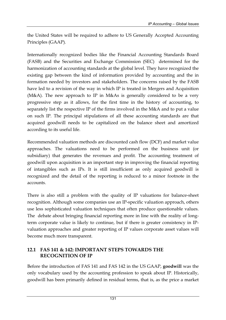the United States will be required to adhere to US Generally Accepted Accounting Principles (GAAP).

Internationally recognized bodies like the Financial Accounting Standards Board (FASB) and the Securities and Exchange Commission (SEC) determined for the harmonization of accounting standards at the global level. They have recognized the existing gap between the kind of information provided by accounting and the in formation needed by investors and stakeholders. The concerns raised by the FASB have led to a revision of the way in which IP is treated in Mergers and Acquisition (M&A). The new approach to IP in M&As is generally considered to be a very progressive step as it allows, for the first time in the history of accounting, to separately list the respective IP of the firms involved in the M&A and to put a value on such IP. The principal stipulations of all these accounting standards are that acquired goodwill needs to be capitalized on the balance sheet and amortized according to its useful life.

Recommended valuation methods are discounted cash flow (DCF) and market value approaches. The valuations need to be performed on the business unit (or subsidiary) that generates the revenues and profit. The accounting treatment of goodwill upon acquisition is an important step in improving the financial reporting of intangibles such as IPs. It is still insufficient as only acquired goodwill is recognized and the detail of the reporting is reduced to a minor footnote in the accounts.

There is also still a problem with the quality of IP valuations for balance-sheet recognition. Although some companies use an IP-specific valuation approach, others use less sophisticated valuation techniques that often produce questionable values. The debate about bringing financial reporting more in line with the reality of longterm corporate value is likely to continue, but if there is greater consistency in IPvaluation approaches and greater reporting of IP values corporate asset values will become much more transparent.

## **12.1 FAS 141 & 142: IMPORTANT STEPS TOWARDS THE RECOGNITION OF IP**

Before the introduction of FAS 141 and FAS 142 in the US GAAP, **goodwill** was the only vocabulary used by the accounting profession to speak about IP. Historically, goodwill has been primarily defined in residual terms, that is, as the price a market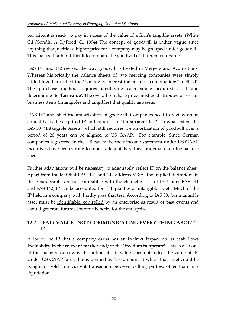participant is ready to pay in excess of the value of a firm's tangible assets. (White G.I./Sondhi A.C./Fried C., 1994) The concept of goodwill is rather vague since anything that justifies a higher price for a company may be grouped under goodwill. This makes it rather difficult to compare the goodwill of different companies .

FAS 141 and 142 revised the way goodwill is treated in Mergers and Acquisitions. Whereas historically the balance sheets of two merging companies were simply added together (called the "pooling of interest for business combinations" method). The purchase method requires identifying each single acquired asset and determining its `**fair value'**. The overall purchase price must be distributed across all business items (intangibles and tangibles) that qualify as assets.

 FAS 142 abolished the amortization of goodwill. Companies need to review on an annual basis the acquired IP and conduct an `**impairment test'**. To what extent the IAS 38 "Intangible Assets" which still requires the amortization of goodwill over a period of 20 years can be aligned to US GAAP. For example, Since German companies registered in the US can make their income statement under US GAAP incentives have been strong to report adequately valued trademarks on the balance sheet.

Further adaptations will be necessary to adequately reflect IP on the balance sheet. Apart from the fact that FAS 141 and 142 address M&A the implicit definitions in these paragraphs are not compatible with the characteristics of IP. Under FAS 141 and FAS 142, IP can be accounted for if it qualifies as intangible assets. Much of the IP held in a company will hardly pass that test. According to IAS 38, "an intangible asset must be identifiable, controlled by an enterprise as result of past events and should generate future economic benefits for the enterprise."

### **12.2 "FAIR VALUE" NOT COMMUNICATING EVERY THING ABOUT IP**

A lot of the IP that a company owns has an indirect impact on its cash flows **Exclusivity in the relevant market** and/or the `**freedom to operate'.** This is also one of the major reasons why the notion of fair value does not reflect the value of IP. Under US GAAP fair value is defined as "the amount at which that asset could be bought or sold in a current transaction between willing parties, other than in a liquidation."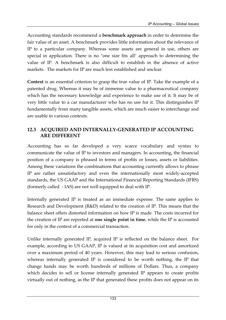Accounting standards recommend a **benchmark approach** in order to determine the fair value of an asset. A benchmark provides little information about the relevance of IP to a particular company. Whereas some assets are general in use, others are special in application. There is no "one size fits all" approach to determining the value of IP. A benchmark is also difficult to establish in the absence of active markets. The markets for IP are much less established and unclear.

**Context** is an essential criterion to grasp the true value of IP. Take the example of a patented drug. Whereas it may be of immense value to a pharmaceutical company which has the necessary knowledge and experience to make use of it. It may be of very little value to a car manufacturer who has no use for it. This distinguishes IP fundamentally from many tangible assets, which are much easier to interchange and are usable in various contexts.

## **12.3 ACQUIRED AND INTERNALLY-GENERATED IP ACCOUNTING ARE DIFFERENT**

Accounting has so far developed a very scarce vocabulary and syntax to communicate the value of IP to investors and managers. In accounting, the financial position of a company is phrased in terms of profits or losses, assets or liabilities. Among these variations the combinations that accounting currently allows to phrase IP are rather unsatisfactory and even the internationally most widely-accepted standards, the US GAAP and the International Financial Reporting Standards (IFRS) (formerly called - IAS) are not well equipped to deal with IP.

Internally generated IP is treated as an immediate expense. The same applies to Research and Development (R&D) related to the creation of IP. This means that the balance sheet offers distorted information on how IP is made. The costs incurred for the creation of IP are reported at **one single point in time**, while the IP is accounted for only in the context of a commercial transaction.

Unlike internally generated IP, acquired IP is reflected on the balance sheet. For example, according to US GAAP, IP is valued at its acquisition cost and amortized over a maximum period of 40 years. However, this may lead to serious confusion, whereas internally generated IP is considered to be worth nothing, the IP that change hands may be worth hundreds of millions of Dollars. Thus, a company which decides to sell or license internally generated IP appears to create profits virtually out of nothing, as the IP that generated these profits does not appear on its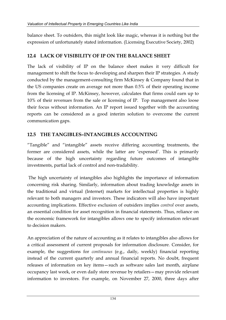balance sheet. To outsiders, this might look like magic, whereas it is nothing but the expression of unfortunately stated information. (Licensing Executive Society, 2002)

## **12.4 LACK OF VISIBILITY OF IP ON THE BALANCE SHEET**

The lack of visibility of IP on the balance sheet makes it very difficult for management to shift the focus to developing and sharpen their IP strategies. A study conducted by the management-consulting firm McKinsey & Company found that in the US companies create on average not more than 0.5% of their operating income from the licensing of IP. McKinsey, however, calculates that firms could earn up to 10% of their revenues from the sale or licensing of IP. Top management also loose their focus without information. An IP report issued together with the accounting reports can be considered as a good interim solution to overcome the current communication gaps.

# **12.5 THE TANGIBLES–INTANGIBLES ACCOUNTING**

"Tangible" and "intangible" assets receive differing accounting treatments, the former are considered assets, while the latter are 'expensed'. This is primarily because of the high uncertainty regarding future outcomes of intangible investments, partial lack of control and non-tradability.

 The high uncertainty of intangibles also highlights the importance of information concerning risk sharing. Similarly, information about trading knowledge assets in the traditional and virtual (Internet) markets for intellectual properties is highly relevant to both managers and investors. These indicators will also have important accounting implications. Effective exclusion of outsiders implies *control* over assets, an essential condition for asset recognition in financial statements. Thus, reliance on the economic framework for intangibles allows one to specify information relevant to decision makers.

An appreciation of the nature of accounting as it relates to intangibles also allows for a critical assessment of current proposals for information disclosure. Consider, for example, the suggestions for *continuous* (e.g., daily, weekly) financial reporting instead of the current quarterly and annual financial reports. No doubt, frequent releases of information on key items—such as software sales last month, airplane occupancy last week, or even daily store revenue by retailers—may provide relevant information to investors. For example, on November 27, 2000, three days after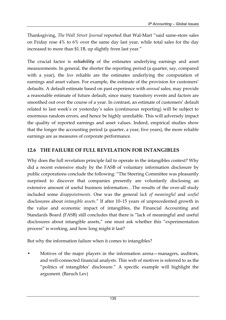Thanksgiving, *The Wall Street Journal* reported that Wal-Mart "said same-store sales on Friday rose 4% to 6% over the same day last year, while total sales for the day increased to more than \$1.1B, up slightly from last year."

The crucial factor is *reliability* of the estimates underlying earnings and asset measurements. In general, the shorter the reporting period (a quarter, say, compared with a year), the *less* reliable are the estimates underlying the computation of earnings and asset values. For example, the estimate of the provision for customers' defaults. A default estimate based on past experience with *annual* sales, may provide a reasonable estimate of future default, since many transitory events and factors are smoothed out over the course of a year. In contrast, an estimate of customers' default related to last week's or yesterday's sales (continuous reporting) will be subject to enormous random errors, and hence be highly unreliable. This will adversely impact the quality of reported earnings and asset values. Indeed, empirical studies show that the longer the accounting period (a quarter, a year, five years), the more reliable earnings are as measures of corporate performance.

# **12.6 THE FAILURE OF FULL REVELATION FOR INTANGIBLES**

Why does the full revelation principle fail to operate in the intangibles context? Why did a recent extensive study by the FASB of voluntary information disclosure by public corporations conclude the following: "The Steering Committee was pleasantly surprised to discover that companies presently are voluntarily disclosing an extensive amount of useful business information…The results of the over-all study included some *disappointments*. One was the general *lack of meaningful* and *useful*  disclosures about *intangible assets*." If after 10–15 years of unprecedented growth in the value and economic impact of intangibles, the Financial Accounting and Standards Board (FASB) still concludes that there is "lack of meaningful and useful disclosures about intangible assets," one must ask whether this "experimentation process" is working, and how long might it last?

But why the information failure when it comes to intangibles?

Motives of the major players in the information arena—managers, auditors, and well-connected financial analysts. This web of motives is referred to as the "politics of intangibles' disclosure." A specific example will highlight the argument. (Baruch Lev)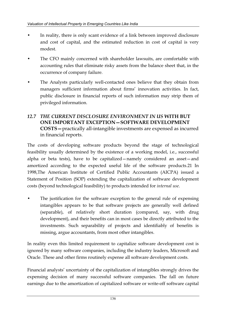- In reality, there is only scant evidence of a link between improved disclosure and cost of capital, and the estimated reduction in cost of capital is very modest.
- The CFO mainly concerned with shareholder lawsuits, are comfortable with accounting rules that eliminate risky assets from the balance sheet that, in the occurrence of company failure.
- The Analysts particularly well-contacted ones believe that they obtain from managers sufficient information about firms' innovation activities. In fact, public disclosure in financial reports of such information may strip them of privileged information.

### *12.7 THE CURRENT DISCLOSURE ENVIRONMENT IN US* **WITH BUT ONE IMPORTANT EXCEPTION—SOFTWARE DEVELOPMENT COSTS—**practically all-intangible investments are expensed as incurred in financial reports.

The costs of developing software products beyond the stage of technological feasibility usually determined by the existence of a working model, i.e., successful alpha or beta tests), have to be capitalized—namely considered an asset—and amortized according to the expected useful life of the software products.21 In 1998,The American Institute of Certified Public Accountants (AICPA) issued a Statement of Position (SOP) extending the capitalization of software development costs (beyond technological feasibility) to products intended for *internal use*.

The justification for the software exception to the general rule of expensing intangibles appears to be that software projects are generally well defined (separable), of relatively short duration (compared, say, with drug development), and their benefits can in most cases be directly attributed to the investments. Such separability of projects and identifiably of benefits is missing, argue accountants, from most other intangibles.

In reality even this limited requirement to capitalize software development cost is ignored by many software companies, including the industry leaders, Microsoft and Oracle. These and other firms routinely expense all software development costs.

Financial analysts' uncertainty of the capitalization of intangibles strongly drives the expensing decision of many successful software companies. The fall on future earnings due to the amortization of capitalized software or write-off software capital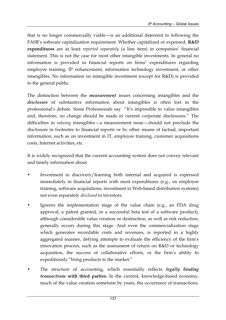that is no longer commercially viable—is an additional deterrent to following the FASB's software capitalization requirement. Whether capitalized or expensed, **R&D expenditures** are at least *reported separately* (a line item) in companies' financial statement. This is not the case for most other intangible investments. In general no information is provided in financial reports on firms' expenditures regarding employee training, IP enhancement, information technology investment, or other intangibles. No information on intangible investment (except for R&D) is provided to the general public.

The distinction between the *measurement* issues concerning intangibles and the *disclosure* of substantive information about intangibles is often lost in the professional's debate. Some Professionals say "It's impossible to value intangibles and, therefore, no change should be made in current corporate disclosures." The difficulties in *valuing* intangibles—a measurement issue—should not preclude the disclosure in footnotes to financial reports or by other means of factual, important information, such as on investment in IT, employee training, customer acquisitions costs, Internet activities, etc.

It is widely recognized that the current accounting system does not convey relevant and timely information about

- Investment in discovery/learning both internal and acquired is expensed immediately in financial reports with most expenditures (e.g., on employee training, software acquisitions, investment in Web-based distribution systems) not even separately *disclosed* to investors.
- Ignores the implementation stage of the value chain (e.g., an FDA drug approval, a patent granted, or a successful beta test of a software product), although considerable value creation or destruction, as well as risk reduction, generally occurs during this stage. And even the commercialization stage which generates recordable costs and revenues, is reported in a highly aggregated manner, defying attempts to evaluate the efficiency of the firm's innovation process, such as the assessment of return on R&D or technology acquisition, the success of collaborative efforts, or the firm's ability to expeditiously "bring products to the market."
- The structure of accounting, which essentially reflects *legally binding transactions* **with third parties.** In the current, knowledge-based economy, much of the value creation sometime by years, the occurrence of transactions.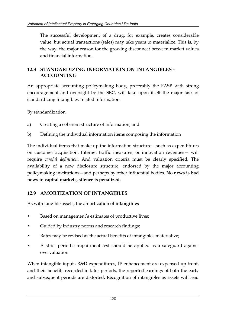The successful development of a drug, for example, creates considerable value, but actual transactions (sales) may take years to materialize. This is, by the way, the major reason for the growing disconnect between market values and financial information.

## **12.8 STANDARDIZING INFORMATION ON INTANGIBLES - ACCOUNTING**

An appropriate accounting policymaking body, preferably the FASB with strong encouragement and oversight by the SEC, will take upon itself the major task of standardizing intangibles-related information.

By standardization,

- a) Creating a coherent structure of information, and
- b) Defining the individual information items composing the information

The individual items that make up the information structure—such as expenditures on customer acquisition, Internet traffic measures, or innovation revenues— will require *careful definition.* And valuation criteria must be clearly specified. The availability of a new disclosure structure, endorsed by the major accounting policymaking institutions—and perhaps by other influential bodies. **No news is bad news in capital markets, silence is penalized.** 

## **12.9 AMORTIZATION OF INTANGIBLES**

As with tangible assets, the amortization of **intangibles** 

- Based on management's estimates of productive lives;
- Guided by industry norms and research findings;
- Rates may be revised as the actual benefits of intangibles materialize;
- A strict periodic impairment test should be applied as a safeguard against overvaluation.

When intangible inputs R&D expenditures, IP enhancement are expensed up front, and their benefits recorded in later periods, the reported earnings of both the early and subsequent periods are distorted. Recognition of intangibles as assets will lead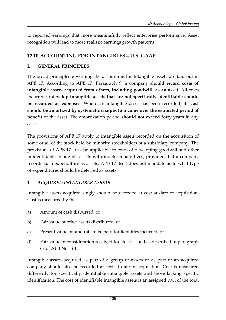to reported earnings that more meaningfully reflect enterprise performance. Asset recognition will lead to more realistic earnings growth patterns.

### **12.10 ACCOUNTING FOR INTANGIBLES—U.S. GAAP**

#### **I. GENERAL PRINCIPLES**

The broad principles governing the accounting for Intangible assets are laid out in APB 17. According to APB 17, Paragraph 9, a company should **record costs of intangible assets acquired from others, including goodwill, as an asset.** All costs incurred to **develop intangible assets that are not specifically identifiable should be recorded as expenses**. Where an intangible asset has been recorded, its **cost should be amortized by systematic charges to income over the estimated period of benefit** of the asset. The amortization period **should not exceed forty years** in any case.

The provisions of APB 17 apply to intangible assets recorded on the acquisition of some or all of the stock held by minority stockholders of a subsidiary company. The provisions of APB 17 are also applicable to costs of developing goodwill and other unidentifiable intangible assets with indeterminate lives, provided that a company records such expenditure as assets. APB 17 itself does not mandate as to what type of expenditures should be deferred as assets.

## *1. ACQUIRED INTANGIBLE ASSETS*

Intangible assets acquired singly should be recorded at cost at date of acquisition. Cost is measured by the:

- a) Amount of cash disbursed, or
- b) Fair value of other assets distributed, or
- c) Present value of amounts to be paid for liabilities incurred, or
- d) Fair value of consideration received for stock issued as described in paragraph 67 of APB No. 161.

Intangible assets acquired as part of a group of assets or as part of an acquired company should also be recorded at cost at date of acquisition. Cost is measured differently for specifically identifiable intangible assets and those lacking specific identification. The cost of identifiable intangible assets is an assigned part of the total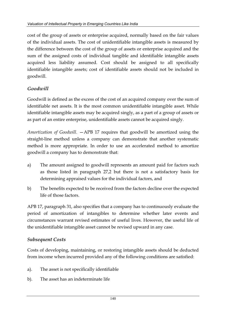cost of the group of assets or enterprise acquired, normally based on the fair values of the individual assets. The cost of unidentifiable intangible assets is measured by the difference between the cost of the group of assets or enterprise acquired and the sum of the assigned costs of individual tangible and identifiable intangible assets acquired less liability assumed. Cost should be assigned to all specifically identifiable intangible assets; cost of identifiable assets should not be included in goodwill.

# *Goodwill*

Goodwill is defined as the excess of the cost of an acquired company over the sum of identifiable net assets. It is the most common unidentifiable intangible asset. While identifiable intangible assets may be acquired singly, as a part of a group of assets or as part of an entire enterprise, unidentifiable assets cannot be acquired singly.

*Amortization of Goodwill*. —APB 17 requires that goodwill be amortized using the straight-line method unless a company can demonstrate that another systematic method is more appropriate. In order to use an accelerated method to amortize goodwill a company has to demonstrate that:

- a) The amount assigned to goodwill represents an amount paid for factors such as those listed in paragraph 27,2 but there is not a satisfactory basis for determining appraised values for the individual factors, and
- b) The benefits expected to be received from the factors decline over the expected life of those factors.

APB 17, paragraph 31, also specifies that a company has to continuously evaluate the period of amortization of intangibles to determine whether later events and circumstances warrant revised estimates of useful lives. However, the useful life of the unidentifiable intangible asset cannot be revised upward in any case.

## *Subsequent Costs*

Costs of developing, maintaining, or restoring intangible assets should be deducted from income when incurred provided any of the following conditions are satisfied:

- a). The asset is not specifically identifiable
- b). The asset has an indeterminate life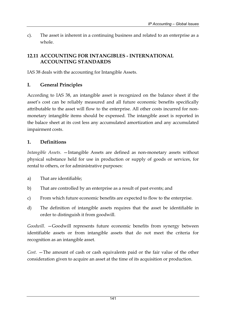c). The asset is inherent in a continuing business and related to an enterprise as a whole.

## **12.11 ACCOUNTING FOR INTANGIBLES - INTERNATIONAL ACCOUNTING STANDARDS**

IAS 38 deals with the accounting for Intangible Assets.

### **I. General Principles**

According to IAS 38, an intangible asset is recognized on the balance sheet if the asset's cost can be reliably measured and all future economic benefits specifically attributable to the asset will flow to the enterprise. All other costs incurred for nonmonetary intangible items should be expensed. The intangible asset is reported in the balace sheet at its cost less any accumulated amortization and any accumulated impairment costs.

## **1. Definitions**

*Intangible Assets*. —Intangible Assets are defined as non-monetary assets without physical substance held for use in production or supply of goods or services, for rental to others, or for administrative purposes:

- a) That are identifiable;
- b) That are controlled by an enterprise as a result of past events; and
- c) From which future economic benefits are expected to flow to the enterprise.
- d) The definition of intangible assets requires that the asset be identifiable in order to distinguish it from goodwill.

*Goodwill*. —Goodwill represents future economic benefits from synergy between identifiable assets or from intangible assets that do not meet the criteria for recognition as an intangible asset.

*Cost*. —The amount of cash or cash equivalents paid or the fair value of the other consideration given to acquire an asset at the time of its acquisition or production.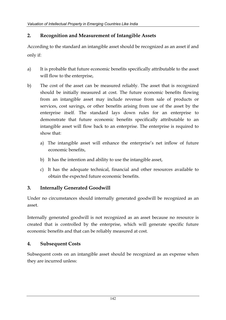# **2. Recognition and Measurement of Intangible Assets**

According to the standard an intangible asset should be recognized as an asset if and only if:

- a) It is probable that future economic benefits specifically attributable to the asset will flow to the enterprise,
- b) The cost of the asset can be measured reliably. The asset that is recognized should be initially measured at cost. The future economic benefits flowing from an intangible asset may include revenue from sale of products or services, cost savings, or other benefits arising from use of the asset by the enterprise itself. The standard lays down rules for an enterprise to demonstrate that future economic benefits specifically attributable to an intangible asset will flow back to an enterprise. The enterprise is required to show that:
	- a) The intangible asset will enhance the enterprise's net inflow of future economic benefits,
	- b) It has the intention and ability to use the intangible asset,
	- c) It has the adequate technical, financial and other resources available to obtain the expected future economic benefits.

## **3. Internally Generated Goodwill**

Under no circumstances should internally generated goodwill be recognized as an asset.

Internally generated goodwill is not recognized as an asset because no resource is created that is controlled by the enterprise, which will generate specific future economic benefits and that can be reliably measured at cost.

## **4. Subsequent Costs**

Subsequent costs on an intangible asset should be recognized as an expense when they are incurred unless: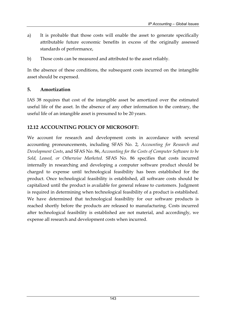- a) It is probable that those costs will enable the asset to generate specifically attributable future economic benefits in excess of the originally assessed standards of performance,
- b) Those costs can be measured and attributed to the asset reliably.

In the absence of these conditions, the subsequent costs incurred on the intangible asset should be expensed.

#### **5. Amortization**

IAS 38 requires that cost of the intangible asset be amortized over the estimated useful life of the asset. In the absence of any other information to the contrary, the useful life of an intangible asset is presumed to be 20 years.

### **12.12 ACCOUNTING POLICY OF MICROSOFT:**

We account for research and development costs in accordance with several accounting pronouncements, including SFAS No. 2, *Accounting for Research and Development Costs*, and SFAS No. 86, *Accounting for the Costs of Computer Software to be Sold, Leased, or Otherwise Marketed*. SFAS No. 86 specifies that costs incurred internally in researching and developing a computer software product should be charged to expense until technological feasibility has been established for the product. Once technological feasibility is established, all software costs should be capitalized until the product is available for general release to customers. Judgment is required in determining when technological feasibility of a product is established. We have determined that technological feasibility for our software products is reached shortly before the products are released to manufacturing. Costs incurred after technological feasibility is established are not material, and accordingly, we expense all research and development costs when incurred.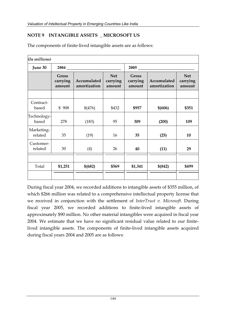## **NOTE 9 INTANGIBLE ASSETS \_ MICROSOFT US**

| $\left $ (In millions) |                                    |                             |                                  |                                    |                             |                                  |  |  |  |
|------------------------|------------------------------------|-----------------------------|----------------------------------|------------------------------------|-----------------------------|----------------------------------|--|--|--|
| June 30                | 2004                               |                             |                                  | 2005                               |                             |                                  |  |  |  |
|                        | <b>Gross</b><br>carrying<br>amount | Accumulated<br>amortization | <b>Net</b><br>carrying<br>amount | <b>Gross</b><br>carrying<br>amount | Accumulated<br>amortization | <b>Net</b><br>carrying<br>amount |  |  |  |
|                        |                                    |                             |                                  |                                    |                             |                                  |  |  |  |
| Contract-<br>based     | \$908                              | \$(476)                     | \$432                            | \$957                              | \$(606)                     | \$351                            |  |  |  |
| Technology-<br>based   | 278                                | (183)                       | 95                               | 309                                | (200)                       | 109                              |  |  |  |
| Marketing-<br>related  | 35                                 | (19)                        | 16                               | 35                                 | (25)                        | 10                               |  |  |  |
| Customer-<br>related   | 30                                 | (4)                         | 26                               | 40                                 | (11)                        | 29                               |  |  |  |
|                        |                                    |                             |                                  |                                    |                             |                                  |  |  |  |
| Total                  | \$1,251                            | \$(682)                     | \$569                            | \$1,341                            | \$ (842)                    | \$499                            |  |  |  |
|                        |                                    |                             |                                  |                                    |                             |                                  |  |  |  |

The components of finite-lived intangible assets are as follows:

During fiscal year 2004, we recorded additions to intangible assets of \$355 million, of which \$266 million was related to a comprehensive intellectual property license that we received in conjunction with the settlement of *InterTrust v. Microsoft*. During fiscal year 2005, we recorded additions to finite-lived intangible assets of approximately \$90 million. No other material intangibles were acquired in fiscal year 2004. We estimate that we have no significant residual value related to our finitelived intangible assets. The components of finite-lived intangible assets acquired during fiscal years 2004 and 2005 are as follows: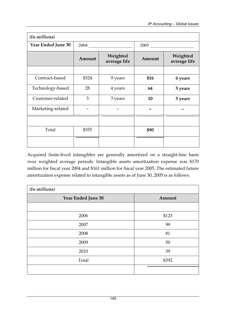| (In millions)             |                                    |         |        |                          |  |  |  |
|---------------------------|------------------------------------|---------|--------|--------------------------|--|--|--|
| <b>Year Ended June 30</b> | 2004                               |         | 2005   |                          |  |  |  |
|                           | Weighted<br>Amount<br>average life |         | Amount | Weighted<br>average life |  |  |  |
|                           |                                    |         |        |                          |  |  |  |
| Contract-based            | \$324                              | 9 years | \$16   | 6 years                  |  |  |  |
| Technology-based          | 28                                 | 4 years | 64     | 5 years                  |  |  |  |
| Customer-related          | 3                                  | 3 years | 10     | 5 years                  |  |  |  |
| Marketing-related         |                                    |         |        |                          |  |  |  |
|                           |                                    |         |        |                          |  |  |  |
| Total                     | \$355                              |         | \$90   |                          |  |  |  |
|                           |                                    |         |        |                          |  |  |  |

Acquired finite-lived intangibles are generally amortized on a straight-line basis over weighted average periods. Intangible assets amortization expense was \$170 million for fiscal year 2004 and \$161 million for fiscal year 2005. The estimated future amortization expense related to intangible assets as of June 30, 2005 is as follows:

| (In millions)      |        |  |  |  |
|--------------------|--------|--|--|--|
| Year Ended June 30 | Amount |  |  |  |
|                    |        |  |  |  |
| 2006               | \$123  |  |  |  |
| 2007               | 99     |  |  |  |
| 2008               | 81     |  |  |  |
| 2009               | 50     |  |  |  |
| 2010               | 39     |  |  |  |
| Total              | \$392  |  |  |  |
|                    |        |  |  |  |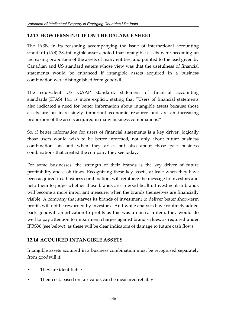# **12.13 HOW IFRSS PUT IP ON THE BALANCE SHEET**

The IASB, in its reasoning accompanying the issue of international accounting standard (IAS) 38, intangible assets, noted that intangible assets were becoming an increasing proportion of the assets of many entities, and pointed to the lead given by Canadian and US standard setters whose view was that the usefulness of financial statements would be enhanced if intangible assets acquired in a business combination were distinguished from goodwill.

The equivalent US GAAP standard, statement of financial accounting standards (SFAS) 141, is more explicit, stating that "Users of financial statements also indicated a need for better information about intangible assets because those assets are an increasingly important economic resource and are an increasing proportion of the assets acquired in many business combinations."

So, if better information for users of financial statements is a key driver, logically those users would wish to be better informed, not only about future business combinations as and when they arise, but also about those past business combinations that created the company they see today.

For some businesses, the strength of their brands is the key driver of future profitability and cash flows. Recognizing these key assets, at least when they have been acquired in a business combination, will reinforce the message to investors and help them to judge whether those brands are in good health. Investment in brands will become a more important measure, when the brands themselves are financially visible. A company that starves its brands of investment to deliver better short-term profits will not be rewarded by investors. And while analysts have routinely added back goodwill amortization to profits as this was a non-cash item, they would do well to pay attention to impairment charges against brand values, as required under IFRS36 (see below), as these will be clear indicators of damage to future cash flows.

# **12.14 ACQUIRED INTANGIBLE ASSETS**

Intangible assets acquired in a business combination must be recognised separately from goodwill if:

- They are identifiable
- Their cost, based on fair value, can be measured reliably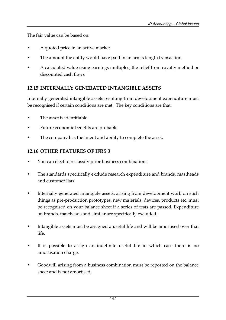The fair value can be based on:

- A quoted price in an active market
- The amount the entity would have paid in an arm's length transaction
- A calculated value using earnings multiples, the relief from royalty method or discounted cash flows

## **12.15 INTERNALLY GENERATED INTANGIBLE ASSETS**

Internally generated intangible assets resulting from development expenditure must be recognised if certain conditions are met. The key conditions are that:

- The asset is identifiable
- Future economic benefits are probable
- The company has the intent and ability to complete the asset.

## **12.16 OTHER FEATURES OF IFRS 3**

- You can elect to reclassify prior business combinations.
- The standards specifically exclude research expenditure and brands, mastheads and customer lists
- Internally generated intangible assets, arising from development work on such things as pre-production prototypes, new materials, devices, products etc. must be recognised on your balance sheet if a series of tests are passed. Expenditure on brands, mastheads and similar are specifically excluded.
- Intangible assets must be assigned a useful life and will be amortised over that life.
- It is possible to assign an indefinite useful life in which case there is no amortisation charge.
- Goodwill arising from a business combination must be reported on the balance sheet and is not amortised.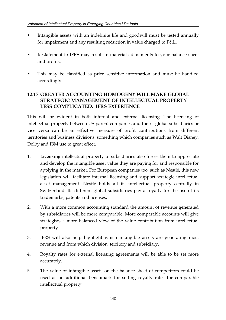- Intangible assets with an indefinite life and goodwill must be tested annually for impairment and any resulting reduction in value charged to P&L.
- Restatement to IFRS may result in material adjustments to your balance sheet and profits.
- This may be classified as price sensitive information and must be handled accordingly.

## **12.17 GREATER ACCOUNTING HOMOGENY WILL MAKE GLOBAL STRATEGIC MANAGEMENT OF INTELLECTUAL PROPERTY LESS COMPLICATED. IFRS EXPERIENCE**

This will be evident in both internal and external licensing. The licensing of intellectual property between US parent companies and their global subsidiaries or vice versa can be an effective measure of profit contributions from different territories and business divisions, something which companies such as Walt Disney, Dolby and IBM use to great effect.

- 1. **Licensing** intellectual property to subsidiaries also forces them to appreciate and develop the intangible asset value they are paying for and responsible for applying in the market. For European companies too, such as Nestlé, this new legislation will facilitate internal licensing and support strategic intellectual asset management. Nestlé holds all its intellectual property centrally in Switzerland. Its different global subsidiaries pay a royalty for the use of its trademarks, patents and licenses.
- 2. With a more common accounting standard the amount of revenue generated by subsidiaries will be more comparable. More comparable accounts will give strategists a more balanced view of the value contribution from intellectual property.
- 3. IFRS will also help highlight which intangible assets are generating most revenue and from which division, territory and subsidiary.
- 4. Royalty rates for external licensing agreements will be able to be set more accurately.
- 5. The value of intangible assets on the balance sheet of competitors could be used as an additional benchmark for setting royalty rates for comparable intellectual property.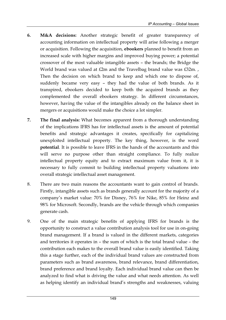- **6. M&A decisions:** Another strategic benefit of greater transparency of accounting information on intellectual property will arise following a merger or acquisition. Following the acquisition, **ebookers** planned to benefit from an increased scale with higher margins and improved buying power; a potential crossover of the most valuable intangible assets – the brands; the Bridge the World brand was valued at £2m and the Travelbag brand value was £32m., Then the decision on which brand to keep and which one to dispose of, suddenly became very easy – they had the value of both brands. As it transpired, ebookers decided to keep both the acquired brands as they complemented the overall ebookers strategy. In different circumstances, however, having the value of the intangibles already on the balance sheet in mergers or acquisitions would make the choice a lot simpler.
- **7. The final analysis:** What becomes apparent from a thorough understanding of the implications IFRS has for intellectual assets is the amount of potential benefits and strategic advantages it creates, specifically for capitalizing unexploited intellectual property. The key thing, however, is the word **potential**. It is possible to leave IFRS in the hands of the accountants and this will serve no purpose other than straight compliance. To fully realize intellectual property equity and to extract maximum value from it, it is necessary to fully commit to building intellectual property valuations into overall strategic intellectual asset management.
- 8. There are two main reasons the accountants want to gain control of brands. Firstly, intangible assets such as brands generally account for the majority of a company's market value: 70% for Disney, 76% for Nike, 85% for Heinz and 98% for Microsoft. Secondly, brands are the vehicle through which companies generate cash.
- 9. One of the main strategic benefits of applying IFRS for brands is the opportunity to construct a value contribution analysis tool for use in on-going brand management. If a brand is valued in the different markets, categories and territories it operates in – the sum of which is the total brand value – the contribution each makes to the overall brand value is easily identified. Taking this a stage further, each of the individual brand values are constructed from parameters such as brand awareness, brand relevance, brand differentiation, brand preference and brand loyalty. Each individual brand value can then be analyzed to find what is driving the value and what needs attention. As well as helping identify an individual brand's strengths and weaknesses, valuing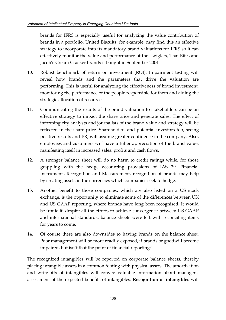brands for IFRS is especially useful for analyzing the value contribution of brands in a portfolio. United Biscuits, for example, may find this an effective strategy to incorporate into its mandatory brand valuations for IFRS so it can effectively monitor the value and performance of the Twiglets, Thai Bites and Jacob's Cream Cracker brands it bought in September 2004.

- 10. Robust benchmark of return on investment (ROI): Impairment testing will reveal how brands and the parameters that drive the valuation are performing. This is useful for analyzing the effectiveness of brand investment, monitoring the performance of the people responsible for them and aiding the strategic allocation of resource.
- 11. Communicating the results of the brand valuation to stakeholders can be an effective strategy to impact the share price and generate sales. The effect of informing city analysts and journalists of the brand value and strategy will be reflected in the share price. Shareholders and potential investors too, seeing positive results and PR, will assume greater confidence in the company. Also, employees and customers will have a fuller appreciation of the brand value, manifesting itself in increased sales, profits and cash flows.
- 12. A stronger balance sheet will do no harm to credit ratings while, for those grappling with the hedge accounting provisions of IAS 39, Financial Instruments Recognition and Measurement, recognition of brands may help by creating assets in the currencies which companies seek to hedge.
- 13. Another benefit to those companies, which are also listed on a US stock exchange, is the opportunity to eliminate some of the differences between UK and US GAAP reporting, where brands have long been recognised. It would be ironic if, despite all the efforts to achieve convergence between US GAAP and international standards, balance sheets were left with reconciling items for years to come.
- 14. Of course there are also downsides to having brands on the balance sheet. Poor management will be more readily exposed, if brands or goodwill become impaired, but isn't that the point of financial reporting?

The recognized intangibles will be reported on corporate balance sheets, thereby placing intangible assets in a common footing with physical assets. The amortization and write-offs of intangibles will convey valuable information about managers' assessment of the expected benefits of intangibles. **Recognition of intangibles** will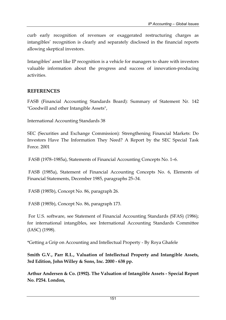curb early recognition of revenues or exaggerated restructuring charges as intangibles' recognition is clearly and separately disclosed in the financial reports allowing skeptical investors.

Intangibles' asset like IP recognition is a vehicle for managers to share with investors valuable information about the progress and success of innovation-producing activities.

### **REFERENCES**

FASB (Financial Accounting Standards Board): Summary of Statement Nr. 142 "Goodwill and other Intangible Assets",

International Accounting Standards 38

SEC (Securities and Exchange Commission): Strengthening Financial Markets: Do Investors Have The Information They Need? A Report by the SEC Special Task Force. 2001

FASB (1978–1985a), Statements of Financial Accounting Concepts No. 1–6.

 FASB (1985a), Statement of Financial Accounting Concepts No. 6, Elements of Financial Statements, December 1985, paragraphs 25–34.

FASB (1985b), Concept No. 86, paragraph 26.

FASB (1985b), Concept No. 86, paragraph 173.

 For U.S. software, see Statement of Financial Accounting Standards (SFAS) (1986); for international intangibles, see International Accounting Standards Committee (IASC) (1998).

\*Getting a Grip on Accounting and Intellectual Property - By Roya Ghafele

**Smith G.V., Parr R.L., Valuation of Intellectual Property and Intangible Assets, 3rd Edition, John Willey & Sons, Inc. 2000 - 638 pp.** 

**Arthur Andersen & Co. (1992). The Valuation of Intangible Assets - Special Report No. P254. London,**